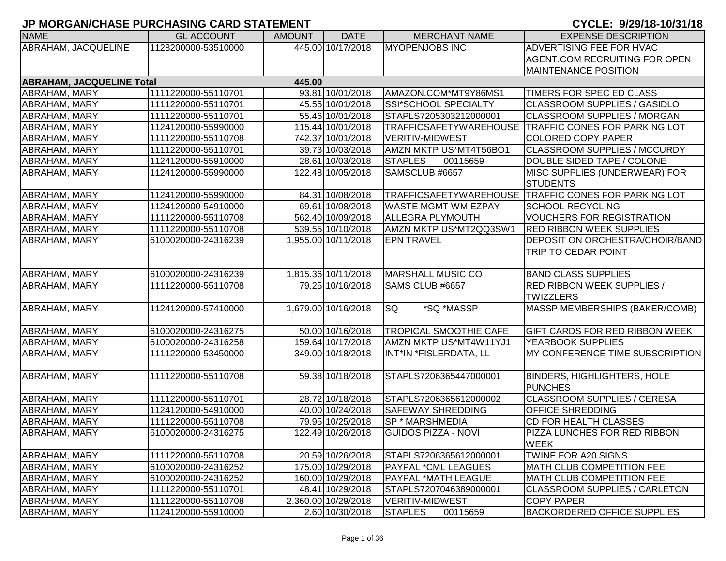| <b>NAME</b>                      | <b>GL ACCOUNT</b>   | <b>AMOUNT</b> | <b>DATE</b>         | <b>MERCHANT NAME</b>          | <b>EXPENSE DESCRIPTION</b>                           |
|----------------------------------|---------------------|---------------|---------------------|-------------------------------|------------------------------------------------------|
| ABRAHAM, JACQUELINE              | 1128200000-53510000 |               | 445.00 10/17/2018   | <b>MYOPENJOBS INC</b>         | ADVERTISING FEE FOR HVAC                             |
|                                  |                     |               |                     |                               | <b>AGENT.COM RECRUITING FOR OPEN</b>                 |
|                                  |                     |               |                     |                               | <b>MAINTENANCE POSITION</b>                          |
| <b>ABRAHAM, JACQUELINE Total</b> |                     | 445.00        |                     |                               |                                                      |
| <b>ABRAHAM, MARY</b>             | 1111220000-55110701 |               | 93.81 10/01/2018    | AMAZON.COM*MT9Y86MS1          | TIMERS FOR SPEC ED CLASS                             |
| <b>ABRAHAM, MARY</b>             | 1111220000-55110701 |               | 45.55 10/01/2018    | SSI*SCHOOL SPECIALTY          | <b>CLASSROOM SUPPLIES / GASIDLO</b>                  |
| <b>ABRAHAM, MARY</b>             | 1111220000-55110701 |               | 55.46 10/01/2018    | STAPLS7205303212000001        | <b>CLASSROOM SUPPLIES / MORGAN</b>                   |
| ABRAHAM, MARY                    | 1124120000-55990000 |               | 115.44 10/01/2018   |                               | TRAFFICSAFETYWAREHOUSE TRAFFIC CONES FOR PARKING LOT |
| ABRAHAM, MARY                    | 1111220000-55110708 |               | 742.37 10/01/2018   | <b>VERITIV-MIDWEST</b>        | <b>COLORED COPY PAPER</b>                            |
| <b>ABRAHAM, MARY</b>             | 1111220000-55110701 |               | 39.73 10/03/2018    | AMZN MKTP US*MT4T56BO1        | CLASSROOM SUPPLIES / MCCURDY                         |
| ABRAHAM, MARY                    | 1124120000-55910000 |               | 28.61 10/03/2018    | <b>STAPLES</b><br>00115659    | DOUBLE SIDED TAPE / COLONE                           |
| ABRAHAM, MARY                    | 1124120000-55990000 |               | 122.48 10/05/2018   | SAMSCLUB #6657                | MISC SUPPLIES (UNDERWEAR) FOR                        |
|                                  |                     |               |                     |                               | <b>STUDENTS</b>                                      |
| ABRAHAM, MARY                    | 1124120000-55990000 |               | 84.31 10/08/2018    |                               | TRAFFICSAFETYWAREHOUSE TRAFFIC CONES FOR PARKING LOT |
| <b>ABRAHAM, MARY</b>             | 1124120000-54910000 |               | 69.61 10/08/2018    | <b>WASTE MGMT WM EZPAY</b>    | <b>SCHOOL RECYCLING</b>                              |
| <b>ABRAHAM, MARY</b>             | 1111220000-55110708 |               | 562.40 10/09/2018   | <b>ALLEGRA PLYMOUTH</b>       | <b>VOUCHERS FOR REGISTRATION</b>                     |
| <b>ABRAHAM, MARY</b>             | 1111220000-55110708 |               | 539.55 10/10/2018   | AMZN MKTP US*MT2QQ3SW1        | <b>RED RIBBON WEEK SUPPLIES</b>                      |
| <b>ABRAHAM, MARY</b>             | 6100020000-24316239 |               | 1,955.00 10/11/2018 | <b>EPN TRAVEL</b>             | <b>DEPOSIT ON ORCHESTRA/CHOIR/BAND</b>               |
|                                  |                     |               |                     |                               | TRIP TO CEDAR POINT                                  |
|                                  |                     |               |                     |                               |                                                      |
| <b>ABRAHAM, MARY</b>             | 6100020000-24316239 |               | 1,815.36 10/11/2018 | <b>MARSHALL MUSIC CO</b>      | <b>BAND CLASS SUPPLIES</b>                           |
| ABRAHAM, MARY                    | 1111220000-55110708 |               | 79.25 10/16/2018    | SAMS CLUB #6657               | <b>RED RIBBON WEEK SUPPLIES /</b>                    |
|                                  |                     |               |                     |                               | <b>TWIZZLERS</b>                                     |
| ABRAHAM, MARY                    | 1124120000-57410000 |               | 1,679.00 10/16/2018 | <b>SQ</b><br>*SQ *MASSP       | MASSP MEMBERSHIPS (BAKER/COMB)                       |
|                                  |                     |               |                     |                               |                                                      |
| ABRAHAM, MARY                    | 6100020000-24316275 |               | 50.00 10/16/2018    | <b>TROPICAL SMOOTHIE CAFE</b> | <b>GIFT CARDS FOR RED RIBBON WEEK</b>                |
| <b>ABRAHAM, MARY</b>             | 6100020000-24316258 |               | 159.64 10/17/2018   | AMZN MKTP US*MT4W11YJ1        | YEARBOOK SUPPLIES                                    |
| ABRAHAM, MARY                    | 1111220000-53450000 |               | 349.00 10/18/2018   | INT*IN *FISLERDATA, LL        | MY CONFERENCE TIME SUBSCRIPTION                      |
|                                  |                     |               |                     |                               |                                                      |
| ABRAHAM, MARY                    | 1111220000-55110708 |               | 59.38 10/18/2018    | STAPLS7206365447000001        | <b>BINDERS, HIGHLIGHTERS, HOLE</b>                   |
|                                  |                     |               |                     |                               | <b>PUNCHES</b>                                       |
| <b>ABRAHAM, MARY</b>             | 1111220000-55110701 |               | 28.72 10/18/2018    | STAPLS7206365612000002        | <b>CLASSROOM SUPPLIES / CERESA</b>                   |
| ABRAHAM, MARY                    | 1124120000-54910000 |               | 40.00 10/24/2018    | <b>SAFEWAY SHREDDING</b>      | <b>OFFICE SHREDDING</b>                              |
| <b>ABRAHAM, MARY</b>             | 1111220000-55110708 |               | 79.95 10/25/2018    | <b>SP * MARSHMEDIA</b>        | <b>CD FOR HEALTH CLASSES</b>                         |
| ABRAHAM, MARY                    | 6100020000-24316275 |               | 122.49 10/26/2018   | <b>GUIDOS PIZZA - NOVI</b>    | PIZZA LUNCHES FOR RED RIBBON                         |
|                                  |                     |               |                     |                               | <b>WEEK</b>                                          |
| <b>ABRAHAM, MARY</b>             | 1111220000-55110708 |               | 20.59 10/26/2018    | STAPLS7206365612000001        | TWINE FOR A20 SIGNS                                  |
| <b>ABRAHAM, MARY</b>             | 6100020000-24316252 |               | 175.00 10/29/2018   | PAYPAL *CML LEAGUES           | <b>IMATH CLUB COMPETITION FEE</b>                    |
| <b>ABRAHAM, MARY</b>             | 6100020000-24316252 |               | 160.00 10/29/2018   | PAYPAL *MATH LEAGUE           | <b>MATH CLUB COMPETITION FEE</b>                     |
| <b>ABRAHAM, MARY</b>             | 1111220000-55110701 |               | 48.41 10/29/2018    | STAPLS7207046389000001        | <b>CLASSROOM SUPPLIES / CARLETON</b>                 |
| ABRAHAM, MARY                    | 1111220000-55110708 |               | 2,360.00 10/29/2018 | <b>VERITIV-MIDWEST</b>        | <b>COPY PAPER</b>                                    |
| ABRAHAM, MARY                    | 1124120000-55910000 |               | 2.60 10/30/2018     | <b>STAPLES</b><br>00115659    | <b>BACKORDERED OFFICE SUPPLIES</b>                   |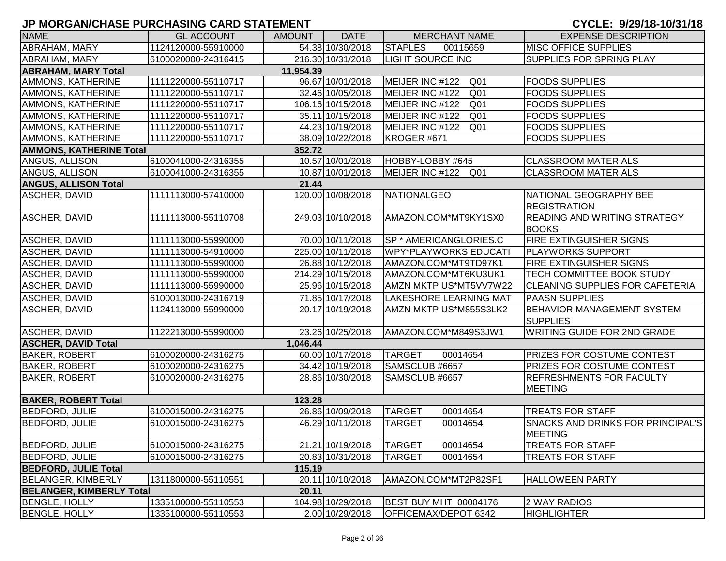| <b>NAME</b>                     | <b>GL ACCOUNT</b>   | <b>AMOUNT</b> | <b>DATE</b>       | <b>MERCHANT NAME</b>               | <b>EXPENSE DESCRIPTION</b>                                 |
|---------------------------------|---------------------|---------------|-------------------|------------------------------------|------------------------------------------------------------|
| ABRAHAM, MARY                   | 1124120000-55910000 |               | 54.38 10/30/2018  | <b>STAPLES</b><br>00115659         | <b>MISC OFFICE SUPPLIES</b>                                |
| ABRAHAM, MARY                   | 6100020000-24316415 |               | 216.30 10/31/2018 | <b>LIGHT SOURCE INC</b>            | <b>SUPPLIES FOR SPRING PLAY</b>                            |
| <b>ABRAHAM, MARY Total</b>      |                     | 11,954.39     |                   |                                    |                                                            |
| AMMONS, KATHERINE               | 1111220000-55110717 |               | 96.67 10/01/2018  | MEIJER INC #122<br>Q <sub>01</sub> | <b>FOODS SUPPLIES</b>                                      |
| AMMONS, KATHERINE               | 1111220000-55110717 |               | 32.46 10/05/2018  | MEIJER INC #122<br>Q <sub>01</sub> | <b>FOODS SUPPLIES</b>                                      |
| AMMONS, KATHERINE               | 1111220000-55110717 |               | 106.16 10/15/2018 | MEIJER INC #122<br>Q <sub>01</sub> | <b>FOODS SUPPLIES</b>                                      |
| AMMONS, KATHERINE               | 1111220000-55110717 |               | 35.11 10/15/2018  | MEIJER INC #122<br>Q <sub>01</sub> | <b>FOODS SUPPLIES</b>                                      |
| AMMONS, KATHERINE               | 1111220000-55110717 |               | 44.23 10/19/2018  | MEIJER INC #122<br>Q <sub>01</sub> | <b>FOODS SUPPLIES</b>                                      |
| AMMONS, KATHERINE               | 1111220000-55110717 |               | 38.09 10/22/2018  | KROGER #671                        | <b>FOODS SUPPLIES</b>                                      |
| <b>AMMONS, KATHERINE Total</b>  |                     | 352.72        |                   |                                    |                                                            |
| ANGUS, ALLISON                  | 6100041000-24316355 |               | 10.57 10/01/2018  | HOBBY-LOBBY #645                   | <b>CLASSROOM MATERIALS</b>                                 |
| ANGUS, ALLISON                  | 6100041000-24316355 |               | 10.87 10/01/2018  | MEIJER INC #122<br>Q01             | <b>CLASSROOM MATERIALS</b>                                 |
| <b>ANGUS, ALLISON Total</b>     |                     | 21.44         |                   |                                    |                                                            |
| ASCHER, DAVID                   | 1111113000-57410000 |               | 120.00 10/08/2018 | <b>NATIONALGEO</b>                 | NATIONAL GEOGRAPHY BEE<br><b>REGISTRATION</b>              |
| ASCHER, DAVID                   | 1111113000-55110708 |               | 249.03 10/10/2018 | AMAZON.COM*MT9KY1SX0               | <b>READING AND WRITING STRATEGY</b><br><b>BOOKS</b>        |
| ASCHER, DAVID                   | 1111113000-55990000 |               | 70.00 10/11/2018  | <b>SP * AMERICANGLORIES.C</b>      | <b>FIRE EXTINGUISHER SIGNS</b>                             |
| ASCHER, DAVID                   | 1111113000-54910000 |               | 225.00 10/11/2018 | <b>WPY*PLAYWORKS EDUCATI</b>       | <b>PLAYWORKS SUPPORT</b>                                   |
| <b>ASCHER, DAVID</b>            | 1111113000-55990000 |               | 26.88 10/12/2018  | AMAZON.COM*MT9TD97K1               | <b>FIRE EXTINGUISHER SIGNS</b>                             |
| ASCHER, DAVID                   | 1111113000-55990000 |               | 214.29 10/15/2018 | AMAZON.COM*MT6KU3UK1               | <b>TECH COMMITTEE BOOK STUDY</b>                           |
| ASCHER, DAVID                   | 1111113000-55990000 |               | 25.96 10/15/2018  | AMZN MKTP US*MT5VV7W22             | <b>CLEANING SUPPLIES FOR CAFETERIA</b>                     |
| ASCHER, DAVID                   | 6100013000-24316719 |               | 71.85 10/17/2018  | <b>LAKESHORE LEARNING MAT</b>      | <b>PAASN SUPPLIES</b>                                      |
| ASCHER, DAVID                   | 1124113000-55990000 |               | 20.17 10/19/2018  | AMZN MKTP US*M855S3LK2             | <b>BEHAVIOR MANAGEMENT SYSTEM</b><br><b>SUPPLIES</b>       |
| ASCHER, DAVID                   | 1122213000-55990000 |               | 23.26 10/25/2018  | AMAZON.COM*M849S3JW1               | <b>WRITING GUIDE FOR 2ND GRADE</b>                         |
| <b>ASCHER, DAVID Total</b>      |                     | 1,046.44      |                   |                                    |                                                            |
| <b>BAKER, ROBERT</b>            | 6100020000-24316275 |               | 60.00 10/17/2018  | <b>TARGET</b><br>00014654          | <b>PRIZES FOR COSTUME CONTEST</b>                          |
| <b>BAKER, ROBERT</b>            | 6100020000-24316275 |               | 34.42 10/19/2018  | SAMSCLUB #6657                     | PRIZES FOR COSTUME CONTEST                                 |
| <b>BAKER, ROBERT</b>            | 6100020000-24316275 |               | 28.86 10/30/2018  | SAMSCLUB #6657                     | <b>REFRESHMENTS FOR FACULTY</b><br><b>MEETING</b>          |
| <b>BAKER, ROBERT Total</b>      |                     | 123.28        |                   |                                    |                                                            |
| <b>BEDFORD, JULIE</b>           | 6100015000-24316275 |               | 26.86 10/09/2018  | <b>TARGET</b><br>00014654          | <b>TREATS FOR STAFF</b>                                    |
| <b>BEDFORD, JULIE</b>           | 6100015000-24316275 |               | 46.29 10/11/2018  | <b>TARGET</b><br>00014654          | <b>SNACKS AND DRINKS FOR PRINCIPAL'S</b><br><b>MEETING</b> |
| <b>BEDFORD, JULIE</b>           | 6100015000-24316275 |               | 21.21 10/19/2018  | <b>TARGET</b><br>00014654          | <b>TREATS FOR STAFF</b>                                    |
| <b>BEDFORD, JULIE</b>           | 6100015000-24316275 |               | 20.83 10/31/2018  | <b>TARGET</b><br>00014654          | <b>TREATS FOR STAFF</b>                                    |
| <b>BEDFORD, JULIE Total</b>     |                     | 115.19        |                   |                                    |                                                            |
| BELANGER, KIMBERLY              | 1311800000-55110551 |               | 20.11 10/10/2018  | AMAZON.COM*MT2P82SF1               | <b>HALLOWEEN PARTY</b>                                     |
| <b>BELANGER, KIMBERLY Total</b> |                     | 20.11         |                   |                                    |                                                            |
| <b>BENGLE, HOLLY</b>            | 1335100000-55110553 |               | 104.98 10/29/2018 | BEST BUY MHT 00004176              | 2 WAY RADIOS                                               |
| <b>BENGLE, HOLLY</b>            | 1335100000-55110553 |               | 2.00 10/29/2018   | <b>OFFICEMAX/DEPOT 6342</b>        | <b>HIGHLIGHTER</b>                                         |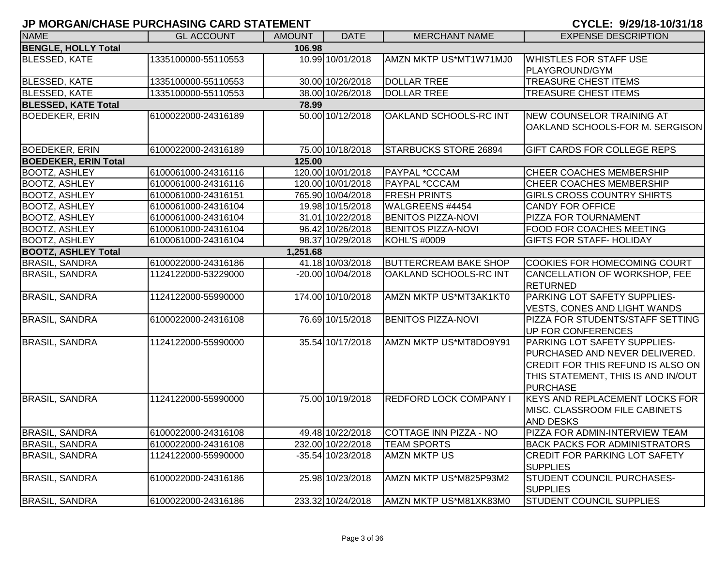| <b>NAME</b>                 | <b>GL ACCOUNT</b>   | <b>AMOUNT</b> | <b>DATE</b>           | <b>MERCHANT NAME</b>          | <b>EXPENSE DESCRIPTION</b>                       |
|-----------------------------|---------------------|---------------|-----------------------|-------------------------------|--------------------------------------------------|
| <b>BENGLE, HOLLY Total</b>  |                     | 106.98        |                       |                               |                                                  |
| <b>BLESSED, KATE</b>        | 1335100000-55110553 |               | 10.99 10/01/2018      | AMZN MKTP US*MT1W71MJ0        | <b>WHISTLES FOR STAFF USE</b>                    |
|                             |                     |               |                       |                               | PLAYGROUND/GYM                                   |
| <b>BLESSED, KATE</b>        | 1335100000-55110553 |               | 30.00 10/26/2018      | <b>DOLLAR TREE</b>            | TREASURE CHEST ITEMS                             |
| <b>BLESSED, KATE</b>        | 1335100000-55110553 |               | 38.00 10/26/2018      | <b>DOLLAR TREE</b>            | TREASURE CHEST ITEMS                             |
| <b>BLESSED, KATE Total</b>  |                     | 78.99         |                       |                               |                                                  |
| <b>BOEDEKER, ERIN</b>       | 6100022000-24316189 |               | 50.00 10/12/2018      | OAKLAND SCHOOLS-RC INT        | NEW COUNSELOR TRAINING AT                        |
|                             |                     |               |                       |                               | OAKLAND SCHOOLS-FOR M. SERGISON                  |
|                             |                     |               |                       |                               |                                                  |
| <b>BOEDEKER, ERIN</b>       | 6100022000-24316189 |               | 75.00 10/18/2018      | <b>STARBUCKS STORE 26894</b>  | GIFT CARDS FOR COLLEGE REPS                      |
| <b>BOEDEKER, ERIN Total</b> |                     | 125.00        |                       |                               |                                                  |
| <b>BOOTZ, ASHLEY</b>        | 6100061000-24316116 |               | 120.00 10/01/2018     | <b>PAYPAL *CCCAM</b>          | <b>CHEER COACHES MEMBERSHIP</b>                  |
| <b>BOOTZ, ASHLEY</b>        | 6100061000-24316116 |               | 120.00 10/01/2018     | PAYPAL *CCCAM                 | CHEER COACHES MEMBERSHIP                         |
| <b>BOOTZ, ASHLEY</b>        | 6100061000-24316151 |               | 765.90 10/04/2018     | <b>FRESH PRINTS</b>           | <b>GIRLS CROSS COUNTRY SHIRTS</b>                |
| <b>BOOTZ, ASHLEY</b>        | 6100061000-24316104 |               | 19.98 10/15/2018      | WALGREENS #4454               | <b>CANDY FOR OFFICE</b>                          |
| <b>BOOTZ, ASHLEY</b>        | 6100061000-24316104 |               | 31.01 10/22/2018      | <b>BENITOS PIZZA-NOVI</b>     | PIZZA FOR TOURNAMENT                             |
| <b>BOOTZ, ASHLEY</b>        | 6100061000-24316104 |               | 96.42 10/26/2018      | <b>BENITOS PIZZA-NOVI</b>     | FOOD FOR COACHES MEETING                         |
| <b>BOOTZ, ASHLEY</b>        | 6100061000-24316104 |               | 98.37 10/29/2018      | <b>KOHL'S #0009</b>           | <b>GIFTS FOR STAFF- HOLIDAY</b>                  |
| <b>BOOTZ, ASHLEY Total</b>  |                     | 1,251.68      |                       |                               |                                                  |
| <b>BRASIL, SANDRA</b>       | 6100022000-24316186 |               | 41.18 10/03/2018      | <b>BUTTERCREAM BAKE SHOP</b>  | <b>COOKIES FOR HOMECOMING COURT</b>              |
| <b>BRASIL, SANDRA</b>       | 1124122000-53229000 |               | $-20.00$ $10/04/2018$ | OAKLAND SCHOOLS-RC INT        | CANCELLATION OF WORKSHOP, FEE<br><b>RETURNED</b> |
| <b>BRASIL, SANDRA</b>       | 1124122000-55990000 |               | 174.00 10/10/2018     | AMZN MKTP US*MT3AK1KT0        | PARKING LOT SAFETY SUPPLIES-                     |
|                             |                     |               |                       |                               | VESTS, CONES AND LIGHT WANDS                     |
| <b>BRASIL, SANDRA</b>       | 6100022000-24316108 |               | 76.69 10/15/2018      | <b>BENITOS PIZZA-NOVI</b>     | PIZZA FOR STUDENTS/STAFF SETTING                 |
|                             |                     |               |                       |                               | UP FOR CONFERENCES                               |
| <b>BRASIL, SANDRA</b>       | 1124122000-55990000 |               | 35.54 10/17/2018      | AMZN MKTP US*MT8DO9Y91        | PARKING LOT SAFETY SUPPLIES-                     |
|                             |                     |               |                       |                               | PURCHASED AND NEVER DELIVERED.                   |
|                             |                     |               |                       |                               | CREDIT FOR THIS REFUND IS ALSO ON                |
|                             |                     |               |                       |                               | THIS STATEMENT, THIS IS AND IN/OUT               |
|                             |                     |               |                       |                               | <b>PURCHASE</b>                                  |
| <b>BRASIL, SANDRA</b>       | 1124122000-55990000 |               | 75.00 10/19/2018      | <b>REDFORD LOCK COMPANY I</b> | <b>KEYS AND REPLACEMENT LOCKS FOR</b>            |
|                             |                     |               |                       |                               | MISC. CLASSROOM FILE CABINETS                    |
|                             |                     |               |                       |                               | <b>AND DESKS</b>                                 |
| <b>BRASIL, SANDRA</b>       | 6100022000-24316108 |               | 49.48 10/22/2018      | COTTAGE INN PIZZA - NO        | PIZZA FOR ADMIN-INTERVIEW TEAM                   |
| <b>BRASIL, SANDRA</b>       | 6100022000-24316108 |               | 232.00 10/22/2018     | <b>TEAM SPORTS</b>            | <b>BACK PACKS FOR ADMINISTRATORS</b>             |
| <b>BRASIL, SANDRA</b>       | 1124122000-55990000 |               | $-35.5410/23/2018$    | <b>AMZN MKTP US</b>           | <b>CREDIT FOR PARKING LOT SAFETY</b>             |
|                             |                     |               |                       |                               | <b>SUPPLIES</b>                                  |
| <b>BRASIL, SANDRA</b>       | 6100022000-24316186 |               | 25.98 10/23/2018      | AMZN MKTP US*M825P93M2        | STUDENT COUNCIL PURCHASES-                       |
|                             |                     |               |                       |                               | <b>SUPPLIES</b>                                  |
| <b>BRASIL, SANDRA</b>       | 6100022000-24316186 |               | 233.32 10/24/2018     | AMZN MKTP US*M81XK83M0        | <b>STUDENT COUNCIL SUPPLIES</b>                  |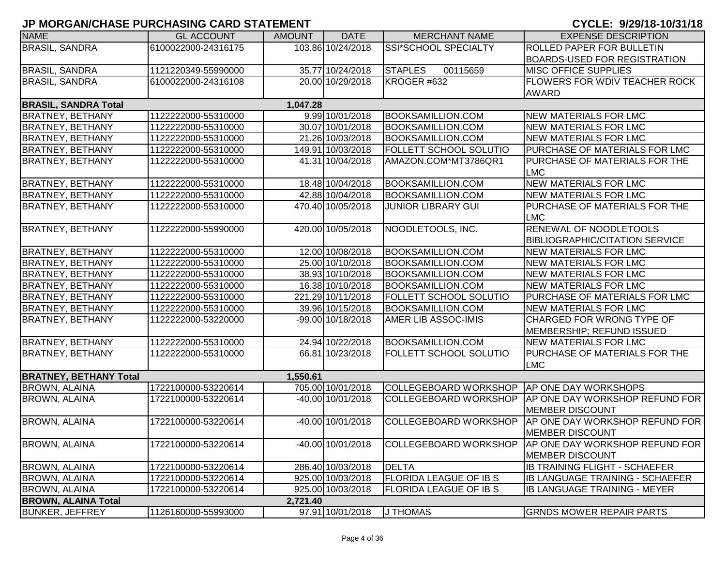| <b>NAME</b>                   | <b>GL ACCOUNT</b>   | <b>AMOUNT</b> | <b>DATE</b>       | <b>MERCHANT NAME</b>          | <b>EXPENSE DESCRIPTION</b>                               |
|-------------------------------|---------------------|---------------|-------------------|-------------------------------|----------------------------------------------------------|
| <b>BRASIL, SANDRA</b>         | 6100022000-24316175 |               | 103.86 10/24/2018 | SSI*SCHOOL SPECIALTY          | <b>ROLLED PAPER FOR BULLETIN</b>                         |
|                               |                     |               |                   |                               | <b>BOARDS-USED FOR REGISTRATION</b>                      |
| <b>BRASIL, SANDRA</b>         | 1121220349-55990000 |               | 35.77 10/24/2018  | <b>STAPLES</b><br>00115659    | <b>MISC OFFICE SUPPLIES</b>                              |
| <b>BRASIL, SANDRA</b>         | 6100022000-24316108 |               | 20.00 10/29/2018  | KROGER #632                   | <b>FLOWERS FOR WDIV TEACHER ROCK</b>                     |
|                               |                     |               |                   |                               | <b>AWARD</b>                                             |
| <b>BRASIL, SANDRA Total</b>   |                     | 1,047.28      |                   |                               |                                                          |
| <b>BRATNEY, BETHANY</b>       | 1122222000-55310000 |               | 9.99 10/01/2018   | <b>BOOKSAMILLION.COM</b>      | <b>NEW MATERIALS FOR LMC</b>                             |
| <b>BRATNEY, BETHANY</b>       | 1122222000-55310000 |               | 30.07 10/01/2018  | <b>BOOKSAMILLION.COM</b>      | <b>NEW MATERIALS FOR LMC</b>                             |
| <b>BRATNEY, BETHANY</b>       | 1122222000-55310000 |               | 21.26 10/03/2018  | <b>BOOKSAMILLION.COM</b>      | <b>NEW MATERIALS FOR LMC</b>                             |
| <b>BRATNEY, BETHANY</b>       | 1122222000-55310000 |               | 149.91 10/03/2018 | <b>FOLLETT SCHOOL SOLUTIO</b> | PURCHASE OF MATERIALS FOR LMC                            |
| <b>BRATNEY, BETHANY</b>       | 1122222000-55310000 |               | 41.31 10/04/2018  | AMAZON.COM*MT3786QR1          | PURCHASE OF MATERIALS FOR THE                            |
|                               |                     |               |                   |                               | <b>LMC</b>                                               |
| <b>BRATNEY, BETHANY</b>       | 1122222000-55310000 |               | 18.48 10/04/2018  | <b>BOOKSAMILLION.COM</b>      | <b>NEW MATERIALS FOR LMC</b>                             |
| <b>BRATNEY, BETHANY</b>       | 1122222000-55310000 |               | 42.88 10/04/2018  | <b>BOOKSAMILLION.COM</b>      | <b>NEW MATERIALS FOR LMC</b>                             |
| <b>BRATNEY, BETHANY</b>       | 1122222000-55310000 |               | 470.40 10/05/2018 | <b>JUNIOR LIBRARY GUI</b>     | PURCHASE OF MATERIALS FOR THE                            |
|                               |                     |               |                   |                               | <b>LMC</b>                                               |
| <b>BRATNEY, BETHANY</b>       | 1122222000-55990000 |               | 420.00 10/05/2018 | NOODLETOOLS, INC.             | RENEWAL OF NOODLETOOLS                                   |
|                               |                     |               |                   |                               | <b>BIBLIOGRAPHIC/CITATION SERVICE</b>                    |
| <b>BRATNEY, BETHANY</b>       | 1122222000-55310000 |               | 12.00 10/08/2018  | <b>BOOKSAMILLION.COM</b>      | <b>NEW MATERIALS FOR LMC</b>                             |
| <b>BRATNEY, BETHANY</b>       | 1122222000-55310000 |               | 25.00 10/10/2018  | <b>BOOKSAMILLION.COM</b>      | <b>NEW MATERIALS FOR LMC</b>                             |
| <b>BRATNEY, BETHANY</b>       | 1122222000-55310000 |               | 38.93 10/10/2018  | <b>BOOKSAMILLION.COM</b>      | <b>NEW MATERIALS FOR LMC</b>                             |
| <b>BRATNEY, BETHANY</b>       | 1122222000-55310000 |               | 16.38 10/10/2018  | <b>BOOKSAMILLION.COM</b>      | <b>NEW MATERIALS FOR LMC</b>                             |
| <b>BRATNEY, BETHANY</b>       | 1122222000-55310000 |               | 221.29 10/11/2018 | <b>FOLLETT SCHOOL SOLUTIO</b> | PURCHASE OF MATERIALS FOR LMC                            |
| <b>BRATNEY, BETHANY</b>       | 1122222000-55310000 |               | 39.96 10/15/2018  | <b>BOOKSAMILLION.COM</b>      | <b>NEW MATERIALS FOR LMC</b>                             |
| <b>BRATNEY, BETHANY</b>       | 1122222000-53220000 |               | -99.00 10/18/2018 | <b>AMER LIB ASSOC-IMIS</b>    | CHARGED FOR WRONG TYPE OF                                |
|                               |                     |               |                   |                               | MEMBERSHIP; REFUND ISSUED                                |
| <b>BRATNEY, BETHANY</b>       | 1122222000-55310000 |               | 24.94 10/22/2018  | <b>BOOKSAMILLION.COM</b>      | <b>NEW MATERIALS FOR LMC</b>                             |
| <b>BRATNEY, BETHANY</b>       | 1122222000-55310000 |               | 66.81 10/23/2018  | FOLLETT SCHOOL SOLUTIO        | PURCHASE OF MATERIALS FOR THE                            |
|                               |                     |               |                   |                               | <b>LMC</b>                                               |
| <b>BRATNEY, BETHANY Total</b> |                     | 1,550.61      |                   |                               |                                                          |
| <b>BROWN, ALAINA</b>          | 1722100000-53220614 |               | 705.00 10/01/2018 | COLLEGEBOARD WORKSHOP         | <b>AP ONE DAY WORKSHOPS</b>                              |
| <b>BROWN, ALAINA</b>          | 1722100000-53220614 |               | -40.00 10/01/2018 | <b>COLLEGEBOARD WORKSHOP</b>  | AP ONE DAY WORKSHOP REFUND FOR                           |
|                               |                     |               |                   |                               |                                                          |
| <b>BROWN, ALAINA</b>          | 1722100000-53220614 |               | -40.00 10/01/2018 | <b>COLLEGEBOARD WORKSHOP</b>  | <b>MEMBER DISCOUNT</b><br>AP ONE DAY WORKSHOP REFUND FOR |
|                               |                     |               |                   |                               |                                                          |
|                               |                     |               |                   |                               | <b>MEMBER DISCOUNT</b>                                   |
| <b>BROWN, ALAINA</b>          | 1722100000-53220614 |               | -40.00 10/01/2018 | COLLEGEBOARD WORKSHOP         | AP ONE DAY WORKSHOP REFUND FOR                           |
|                               |                     |               |                   |                               | <b>MEMBER DISCOUNT</b>                                   |
| <b>BROWN, ALAINA</b>          | 1722100000-53220614 |               | 286.40 10/03/2018 | <b>DELTA</b>                  | IB TRAINING FLIGHT - SCHAEFER                            |
| <b>BROWN, ALAINA</b>          | 1722100000-53220614 |               | 925.00 10/03/2018 | <b>FLORIDA LEAGUE OF IB S</b> | <b>IB LANGUAGE TRAINING - SCHAEFER</b>                   |
| <b>BROWN, ALAINA</b>          | 1722100000-53220614 |               | 925.00 10/03/2018 | <b>FLORIDA LEAGUE OF IB S</b> | <b>IB LANGUAGE TRAINING - MEYER</b>                      |
| <b>BROWN, ALAINA Total</b>    |                     | 2,721.40      |                   |                               |                                                          |
| <b>BUNKER, JEFFREY</b>        | 1126160000-55993000 |               | 97.91 10/01/2018  | J THOMAS                      | <b>GRNDS MOWER REPAIR PARTS</b>                          |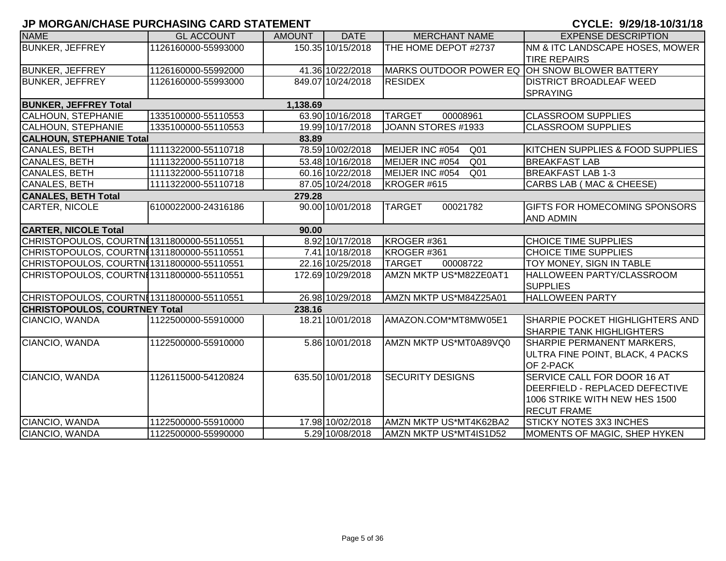| <b>NAME</b>                                | <b>GL ACCOUNT</b>   | <b>AMOUNT</b> | <b>DATE</b>       | <b>MERCHANT NAME</b>                          | <b>EXPENSE DESCRIPTION</b>                                                                                                  |
|--------------------------------------------|---------------------|---------------|-------------------|-----------------------------------------------|-----------------------------------------------------------------------------------------------------------------------------|
| <b>BUNKER, JEFFREY</b>                     | 1126160000-55993000 |               | 150.35 10/15/2018 | THE HOME DEPOT #2737                          | NM & ITC LANDSCAPE HOSES, MOWER<br><b>TIRE REPAIRS</b>                                                                      |
| <b>BUNKER, JEFFREY</b>                     | 1126160000-55992000 |               | 41.36 10/22/2018  | MARKS OUTDOOR POWER EQ OH SNOW BLOWER BATTERY |                                                                                                                             |
| <b>BUNKER, JEFFREY</b>                     | 1126160000-55993000 |               | 849.07 10/24/2018 | <b>RESIDEX</b>                                | <b>DISTRICT BROADLEAF WEED</b><br><b>SPRAYING</b>                                                                           |
| <b>BUNKER, JEFFREY Total</b>               |                     | 1,138.69      |                   |                                               |                                                                                                                             |
| <b>CALHOUN, STEPHANIE</b>                  | 1335100000-55110553 |               | 63.90 10/16/2018  | <b>TARGET</b><br>00008961                     | <b>CLASSROOM SUPPLIES</b>                                                                                                   |
| <b>CALHOUN, STEPHANIE</b>                  | 1335100000-55110553 |               | 19.99 10/17/2018  | JOANN STORES #1933                            | <b>CLASSROOM SUPPLIES</b>                                                                                                   |
| <b>CALHOUN, STEPHANIE Total</b>            |                     | 83.89         |                   |                                               |                                                                                                                             |
| CANALES, BETH                              | 1111322000-55110718 |               | 78.59 10/02/2018  | MEIJER INC #054<br>Q <sub>01</sub>            | KITCHEN SUPPLIES & FOOD SUPPLIES                                                                                            |
| <b>CANALES, BETH</b>                       | 1111322000-55110718 |               | 53.48 10/16/2018  | MEIJER INC #054<br>Q <sub>01</sub>            | <b>BREAKFAST LAB</b>                                                                                                        |
| <b>CANALES, BETH</b>                       | 1111322000-55110718 |               | 60.16 10/22/2018  | MEIJER INC #054<br>Q <sub>01</sub>            | <b>BREAKFAST LAB 1-3</b>                                                                                                    |
| <b>CANALES, BETH</b>                       | 1111322000-55110718 |               | 87.05 10/24/2018  | KROGER #615                                   | CARBS LAB (MAC & CHEESE)                                                                                                    |
| <b>CANALES, BETH Total</b>                 |                     | 279.28        |                   |                                               |                                                                                                                             |
| CARTER, NICOLE                             | 6100022000-24316186 |               | 90.00 10/01/2018  | <b>TARGET</b><br>00021782                     | GIFTS FOR HOMECOMING SPONSORS<br><b>AND ADMIN</b>                                                                           |
| <b>CARTER, NICOLE Total</b>                |                     | 90.00         |                   |                                               |                                                                                                                             |
| CHRISTOPOULOS, COURTNI1311800000-55110551  |                     |               | 8.92 10/17/2018   | KROGER #361                                   | <b>CHOICE TIME SUPPLIES</b>                                                                                                 |
| CHRISTOPOULOS, COURTNI 1311800000-55110551 |                     |               | 7.41 10/18/2018   | KROGER #361                                   | <b>CHOICE TIME SUPPLIES</b>                                                                                                 |
| CHRISTOPOULOS, COURTNI1311800000-55110551  |                     |               | 22.16 10/25/2018  | <b>TARGET</b><br>00008722                     | TOY MONEY, SIGN IN TABLE                                                                                                    |
| CHRISTOPOULOS, COURTNI1311800000-55110551  |                     |               | 172.69 10/29/2018 | AMZN MKTP US*M82ZE0AT1                        | HALLOWEEN PARTY/CLASSROOM<br><b>SUPPLIES</b>                                                                                |
| CHRISTOPOULOS, COURTNI1311800000-55110551  |                     |               | 26.98 10/29/2018  | AMZN MKTP US*M84Z25A01                        | <b>HALLOWEEN PARTY</b>                                                                                                      |
| <b>CHRISTOPOULOS, COURTNEY Total</b>       |                     | 238.16        |                   |                                               |                                                                                                                             |
| CIANCIO, WANDA                             | 1122500000-55910000 |               | 18.21 10/01/2018  | AMAZON.COM*MT8MW05E1                          | SHARPIE POCKET HIGHLIGHTERS AND<br><b>SHARPIE TANK HIGHLIGHTERS</b>                                                         |
| CIANCIO, WANDA                             | 1122500000-55910000 |               | 5.86 10/01/2018   | AMZN MKTP US*MT0A89VQ0                        | <b>SHARPIE PERMANENT MARKERS,</b><br>ULTRA FINE POINT, BLACK, 4 PACKS<br>OF 2-PACK                                          |
| CIANCIO, WANDA                             | 1126115000-54120824 |               | 635.50 10/01/2018 | <b>SECURITY DESIGNS</b>                       | SERVICE CALL FOR DOOR 16 AT<br><b>DEERFIELD - REPLACED DEFECTIVE</b><br>1006 STRIKE WITH NEW HES 1500<br><b>RECUT FRAME</b> |
| CIANCIO, WANDA                             | 1122500000-55910000 |               | 17.98 10/02/2018  | AMZN MKTP US*MT4K62BA2                        | <b>STICKY NOTES 3X3 INCHES</b>                                                                                              |
| CIANCIO, WANDA                             | 1122500000-55990000 |               | 5.29 10/08/2018   | AMZN MKTP US*MT4IS1D52                        | MOMENTS OF MAGIC, SHEP HYKEN                                                                                                |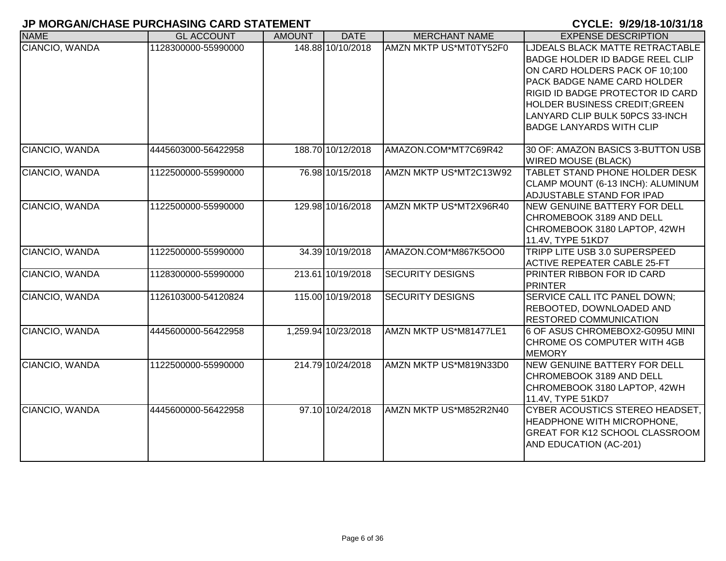| <b>NAME</b>    | <b>GL ACCOUNT</b>   | <b>AMOUNT</b> | <b>DATE</b>         | <b>MERCHANT NAME</b>    | <b>EXPENSE DESCRIPTION</b>                                                                                                                                                                                                                                                                          |
|----------------|---------------------|---------------|---------------------|-------------------------|-----------------------------------------------------------------------------------------------------------------------------------------------------------------------------------------------------------------------------------------------------------------------------------------------------|
| CIANCIO, WANDA | 1128300000-55990000 |               | 148.88 10/10/2018   | AMZN MKTP US*MT0TY52F0  | LJDEALS BLACK MATTE RETRACTABLE<br><b>BADGE HOLDER ID BADGE REEL CLIP</b><br>ON CARD HOLDERS PACK OF 10:100<br><b>PACK BADGE NAME CARD HOLDER</b><br>RIGID ID BADGE PROTECTOR ID CARD<br><b>HOLDER BUSINESS CREDIT; GREEN</b><br>LANYARD CLIP BULK 50PCS 33-INCH<br><b>BADGE LANYARDS WITH CLIP</b> |
| CIANCIO, WANDA | 4445603000-56422958 |               | 188.70 10/12/2018   | AMAZON.COM*MT7C69R42    | 30 OF: AMAZON BASICS 3-BUTTON USB<br><b>WIRED MOUSE (BLACK)</b>                                                                                                                                                                                                                                     |
| CIANCIO, WANDA | 1122500000-55990000 |               | 76.98 10/15/2018    | AMZN MKTP US*MT2C13W92  | TABLET STAND PHONE HOLDER DESK<br>CLAMP MOUNT (6-13 INCH): ALUMINUM<br>ADJUSTABLE STAND FOR IPAD                                                                                                                                                                                                    |
| CIANCIO, WANDA | 1122500000-55990000 |               | 129.98 10/16/2018   | AMZN MKTP US*MT2X96R40  | NEW GENUINE BATTERY FOR DELL<br>CHROMEBOOK 3189 AND DELL<br>CHROMEBOOK 3180 LAPTOP, 42WH<br>11.4V, TYPE 51KD7                                                                                                                                                                                       |
| CIANCIO, WANDA | 1122500000-55990000 |               | 34.39 10/19/2018    | AMAZON.COM*M867K5OO0    | TRIPP LITE USB 3.0 SUPERSPEED<br><b>ACTIVE REPEATER CABLE 25-FT</b>                                                                                                                                                                                                                                 |
| CIANCIO, WANDA | 1128300000-55990000 |               | 213.61 10/19/2018   | <b>SECURITY DESIGNS</b> | PRINTER RIBBON FOR ID CARD<br><b>PRINTER</b>                                                                                                                                                                                                                                                        |
| CIANCIO, WANDA | 1126103000-54120824 |               | 115.00 10/19/2018   | <b>SECURITY DESIGNS</b> | <b>SERVICE CALL ITC PANEL DOWN;</b><br>REBOOTED, DOWNLOADED AND<br><b>RESTORED COMMUNICATION</b>                                                                                                                                                                                                    |
| CIANCIO, WANDA | 4445600000-56422958 |               | 1,259.94 10/23/2018 | AMZN MKTP US*M81477LE1  | 6 OF ASUS CHROMEBOX2-G095U MINI<br>CHROME OS COMPUTER WITH 4GB<br><b>MEMORY</b>                                                                                                                                                                                                                     |
| CIANCIO, WANDA | 1122500000-55990000 |               | 214.79 10/24/2018   | AMZN MKTP US*M819N33D0  | <b>NEW GENUINE BATTERY FOR DELL</b><br>CHROMEBOOK 3189 AND DELL<br>CHROMEBOOK 3180 LAPTOP, 42WH<br>11.4V, TYPE 51KD7                                                                                                                                                                                |
| CIANCIO, WANDA | 4445600000-56422958 |               | 97.10 10/24/2018    | AMZN MKTP US*M852R2N40  | CYBER ACOUSTICS STEREO HEADSET,<br><b>HEADPHONE WITH MICROPHONE,</b><br><b>GREAT FOR K12 SCHOOL CLASSROOM</b><br>AND EDUCATION (AC-201)                                                                                                                                                             |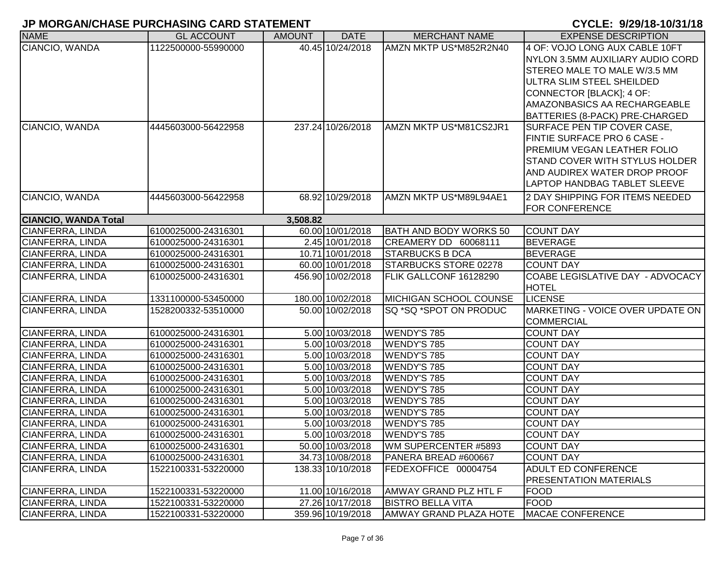| <b>NAME</b>                 | <b>GL ACCOUNT</b>   | <b>AMOUNT</b> | <b>DATE</b>       | <b>MERCHANT NAME</b>     | <b>EXPENSE DESCRIPTION</b>            |
|-----------------------------|---------------------|---------------|-------------------|--------------------------|---------------------------------------|
| CIANCIO, WANDA              | 1122500000-55990000 |               | 40.45 10/24/2018  | AMZN MKTP US*M852R2N40   | 4 OF: VOJO LONG AUX CABLE 10FT        |
|                             |                     |               |                   |                          | NYLON 3.5MM AUXILIARY AUDIO CORD      |
|                             |                     |               |                   |                          | STEREO MALE TO MALE W/3.5 MM          |
|                             |                     |               |                   |                          | ULTRA SLIM STEEL SHEILDED             |
|                             |                     |               |                   |                          | CONNECTOR [BLACK]; 4 OF:              |
|                             |                     |               |                   |                          | AMAZONBASICS AA RECHARGEABLE          |
|                             |                     |               |                   |                          | BATTERIES (8-PACK) PRE-CHARGED        |
| CIANCIO, WANDA              | 4445603000-56422958 |               | 237.24 10/26/2018 | AMZN MKTP US*M81CS2JR1   | SURFACE PEN TIP COVER CASE,           |
|                             |                     |               |                   |                          | <b>FINTIE SURFACE PRO 6 CASE -</b>    |
|                             |                     |               |                   |                          | <b>PREMIUM VEGAN LEATHER FOLIO</b>    |
|                             |                     |               |                   |                          | <b>STAND COVER WITH STYLUS HOLDER</b> |
|                             |                     |               |                   |                          | AND AUDIREX WATER DROP PROOF          |
|                             |                     |               |                   |                          | <b>LAPTOP HANDBAG TABLET SLEEVE</b>   |
| CIANCIO, WANDA              | 4445603000-56422958 |               | 68.92 10/29/2018  | AMZN MKTP US*M89L94AE1   | 2 DAY SHIPPING FOR ITEMS NEEDED       |
|                             |                     |               |                   |                          | <b>FOR CONFERENCE</b>                 |
| <b>CIANCIO, WANDA Total</b> |                     | 3,508.82      |                   |                          |                                       |
| CIANFERRA, LINDA            | 6100025000-24316301 |               | 60.00 10/01/2018  | BATH AND BODY WORKS 50   | <b>COUNT DAY</b>                      |
| <b>CIANFERRA, LINDA</b>     | 6100025000-24316301 |               | 2.45 10/01/2018   | CREAMERY DD 60068111     | <b>BEVERAGE</b>                       |
| CIANFERRA, LINDA            | 6100025000-24316301 |               | 10.71 10/01/2018  | <b>STARBUCKS B DCA</b>   | <b>BEVERAGE</b>                       |
| CIANFERRA, LINDA            | 6100025000-24316301 |               | 60.00 10/01/2018  | STARBUCKS STORE 02278    | <b>COUNT DAY</b>                      |
| CIANFERRA, LINDA            | 6100025000-24316301 |               | 456.90 10/02/2018 | FLIK GALLCONF 16128290   | COABE LEGISLATIVE DAY - ADVOCACY      |
|                             |                     |               |                   |                          | <b>HOTEL</b>                          |
| CIANFERRA, LINDA            | 1331100000-53450000 |               | 180.00 10/02/2018 | MICHIGAN SCHOOL COUNSE   | <b>LICENSE</b>                        |
| CIANFERRA, LINDA            | 1528200332-53510000 |               | 50.00 10/02/2018  | SQ *SQ *SPOT ON PRODUC   | MARKETING - VOICE OVER UPDATE ON      |
|                             |                     |               |                   |                          | <b>COMMERCIAL</b>                     |
| CIANFERRA, LINDA            | 6100025000-24316301 |               | 5.00 10/03/2018   | <b>WENDY'S 785</b>       | <b>COUNT DAY</b>                      |
| CIANFERRA, LINDA            | 6100025000-24316301 |               | 5.00 10/03/2018   | <b>WENDY'S 785</b>       | <b>COUNT DAY</b>                      |
| CIANFERRA, LINDA            | 6100025000-24316301 |               | 5.00 10/03/2018   | <b>WENDY'S 785</b>       | <b>COUNT DAY</b>                      |
| CIANFERRA, LINDA            | 6100025000-24316301 |               | 5.00 10/03/2018   | <b>WENDY'S 785</b>       | <b>COUNT DAY</b>                      |
| CIANFERRA, LINDA            | 6100025000-24316301 |               | 5.00 10/03/2018   | <b>WENDY'S 785</b>       | <b>COUNT DAY</b>                      |
| CIANFERRA, LINDA            | 6100025000-24316301 |               | 5.00 10/03/2018   | <b>WENDY'S 785</b>       | <b>COUNT DAY</b>                      |
| CIANFERRA, LINDA            | 6100025000-24316301 |               | 5.00 10/03/2018   | <b>WENDY'S 785</b>       | <b>COUNT DAY</b>                      |
| CIANFERRA, LINDA            | 6100025000-24316301 |               | 5.00 10/03/2018   | WENDY'S 785              | <b>COUNT DAY</b>                      |
| CIANFERRA, LINDA            | 6100025000-24316301 |               | 5.00 10/03/2018   | <b>WENDY'S 785</b>       | <b>COUNT DAY</b>                      |
| CIANFERRA, LINDA            | 6100025000-24316301 |               | 5.00 10/03/2018   | <b>WENDY'S 785</b>       | <b>COUNT DAY</b>                      |
| CIANFERRA, LINDA            | 6100025000-24316301 |               | 50.00 10/03/2018  | WM SUPERCENTER #5893     | <b>COUNT DAY</b>                      |
| CIANFERRA, LINDA            | 6100025000-24316301 |               | 34.73 10/08/2018  | PANERA BREAD #600667     | <b>COUNT DAY</b>                      |
| CIANFERRA, LINDA            | 1522100331-53220000 |               | 138.33 10/10/2018 | FEDEXOFFICE 00004754     | <b>ADULT ED CONFERENCE</b>            |
|                             |                     |               |                   |                          | PRESENTATION MATERIALS                |
| <b>CIANFERRA, LINDA</b>     | 1522100331-53220000 |               | 11.00 10/16/2018  | AMWAY GRAND PLZ HTL F    | <b>FOOD</b>                           |
| CIANFERRA, LINDA            | 1522100331-53220000 |               | 27.26 10/17/2018  | <b>BISTRO BELLA VITA</b> | <b>FOOD</b>                           |
| CIANFERRA, LINDA            | 1522100331-53220000 |               | 359.96 10/19/2018 | AMWAY GRAND PLAZA HOTE   | <b>MACAE CONFERENCE</b>               |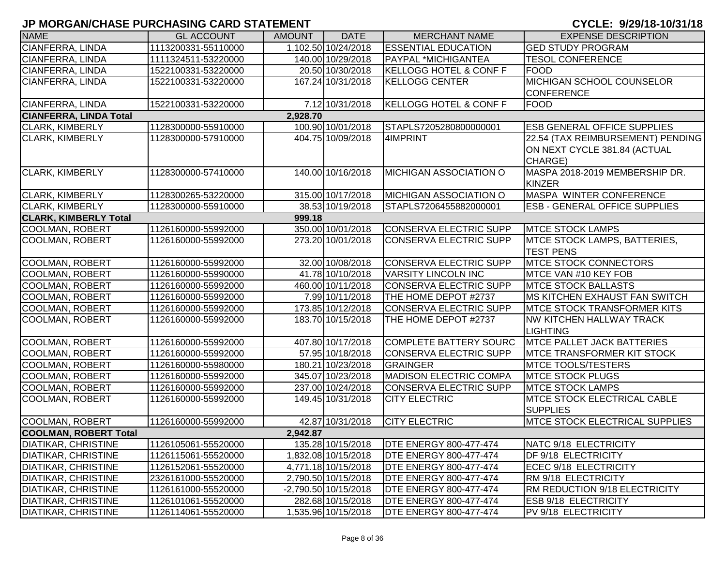| <b>NAME</b>                   | <b>GL ACCOUNT</b>   | <b>AMOUNT</b> | <b>DATE</b>            | <b>MERCHANT NAME</b>              | <b>EXPENSE DESCRIPTION</b>            |
|-------------------------------|---------------------|---------------|------------------------|-----------------------------------|---------------------------------------|
| CIANFERRA, LINDA              | 1113200331-55110000 |               | 1,102.50 10/24/2018    | <b>ESSENTIAL EDUCATION</b>        | <b>GED STUDY PROGRAM</b>              |
| <b>CIANFERRA, LINDA</b>       | 1111324511-53220000 |               | 140.00 10/29/2018      | <b>PAYPAL *MICHIGANTEA</b>        | <b>TESOL CONFERENCE</b>               |
| CIANFERRA, LINDA              | 1522100331-53220000 |               | 20.50 10/30/2018       | <b>KELLOGG HOTEL &amp; CONF F</b> | <b>FOOD</b>                           |
| CIANFERRA, LINDA              | 1522100331-53220000 |               | 167.24 10/31/2018      | <b>KELLOGG CENTER</b>             | <b>MICHIGAN SCHOOL COUNSELOR</b>      |
|                               |                     |               |                        |                                   | <b>CONFERENCE</b>                     |
| CIANFERRA, LINDA              | 1522100331-53220000 |               | 7.12 10/31/2018        | KELLOGG HOTEL & CONF F            | <b>FOOD</b>                           |
| <b>CIANFERRA, LINDA Total</b> |                     | 2,928.70      |                        |                                   |                                       |
| <b>CLARK, KIMBERLY</b>        | 1128300000-55910000 |               | 100.90 10/01/2018      | STAPLS7205280800000001            | <b>ESB GENERAL OFFICE SUPPLIES</b>    |
| <b>CLARK, KIMBERLY</b>        | 1128300000-57910000 |               | 404.75 10/09/2018      | 4IMPRINT                          | 22.54 (TAX REIMBURSEMENT) PENDING     |
|                               |                     |               |                        |                                   | ON NEXT CYCLE 381.84 (ACTUAL          |
|                               |                     |               |                        |                                   | CHARGE)                               |
| <b>CLARK, KIMBERLY</b>        | 1128300000-57410000 |               | 140.00 10/16/2018      | <b>MICHIGAN ASSOCIATION O</b>     | MASPA 2018-2019 MEMBERSHIP DR.        |
|                               |                     |               |                        |                                   | <b>KINZER</b>                         |
| <b>CLARK, KIMBERLY</b>        | 1128300265-53220000 |               | 315.00 10/17/2018      | MICHIGAN ASSOCIATION O            | <b>MASPA WINTER CONFERENCE</b>        |
| <b>CLARK, KIMBERLY</b>        | 1128300000-55910000 |               | 38.53 10/19/2018       | STAPLS7206455882000001            | <b>ESB - GENERAL OFFICE SUPPLIES</b>  |
| <b>CLARK, KIMBERLY Total</b>  |                     | 999.18        |                        |                                   |                                       |
| <b>COOLMAN, ROBERT</b>        | 1126160000-55992000 |               | 350.00 10/01/2018      | CONSERVA ELECTRIC SUPP            | <b>MTCE STOCK LAMPS</b>               |
| <b>COOLMAN, ROBERT</b>        | 1126160000-55992000 |               | 273.20 10/01/2018      | CONSERVA ELECTRIC SUPP            | <b>IMTCE STOCK LAMPS, BATTERIES,</b>  |
|                               |                     |               |                        |                                   | <b>TEST PENS</b>                      |
| <b>COOLMAN, ROBERT</b>        | 1126160000-55992000 |               | 32.00 10/08/2018       | CONSERVA ELECTRIC SUPP            | <b>MTCE STOCK CONNECTORS</b>          |
| <b>COOLMAN, ROBERT</b>        | 1126160000-55990000 |               | 41.78 10/10/2018       | VARSITY LINCOLN INC               | MTCE VAN #10 KEY FOB                  |
| <b>COOLMAN, ROBERT</b>        | 1126160000-55992000 |               | 460.00 10/11/2018      | CONSERVA ELECTRIC SUPP            | <b>MTCE STOCK BALLASTS</b>            |
| <b>COOLMAN, ROBERT</b>        | 1126160000-55992000 |               | 7.99 10/11/2018        | THE HOME DEPOT #2737              | <b>MS KITCHEN EXHAUST FAN SWITCH</b>  |
| <b>COOLMAN, ROBERT</b>        | 1126160000-55992000 |               | 173.85 10/12/2018      | CONSERVA ELECTRIC SUPP            | <b>IMTCE STOCK TRANSFORMER KITS</b>   |
| <b>COOLMAN, ROBERT</b>        | 1126160000-55992000 |               | 183.70 10/15/2018      | THE HOME DEPOT #2737              | NW KITCHEN HALLWAY TRACK              |
|                               |                     |               |                        |                                   | <b>LIGHTING</b>                       |
| <b>COOLMAN, ROBERT</b>        | 1126160000-55992000 |               | 407.80 10/17/2018      | COMPLETE BATTERY SOURC            | <b>MTCE PALLET JACK BATTERIES</b>     |
| <b>COOLMAN, ROBERT</b>        | 1126160000-55992000 |               | 57.95 10/18/2018       | <b>CONSERVA ELECTRIC SUPP</b>     | <b>IMTCE TRANSFORMER KIT STOCK</b>    |
| <b>COOLMAN, ROBERT</b>        | 1126160000-55980000 |               | 180.21 10/23/2018      | <b>GRAINGER</b>                   | <b>MTCE TOOLS/TESTERS</b>             |
| <b>COOLMAN, ROBERT</b>        | 1126160000-55992000 |               | 345.07 10/23/2018      | <b>MADISON ELECTRIC COMPA</b>     | <b>MTCE STOCK PLUGS</b>               |
| <b>COOLMAN, ROBERT</b>        | 1126160000-55992000 |               | 237.00 10/24/2018      | <b>CONSERVA ELECTRIC SUPP</b>     | <b>MTCE STOCK LAMPS</b>               |
| <b>COOLMAN, ROBERT</b>        | 1126160000-55992000 |               | 149.45 10/31/2018      | <b>CITY ELECTRIC</b>              | <b>MTCE STOCK ELECTRICAL CABLE</b>    |
|                               |                     |               |                        |                                   | <b>SUPPLIES</b>                       |
| <b>COOLMAN, ROBERT</b>        | 1126160000-55992000 |               | 42.87 10/31/2018       | <b>CITY ELECTRIC</b>              | <b>MTCE STOCK ELECTRICAL SUPPLIES</b> |
| <b>COOLMAN, ROBERT Total</b>  |                     | 2,942.87      |                        |                                   |                                       |
| DIATIKAR, CHRISTINE           | 1126105061-55520000 |               | 135.28 10/15/2018      | <b>DTE ENERGY 800-477-474</b>     | NATC 9/18 ELECTRICITY                 |
| <b>DIATIKAR, CHRISTINE</b>    | 1126115061-55520000 |               | 1,832.08 10/15/2018    | <b>DTE ENERGY 800-477-474</b>     | DF 9/18 ELECTRICITY                   |
| <b>DIATIKAR, CHRISTINE</b>    | 1126152061-55520000 |               | 4,771.18 10/15/2018    | <b>DTE ENERGY 800-477-474</b>     | ECEC 9/18 ELECTRICITY                 |
| <b>DIATIKAR, CHRISTINE</b>    | 2326161000-55520000 |               | 2,790.50 10/15/2018    | <b>DTE ENERGY 800-477-474</b>     | RM 9/18 ELECTRICITY                   |
| <b>DIATIKAR, CHRISTINE</b>    | 1126161000-55520000 |               | $-2,790.50$ 10/15/2018 | <b>DTE ENERGY 800-477-474</b>     | RM REDUCTION 9/18 ELECTRICITY         |
| <b>DIATIKAR, CHRISTINE</b>    | 1126101061-55520000 |               | 282.68 10/15/2018      | <b>DTE ENERGY 800-477-474</b>     | <b>ESB 9/18 ELECTRICITY</b>           |
| <b>DIATIKAR, CHRISTINE</b>    | 1126114061-55520000 |               | 1,535.96 10/15/2018    | <b>DTE ENERGY 800-477-474</b>     | PV 9/18 ELECTRICITY                   |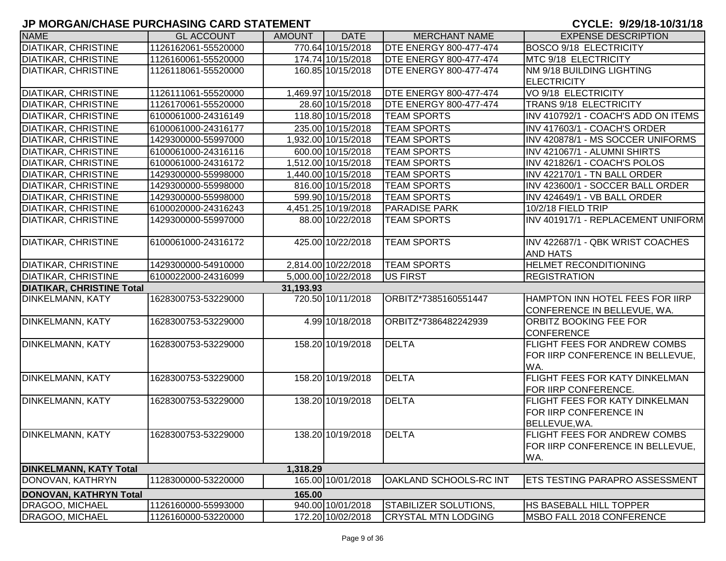| <b>NAME</b>                      | <b>GL ACCOUNT</b>   | <b>AMOUNT</b> | <b>DATE</b>         | <b>MERCHANT NAME</b>          | <b>EXPENSE DESCRIPTION</b>            |
|----------------------------------|---------------------|---------------|---------------------|-------------------------------|---------------------------------------|
| DIATIKAR, CHRISTINE              | 1126162061-55520000 |               | 770.64 10/15/2018   | <b>DTE ENERGY 800-477-474</b> | <b>BOSCO 9/18 ELECTRICITY</b>         |
| <b>DIATIKAR, CHRISTINE</b>       | 1126160061-55520000 |               | 174.74 10/15/2018   | <b>DTE ENERGY 800-477-474</b> | MTC 9/18 ELECTRICITY                  |
| DIATIKAR, CHRISTINE              | 1126118061-55520000 |               | 160.85 10/15/2018   | <b>DTE ENERGY 800-477-474</b> | NM 9/18 BUILDING LIGHTING             |
|                                  |                     |               |                     |                               | <b>ELECTRICITY</b>                    |
| DIATIKAR, CHRISTINE              | 1126111061-55520000 |               | 1,469.97 10/15/2018 | <b>DTE ENERGY 800-477-474</b> | VO 9/18 ELECTRICITY                   |
| DIATIKAR, CHRISTINE              | 1126170061-55520000 |               | 28.60 10/15/2018    | <b>DTE ENERGY 800-477-474</b> | TRANS 9/18 ELECTRICITY                |
| DIATIKAR, CHRISTINE              | 6100061000-24316149 |               | 118.80 10/15/2018   | <b>TEAM SPORTS</b>            | INV 410792/1 - COACH'S ADD ON ITEMS   |
| <b>DIATIKAR, CHRISTINE</b>       | 6100061000-24316177 |               | 235.00 10/15/2018   | <b>TEAM SPORTS</b>            | INV 417603/1 - COACH'S ORDER          |
| <b>DIATIKAR, CHRISTINE</b>       | 1429300000-55997000 |               | 1,932.00 10/15/2018 | <b>TEAM SPORTS</b>            | INV 420878/1 - MS SOCCER UNIFORMS     |
| DIATIKAR, CHRISTINE              | 6100061000-24316116 |               | 600.00 10/15/2018   | <b>TEAM SPORTS</b>            | INV 421067/1 - ALUMNI SHIRTS          |
| DIATIKAR, CHRISTINE              | 6100061000-24316172 |               | 1,512.00 10/15/2018 | <b>TEAM SPORTS</b>            | INV 421826/1 - COACH'S POLOS          |
| DIATIKAR, CHRISTINE              | 1429300000-55998000 |               | 1,440.00 10/15/2018 | <b>TEAM SPORTS</b>            | INV 422170/1 - TN BALL ORDER          |
| DIATIKAR, CHRISTINE              | 1429300000-55998000 |               | 816.00 10/15/2018   | <b>TEAM SPORTS</b>            | INV 423600/1 - SOCCER BALL ORDER      |
| DIATIKAR, CHRISTINE              | 1429300000-55998000 |               | 599.90 10/15/2018   | <b>TEAM SPORTS</b>            | INV 424649/1 - VB BALL ORDER          |
| <b>DIATIKAR, CHRISTINE</b>       | 6100020000-24316243 |               | 4,451.25 10/19/2018 | <b>PARADISE PARK</b>          | 10/2/18 FIELD TRIP                    |
| <b>DIATIKAR, CHRISTINE</b>       | 1429300000-55997000 |               | 88.00 10/22/2018    | <b>TEAM SPORTS</b>            | INV 401917/1 - REPLACEMENT UNIFORM    |
|                                  |                     |               |                     |                               |                                       |
| DIATIKAR, CHRISTINE              | 6100061000-24316172 |               | 425.00 10/22/2018   | <b>TEAM SPORTS</b>            | INV 422687/1 - QBK WRIST COACHES      |
|                                  |                     |               |                     |                               | <b>AND HATS</b>                       |
| DIATIKAR, CHRISTINE              | 1429300000-54910000 |               | 2,814.00 10/22/2018 | <b>TEAM SPORTS</b>            | <b>HELMET RECONDITIONING</b>          |
| <b>DIATIKAR, CHRISTINE</b>       | 6100022000-24316099 |               | 5,000.00 10/22/2018 | US FIRST                      | <b>REGISTRATION</b>                   |
| <b>DIATIKAR, CHRISTINE Total</b> |                     | 31,193.93     |                     |                               |                                       |
| DINKELMANN, KATY                 | 1628300753-53229000 |               | 720.50 10/11/2018   | ORBITZ*7385160551447          | HAMPTON INN HOTEL FEES FOR IIRP       |
|                                  |                     |               |                     |                               | CONFERENCE IN BELLEVUE, WA.           |
| <b>DINKELMANN, KATY</b>          | 1628300753-53229000 |               | 4.99 10/18/2018     | ORBITZ*7386482242939          | ORBITZ BOOKING FEE FOR                |
|                                  |                     |               |                     |                               | <b>CONFERENCE</b>                     |
| <b>DINKELMANN, KATY</b>          | 1628300753-53229000 |               | 158.20 10/19/2018   | <b>DELTA</b>                  | FLIGHT FEES FOR ANDREW COMBS          |
|                                  |                     |               |                     |                               | FOR IIRP CONFERENCE IN BELLEVUE,      |
|                                  |                     |               |                     |                               | WA.                                   |
| DINKELMANN, KATY                 | 1628300753-53229000 |               | 158.20 10/19/2018   | <b>DELTA</b>                  | FLIGHT FEES FOR KATY DINKELMAN        |
|                                  |                     |               |                     |                               | FOR IIRP CONFERENCE.                  |
| <b>DINKELMANN, KATY</b>          | 1628300753-53229000 |               | 138.20 10/19/2018   | <b>DELTA</b>                  | <b>FLIGHT FEES FOR KATY DINKELMAN</b> |
|                                  |                     |               |                     |                               | FOR IIRP CONFERENCE IN                |
| <b>DINKELMANN, KATY</b>          | 1628300753-53229000 |               | 138.20 10/19/2018   | <b>DELTA</b>                  | BELLEVUE, WA.                         |
|                                  |                     |               |                     |                               | <b>FLIGHT FEES FOR ANDREW COMBS</b>   |
|                                  |                     |               |                     |                               | FOR IIRP CONFERENCE IN BELLEVUE,      |
| <b>DINKELMANN, KATY Total</b>    |                     | 1,318.29      |                     |                               | WA.                                   |
| DONOVAN, KATHRYN                 | 1128300000-53220000 |               | 165.00 10/01/2018   | OAKLAND SCHOOLS-RC INT        | <b>ETS TESTING PARAPRO ASSESSMENT</b> |
|                                  |                     |               |                     |                               |                                       |
| <b>DONOVAN, KATHRYN Total</b>    |                     | 165.00        |                     |                               |                                       |
| DRAGOO, MICHAEL                  | 1126160000-55993000 |               | 940.00 10/01/2018   | STABILIZER SOLUTIONS,         | <b>HS BASEBALL HILL TOPPER</b>        |
| DRAGOO, MICHAEL                  | 1126160000-53220000 |               | 172.20 10/02/2018   | <b>CRYSTAL MTN LODGING</b>    | MSBO FALL 2018 CONFERENCE             |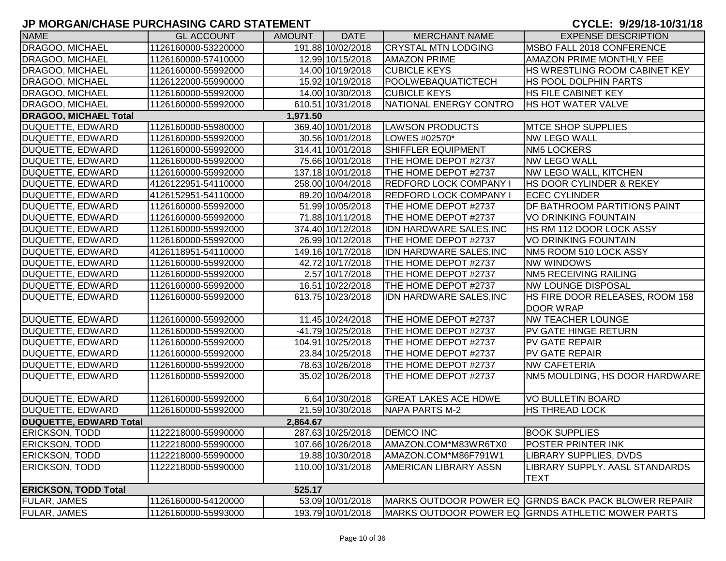| <b>NAME</b>                   | <b>GL ACCOUNT</b>   | <b>AMOUNT</b> | <b>DATE</b>       | <b>MERCHANT NAME</b>           | <b>EXPENSE DESCRIPTION</b>                           |
|-------------------------------|---------------------|---------------|-------------------|--------------------------------|------------------------------------------------------|
| DRAGOO, MICHAEL               | 1126160000-53220000 |               | 191.88 10/02/2018 | <b>CRYSTAL MTN LODGING</b>     | MSBO FALL 2018 CONFERENCE                            |
| DRAGOO, MICHAEL               | 1126160000-57410000 |               | 12.99 10/15/2018  | <b>AMAZON PRIME</b>            | AMAZON PRIME MONTHLY FEE                             |
| DRAGOO, MICHAEL               | 1126160000-55992000 |               | 14.00 10/19/2018  | <b>CUBICLE KEYS</b>            | HS WRESTLING ROOM CABINET KEY                        |
| DRAGOO, MICHAEL               | 1126122000-55990000 |               | 15.92 10/19/2018  | POOLWEBAQUATICTECH             | <b>HS POOL DOLPHIN PARTS</b>                         |
| <b>DRAGOO, MICHAEL</b>        | 1126160000-55992000 |               | 14.00 10/30/2018  | <b>CUBICLE KEYS</b>            | <b>HS FILE CABINET KEY</b>                           |
| <b>DRAGOO, MICHAEL</b>        | 1126160000-55992000 |               | 610.51 10/31/2018 | NATIONAL ENERGY CONTRO         | <b>HS HOT WATER VALVE</b>                            |
| <b>DRAGOO, MICHAEL Total</b>  |                     | 1,971.50      |                   |                                |                                                      |
| DUQUETTE, EDWARD              | 1126160000-55980000 |               | 369.40 10/01/2018 | <b>LAWSON PRODUCTS</b>         | <b>MTCE SHOP SUPPLIES</b>                            |
| <b>DUQUETTE, EDWARD</b>       | 1126160000-55992000 |               | 30.56 10/01/2018  | LOWES #02570*                  | <b>NW LEGO WALL</b>                                  |
| <b>DUQUETTE, EDWARD</b>       | 1126160000-55992000 |               | 314.41 10/01/2018 | <b>SHIFFLER EQUIPMENT</b>      | <b>NM5 LOCKERS</b>                                   |
| <b>DUQUETTE, EDWARD</b>       | 1126160000-55992000 |               | 75.66 10/01/2018  | THE HOME DEPOT #2737           | <b>NW LEGO WALL</b>                                  |
| <b>DUQUETTE, EDWARD</b>       | 1126160000-55992000 |               | 137.18 10/01/2018 | THE HOME DEPOT #2737           | <b>NW LEGO WALL, KITCHEN</b>                         |
| <b>DUQUETTE, EDWARD</b>       | 4126122951-54110000 |               | 258.00 10/04/2018 | <b>REDFORD LOCK COMPANY I</b>  | <b>HS DOOR CYLINDER &amp; REKEY</b>                  |
| <b>DUQUETTE, EDWARD</b>       | 4126152951-54110000 |               | 89.20 10/04/2018  | <b>REDFORD LOCK COMPANY I</b>  | <b>ECEC CYLINDER</b>                                 |
| DUQUETTE, EDWARD              | 1126160000-55992000 |               | 51.99 10/05/2018  | THE HOME DEPOT #2737           | DF BATHROOM PARTITIONS PAINT                         |
| <b>DUQUETTE, EDWARD</b>       | 1126160000-55992000 |               | 71.88 10/11/2018  | THE HOME DEPOT #2737           | <b>VO DRINKING FOUNTAIN</b>                          |
| <b>DUQUETTE, EDWARD</b>       | 1126160000-55992000 |               | 374.40 10/12/2018 | <b>IDN HARDWARE SALES, INC</b> | HS RM 112 DOOR LOCK ASSY                             |
| <b>DUQUETTE, EDWARD</b>       | 1126160000-55992000 |               | 26.99 10/12/2018  | THE HOME DEPOT #2737           | <b>VO DRINKING FOUNTAIN</b>                          |
| DUQUETTE, EDWARD              | 4126118951-54110000 |               | 149.16 10/17/2018 | <b>IDN HARDWARE SALES, INC</b> | NM5 ROOM 510 LOCK ASSY                               |
| DUQUETTE, EDWARD              | 1126160000-55992000 |               | 42.72 10/17/2018  | THE HOME DEPOT #2737           | <b>NW WINDOWS</b>                                    |
| DUQUETTE, EDWARD              | 1126160000-55992000 |               | 2.57 10/17/2018   | THE HOME DEPOT #2737           | <b>NM5 RECEIVING RAILING</b>                         |
| DUQUETTE, EDWARD              | 1126160000-55992000 |               | 16.51 10/22/2018  | THE HOME DEPOT #2737           | <b>NW LOUNGE DISPOSAL</b>                            |
| DUQUETTE, EDWARD              | 1126160000-55992000 |               | 613.75 10/23/2018 | <b>IDN HARDWARE SALES, INC</b> | <b>HS FIRE DOOR RELEASES, ROOM 158</b>               |
|                               |                     |               |                   |                                | <b>DOOR WRAP</b>                                     |
| DUQUETTE, EDWARD              | 1126160000-55992000 |               | 11.45 10/24/2018  | THE HOME DEPOT #2737           | <b>NW TEACHER LOUNGE</b>                             |
| <b>DUQUETTE, EDWARD</b>       | 1126160000-55992000 |               | -41.79 10/25/2018 | THE HOME DEPOT #2737           | <b>PV GATE HINGE RETURN</b>                          |
| <b>DUQUETTE, EDWARD</b>       | 1126160000-55992000 |               | 104.91 10/25/2018 | THE HOME DEPOT #2737           | <b>PV GATE REPAIR</b>                                |
| <b>DUQUETTE, EDWARD</b>       | 1126160000-55992000 |               | 23.84 10/25/2018  | THE HOME DEPOT #2737           | <b>PV GATE REPAIR</b>                                |
| <b>DUQUETTE, EDWARD</b>       | 1126160000-55992000 |               | 78.63 10/26/2018  | THE HOME DEPOT #2737           | <b>NW CAFETERIA</b>                                  |
| <b>DUQUETTE, EDWARD</b>       | 1126160000-55992000 |               | 35.02 10/26/2018  | THE HOME DEPOT #2737           | NM5 MOULDING, HS DOOR HARDWARE                       |
|                               |                     |               |                   |                                |                                                      |
| DUQUETTE, EDWARD              | 1126160000-55992000 |               | 6.64 10/30/2018   | <b>GREAT LAKES ACE HDWE</b>    | <b>VO BULLETIN BOARD</b>                             |
| DUQUETTE, EDWARD              | 1126160000-55992000 |               | 21.59 10/30/2018  | NAPA PARTS M-2                 | <b>HS THREAD LOCK</b>                                |
| <b>DUQUETTE, EDWARD Total</b> |                     | 2,864.67      |                   |                                |                                                      |
| <b>ERICKSON, TODD</b>         | 1122218000-55990000 |               | 287.63 10/25/2018 | <b>DEMCO INC</b>               | <b>BOOK SUPPLIES</b>                                 |
| <b>ERICKSON, TODD</b>         | 1122218000-55990000 |               | 107.66 10/26/2018 | AMAZON.COM*M83WR6TX0           | <b>POSTER PRINTER INK</b>                            |
| <b>ERICKSON, TODD</b>         | 1122218000-55990000 |               | 19.88 10/30/2018  | AMAZON.COM*M86F791W1           | LIBRARY SUPPLIES, DVDS                               |
| <b>ERICKSON, TODD</b>         | 1122218000-55990000 |               | 110.00 10/31/2018 | <b>AMERICAN LIBRARY ASSN</b>   | LIBRARY SUPPLY. AASL STANDARDS                       |
|                               |                     |               |                   |                                | <b>TEXT</b>                                          |
| <b>ERICKSON, TODD Total</b>   |                     | 525.17        |                   |                                |                                                      |
| <b>FULAR, JAMES</b>           | 1126160000-54120000 |               | 53.09 10/01/2018  |                                | MARKS OUTDOOR POWER EQ GRNDS BACK PACK BLOWER REPAIR |
| <b>FULAR, JAMES</b>           | 1126160000-55993000 |               | 193.79 10/01/2018 |                                | MARKS OUTDOOR POWER EQ GRNDS ATHLETIC MOWER PARTS    |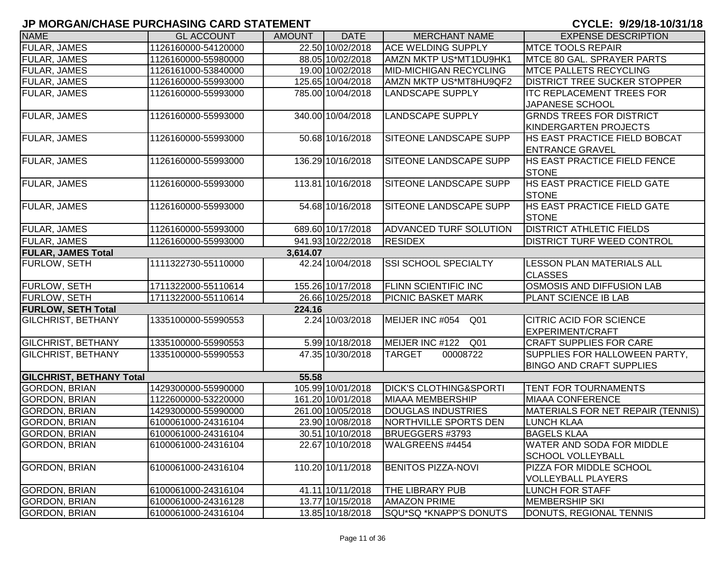| <b>NAME</b>                     | <b>GL ACCOUNT</b>   | <b>AMOUNT</b> | <b>DATE</b>       | <b>MERCHANT NAME</b>               | <b>EXPENSE DESCRIPTION</b>          |
|---------------------------------|---------------------|---------------|-------------------|------------------------------------|-------------------------------------|
| FULAR, JAMES                    | 1126160000-54120000 |               | 22.50 10/02/2018  | <b>ACE WELDING SUPPLY</b>          | <b>MTCE TOOLS REPAIR</b>            |
| <b>FULAR, JAMES</b>             | 1126160000-55980000 |               | 88.05 10/02/2018  | AMZN MKTP US*MT1DU9HK1             | MTCE 80 GAL. SPRAYER PARTS          |
| <b>FULAR, JAMES</b>             | 1126161000-53840000 |               | 19.00 10/02/2018  | <b>MID-MICHIGAN RECYCLING</b>      | <b>MTCE PALLETS RECYCLING</b>       |
| <b>FULAR, JAMES</b>             | 1126160000-55993000 |               | 125.65 10/04/2018 | AMZN MKTP US*MT8HU9QF2             | <b>DISTRICT TREE SUCKER STOPPER</b> |
| FULAR, JAMES                    | 1126160000-55993000 |               | 785.00 10/04/2018 | <b>LANDSCAPE SUPPLY</b>            | <b>ITC REPLACEMENT TREES FOR</b>    |
|                                 |                     |               |                   |                                    | JAPANESE SCHOOL                     |
| <b>FULAR, JAMES</b>             | 1126160000-55993000 |               | 340.00 10/04/2018 | <b>LANDSCAPE SUPPLY</b>            | <b>GRNDS TREES FOR DISTRICT</b>     |
|                                 |                     |               |                   |                                    | KINDERGARTEN PROJECTS               |
| FULAR, JAMES                    | 1126160000-55993000 |               | 50.68 10/16/2018  | SITEONE LANDSCAPE SUPP             | HS EAST PRACTICE FIELD BOBCAT       |
|                                 |                     |               |                   |                                    | <b>ENTRANCE GRAVEL</b>              |
| <b>FULAR, JAMES</b>             | 1126160000-55993000 |               | 136.29 10/16/2018 | SITEONE LANDSCAPE SUPP             | HS EAST PRACTICE FIELD FENCE        |
|                                 |                     |               |                   |                                    | <b>STONE</b>                        |
| <b>FULAR, JAMES</b>             | 1126160000-55993000 |               | 113.81 10/16/2018 | SITEONE LANDSCAPE SUPP             | HS EAST PRACTICE FIELD GATE         |
|                                 |                     |               |                   |                                    | <b>STONE</b>                        |
| FULAR, JAMES                    | 1126160000-55993000 |               | 54.68 10/16/2018  | SITEONE LANDSCAPE SUPP             | HS EAST PRACTICE FIELD GATE         |
|                                 |                     |               |                   |                                    | <b>STONE</b>                        |
| FULAR, JAMES                    | 1126160000-55993000 |               | 689.60 10/17/2018 | <b>ADVANCED TURF SOLUTION</b>      | <b>DISTRICT ATHLETIC FIELDS</b>     |
| <b>FULAR, JAMES</b>             | 1126160000-55993000 |               | 941.93 10/22/2018 | <b>RESIDEX</b>                     | <b>DISTRICT TURF WEED CONTROL</b>   |
| <b>FULAR, JAMES Total</b>       |                     | 3,614.07      |                   |                                    |                                     |
| <b>FURLOW, SETH</b>             | 1111322730-55110000 |               | 42.24 10/04/2018  | <b>SSI SCHOOL SPECIALTY</b>        | <b>LESSON PLAN MATERIALS ALL</b>    |
|                                 |                     |               |                   |                                    | <b>CLASSES</b>                      |
| FURLOW, SETH                    | 1711322000-55110614 |               | 155.26 10/17/2018 | <b>FLINN SCIENTIFIC INC</b>        | OSMOSIS AND DIFFUSION LAB           |
| FURLOW, SETH                    | 1711322000-55110614 |               | 26.66 10/25/2018  | <b>PICNIC BASKET MARK</b>          | PLANT SCIENCE IB LAB                |
| <b>FURLOW, SETH Total</b>       |                     | 224.16        |                   |                                    |                                     |
| <b>GILCHRIST, BETHANY</b>       | 1335100000-55990553 |               | 2.24 10/03/2018   | MEIJER INC #054<br>Q <sub>01</sub> | <b>CITRIC ACID FOR SCIENCE</b>      |
|                                 |                     |               |                   |                                    | <b>EXPERIMENT/CRAFT</b>             |
| <b>GILCHRIST, BETHANY</b>       | 1335100000-55990553 |               | 5.99 10/18/2018   | MEIJER INC #122<br>Q <sub>01</sub> | <b>CRAFT SUPPLIES FOR CARE</b>      |
| <b>GILCHRIST, BETHANY</b>       | 1335100000-55990553 |               | 47.35 10/30/2018  | <b>TARGET</b><br>00008722          | SUPPLIES FOR HALLOWEEN PARTY,       |
|                                 |                     |               |                   |                                    | <b>BINGO AND CRAFT SUPPLIES</b>     |
| <b>GILCHRIST, BETHANY Total</b> |                     | 55.58         |                   |                                    |                                     |
| <b>GORDON, BRIAN</b>            | 1429300000-55990000 |               | 105.99 10/01/2018 | <b>DICK'S CLOTHING&amp;SPORTI</b>  | TENT FOR TOURNAMENTS                |
| <b>GORDON, BRIAN</b>            | 1122600000-53220000 |               | 161.20 10/01/2018 | <b>MIAAA MEMBERSHIP</b>            | <b>MIAAA CONFERENCE</b>             |
| <b>GORDON, BRIAN</b>            | 1429300000-55990000 |               | 261.00 10/05/2018 | <b>DOUGLAS INDUSTRIES</b>          | MATERIALS FOR NET REPAIR (TENNIS)   |
| <b>GORDON, BRIAN</b>            | 6100061000-24316104 |               | 23.90 10/08/2018  | NORTHVILLE SPORTS DEN              | <b>LUNCH KLAA</b>                   |
| <b>GORDON, BRIAN</b>            | 6100061000-24316104 |               | 30.51 10/10/2018  | BRUEGGERS #3793                    | <b>BAGELS KLAA</b>                  |
| <b>GORDON, BRIAN</b>            | 6100061000-24316104 |               | 22.67 10/10/2018  | WALGREENS #4454                    | <b>WATER AND SODA FOR MIDDLE</b>    |
|                                 |                     |               |                   |                                    | <b>SCHOOL VOLLEYBALL</b>            |
| <b>GORDON, BRIAN</b>            | 6100061000-24316104 |               | 110.20 10/11/2018 | <b>BENITOS PIZZA-NOVI</b>          | PIZZA FOR MIDDLE SCHOOL             |
|                                 |                     |               |                   |                                    | <b>VOLLEYBALL PLAYERS</b>           |
| <b>GORDON, BRIAN</b>            | 6100061000-24316104 |               | 41.11 10/11/2018  | THE LIBRARY PUB                    | LUNCH FOR STAFF                     |
| <b>GORDON, BRIAN</b>            | 6100061000-24316128 |               | 13.77 10/15/2018  | <b>AMAZON PRIME</b>                | <b>MEMBERSHIP SKI</b>               |
| <b>GORDON, BRIAN</b>            | 6100061000-24316104 |               | 13.85 10/18/2018  | SQU*SQ *KNAPP'S DONUTS             | DONUTS, REGIONAL TENNIS             |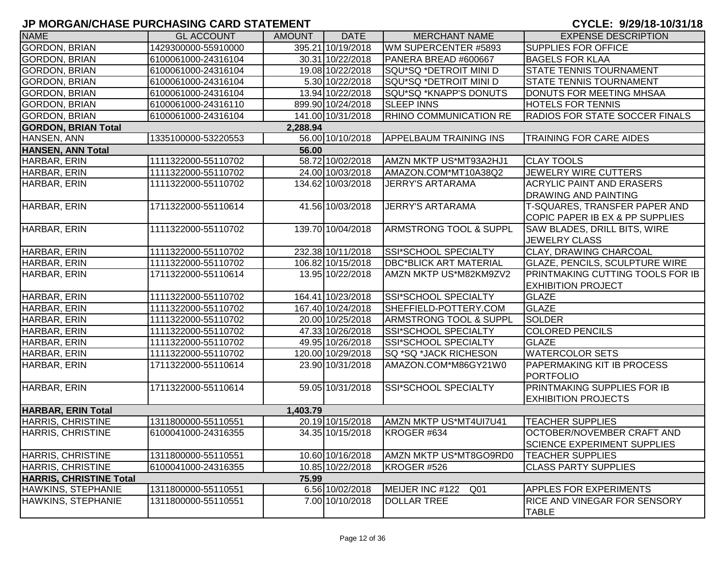| <b>NAME</b>                    | <b>GL ACCOUNT</b>   | <b>AMOUNT</b> | <b>DATE</b>       | <b>MERCHANT NAME</b>              | <b>EXPENSE DESCRIPTION</b>                   |
|--------------------------------|---------------------|---------------|-------------------|-----------------------------------|----------------------------------------------|
| <b>GORDON, BRIAN</b>           | 1429300000-55910000 |               | 395.21 10/19/2018 | WM SUPERCENTER #5893              | <b>SUPPLIES FOR OFFICE</b>                   |
| <b>GORDON, BRIAN</b>           | 6100061000-24316104 |               | 30.31 10/22/2018  | PANERA BREAD #600667              | <b>BAGELS FOR KLAA</b>                       |
| <b>GORDON, BRIAN</b>           | 6100061000-24316104 |               | 19.08 10/22/2018  | SQU*SQ *DETROIT MINI D            | <b>STATE TENNIS TOURNAMENT</b>               |
| <b>GORDON, BRIAN</b>           | 6100061000-24316104 |               | 5.30 10/22/2018   | SQU*SQ *DETROIT MINI D            | <b>STATE TENNIS TOURNAMENT</b>               |
| <b>GORDON, BRIAN</b>           | 6100061000-24316104 |               | 13.94 10/22/2018  | SQU*SQ *KNAPP'S DONUTS            | DONUTS FOR MEETING MHSAA                     |
| <b>GORDON, BRIAN</b>           | 6100061000-24316110 |               | 899.90 10/24/2018 | <b>SLEEP INNS</b>                 | <b>HOTELS FOR TENNIS</b>                     |
| <b>GORDON, BRIAN</b>           | 6100061000-24316104 |               | 141.00 10/31/2018 | <b>RHINO COMMUNICATION RE</b>     | <b>RADIOS FOR STATE SOCCER FINALS</b>        |
| <b>GORDON, BRIAN Total</b>     |                     | 2,288.94      |                   |                                   |                                              |
| HANSEN, ANN                    | 1335100000-53220553 |               | 56.00 10/10/2018  | <b>APPELBAUM TRAINING INS</b>     | <b>TRAINING FOR CARE AIDES</b>               |
| <b>HANSEN, ANN Total</b>       |                     | 56.00         |                   |                                   |                                              |
| HARBAR, ERIN                   | 1111322000-55110702 |               | 58.72 10/02/2018  | AMZN MKTP US*MT93A2HJ1            | <b>CLAY TOOLS</b>                            |
| HARBAR, ERIN                   | 1111322000-55110702 |               | 24.00 10/03/2018  | AMAZON.COM*MT10A38Q2              | JEWELRY WIRE CUTTERS                         |
| HARBAR, ERIN                   | 1111322000-55110702 |               | 134.62 10/03/2018 | <b>JERRY'S ARTARAMA</b>           | <b>ACRYLIC PAINT AND ERASERS</b>             |
|                                |                     |               |                   |                                   | <b>DRAWING AND PAINTING</b>                  |
| HARBAR, ERIN                   | 1711322000-55110614 |               | 41.56 10/03/2018  | <b>JERRY'S ARTARAMA</b>           | T-SQUARES, TRANSFER PAPER AND                |
|                                |                     |               |                   |                                   | COPIC PAPER IB EX & PP SUPPLIES              |
| HARBAR, ERIN                   | 1111322000-55110702 |               | 139.70 10/04/2018 | ARMSTRONG TOOL & SUPPL            | SAW BLADES, DRILL BITS, WIRE                 |
|                                |                     |               |                   |                                   | <b>JEWELRY CLASS</b>                         |
| HARBAR, ERIN                   | 1111322000-55110702 |               | 232.38 10/11/2018 | <b>SSI*SCHOOL SPECIALTY</b>       | <b>CLAY, DRAWING CHARCOAL</b>                |
| HARBAR, ERIN                   | 1111322000-55110702 |               | 106.82 10/15/2018 | <b>DBC*BLICK ART MATERIAL</b>     | <b>GLAZE, PENCILS, SCULPTURE WIRE</b>        |
| HARBAR, ERIN                   | 1711322000-55110614 |               | 13.95 10/22/2018  | AMZN MKTP US*M82KM9ZV2            | PRINTMAKING CUTTING TOOLS FOR IB             |
|                                |                     |               |                   |                                   | <b>EXHIBITION PROJECT</b>                    |
| HARBAR, ERIN                   | 1111322000-55110702 |               | 164.41 10/23/2018 | SSI*SCHOOL SPECIALTY              | <b>GLAZE</b>                                 |
| HARBAR, ERIN                   | 1111322000-55110702 |               | 167.40 10/24/2018 | SHEFFIELD-POTTERY.COM             | <b>GLAZE</b>                                 |
| HARBAR, ERIN                   | 1111322000-55110702 |               | 20.00 10/25/2018  | <b>ARMSTRONG TOOL &amp; SUPPL</b> | <b>SOLDER</b>                                |
| HARBAR, ERIN                   | 1111322000-55110702 |               | 47.33 10/26/2018  | SSI*SCHOOL SPECIALTY              | <b>COLORED PENCILS</b>                       |
| HARBAR, ERIN                   | 1111322000-55110702 |               | 49.95 10/26/2018  | SSI*SCHOOL SPECIALTY              | <b>GLAZE</b>                                 |
| HARBAR, ERIN                   | 1111322000-55110702 |               | 120.00 10/29/2018 | SQ *SQ *JACK RICHESON             | <b>WATERCOLOR SETS</b>                       |
| HARBAR, ERIN                   | 1711322000-55110614 |               | 23.90 10/31/2018  | AMAZON.COM*M86GY21W0              | PAPERMAKING KIT IB PROCESS                   |
|                                |                     |               |                   |                                   | <b>PORTFOLIO</b>                             |
| HARBAR, ERIN                   | 1711322000-55110614 |               | 59.05 10/31/2018  | <b>SSI*SCHOOL SPECIALTY</b>       | PRINTMAKING SUPPLIES FOR IB                  |
|                                |                     |               |                   |                                   | <b>EXHIBITION PROJECTS</b>                   |
| <b>HARBAR, ERIN Total</b>      |                     | 1,403.79      |                   |                                   |                                              |
| <b>HARRIS, CHRISTINE</b>       | 1311800000-55110551 |               | 20.19 10/15/2018  | AMZN MKTP US*MT4UI7U41            | <b>TEACHER SUPPLIES</b>                      |
| HARRIS, CHRISTINE              | 6100041000-24316355 |               | 34.35 10/15/2018  | KROGER #634                       | OCTOBER/NOVEMBER CRAFT AND                   |
|                                |                     |               |                   |                                   | <b>SCIENCE EXPERIMENT SUPPLIES</b>           |
| <b>HARRIS, CHRISTINE</b>       | 1311800000-55110551 |               | 10.60 10/16/2018  | AMZN MKTP US*MT8GO9RD0            | <b>TEACHER SUPPLIES</b>                      |
| HARRIS, CHRISTINE              | 6100041000-24316355 |               | 10.85 10/22/2018  | KROGER #526                       | <b>CLASS PARTY SUPPLIES</b>                  |
| <b>HARRIS, CHRISTINE Total</b> |                     | 75.99         |                   |                                   |                                              |
| HAWKINS, STEPHANIE             | 1311800000-55110551 |               | 6.56 10/02/2018   | MEIJER INC #122<br>Q01            | <b>APPLES FOR EXPERIMENTS</b>                |
| HAWKINS, STEPHANIE             | 1311800000-55110551 |               | 7.00 10/10/2018   | <b>DOLLAR TREE</b>                | RICE AND VINEGAR FOR SENSORY<br><b>TABLE</b> |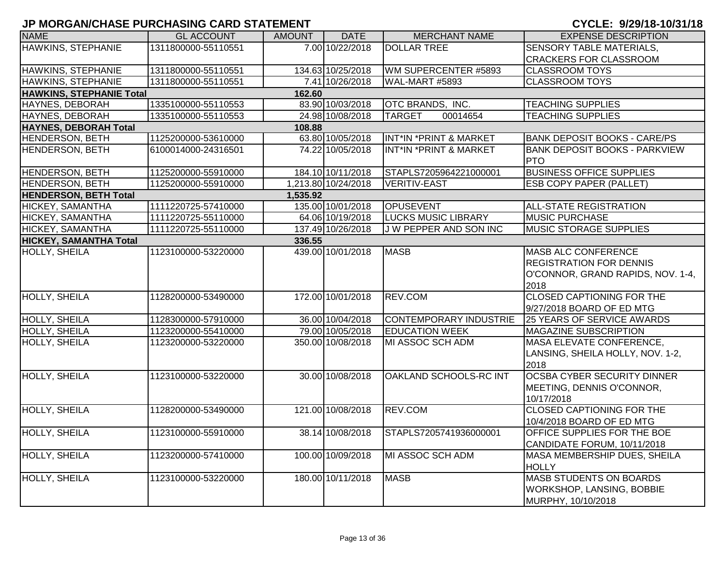| <b>NAME</b>                     | <b>GL ACCOUNT</b>   | <b>AMOUNT</b> | <b>DATE</b>         | <b>MERCHANT NAME</b>              | <b>EXPENSE DESCRIPTION</b>                                                                                |  |  |  |  |  |
|---------------------------------|---------------------|---------------|---------------------|-----------------------------------|-----------------------------------------------------------------------------------------------------------|--|--|--|--|--|
| HAWKINS, STEPHANIE              | 1311800000-55110551 |               | 7.00 10/22/2018     | <b>DOLLAR TREE</b>                | SENSORY TABLE MATERIALS,                                                                                  |  |  |  |  |  |
|                                 |                     |               |                     |                                   | <b>CRACKERS FOR CLASSROOM</b>                                                                             |  |  |  |  |  |
| HAWKINS, STEPHANIE              | 1311800000-55110551 |               | 134.63 10/25/2018   | WM SUPERCENTER #5893              | <b>CLASSROOM TOYS</b>                                                                                     |  |  |  |  |  |
| HAWKINS, STEPHANIE              | 1311800000-55110551 |               | 7.41 10/26/2018     | WAL-MART #5893                    | <b>CLASSROOM TOYS</b>                                                                                     |  |  |  |  |  |
| <b>HAWKINS, STEPHANIE Total</b> | 162.60              |               |                     |                                   |                                                                                                           |  |  |  |  |  |
| HAYNES, DEBORAH                 | 1335100000-55110553 |               | 83.90 10/03/2018    | OTC BRANDS, INC.                  | <b>TEACHING SUPPLIES</b>                                                                                  |  |  |  |  |  |
| HAYNES, DEBORAH                 | 1335100000-55110553 |               | 24.98 10/08/2018    | 00014654<br><b>TARGET</b>         | <b>TEACHING SUPPLIES</b>                                                                                  |  |  |  |  |  |
| <b>HAYNES, DEBORAH Total</b>    |                     | 108.88        |                     |                                   |                                                                                                           |  |  |  |  |  |
| <b>HENDERSON, BETH</b>          | 1125200000-53610000 |               | 63.80 10/05/2018    | INT*IN *PRINT & MARKET            | <b>BANK DEPOSIT BOOKS - CARE/PS</b>                                                                       |  |  |  |  |  |
| <b>HENDERSON, BETH</b>          | 6100014000-24316501 |               | 74.22 10/05/2018    | <b>INT*IN *PRINT &amp; MARKET</b> | <b>BANK DEPOSIT BOOKS - PARKVIEW</b><br><b>PTO</b>                                                        |  |  |  |  |  |
| <b>HENDERSON, BETH</b>          | 1125200000-55910000 |               | 184.10 10/11/2018   | STAPLS7205964221000001            | <b>BUSINESS OFFICE SUPPLIES</b>                                                                           |  |  |  |  |  |
| <b>HENDERSON, BETH</b>          | 1125200000-55910000 |               | 1,213.80 10/24/2018 | <b>VERITIV-EAST</b>               | <b>ESB COPY PAPER (PALLET)</b>                                                                            |  |  |  |  |  |
| <b>HENDERSON, BETH Total</b>    |                     | 1,535.92      |                     |                                   |                                                                                                           |  |  |  |  |  |
| HICKEY, SAMANTHA                | 1111220725-57410000 |               | 135.00 10/01/2018   | <b>OPUSEVENT</b>                  | <b>ALL-STATE REGISTRATION</b>                                                                             |  |  |  |  |  |
| HICKEY, SAMANTHA                | 1111220725-55110000 |               | 64.06 10/19/2018    | <b>LUCKS MUSIC LIBRARY</b>        | <b>MUSIC PURCHASE</b>                                                                                     |  |  |  |  |  |
| HICKEY, SAMANTHA                | 1111220725-55110000 |               | 137.49 10/26/2018   | <b>JW PEPPER AND SON INC</b>      | <b>MUSIC STORAGE SUPPLIES</b>                                                                             |  |  |  |  |  |
| <b>HICKEY, SAMANTHA Total</b>   |                     | 336.55        |                     |                                   |                                                                                                           |  |  |  |  |  |
| HOLLY, SHEILA                   | 1123100000-53220000 |               | 439.00 10/01/2018   | <b>MASB</b>                       | <b>MASB ALC CONFERENCE</b><br><b>REGISTRATION FOR DENNIS</b><br>O'CONNOR, GRAND RAPIDS, NOV. 1-4,<br>2018 |  |  |  |  |  |
| <b>HOLLY, SHEILA</b>            | 1128200000-53490000 |               | 172.00 10/01/2018   | REV.COM                           | <b>CLOSED CAPTIONING FOR THE</b><br>9/27/2018 BOARD OF ED MTG                                             |  |  |  |  |  |
| <b>HOLLY, SHEILA</b>            | 1128300000-57910000 |               | 36.00 10/04/2018    | <b>CONTEMPORARY INDUSTRIE</b>     | <b>25 YEARS OF SERVICE AWARDS</b>                                                                         |  |  |  |  |  |
| <b>HOLLY, SHEILA</b>            | 1123200000-55410000 |               | 79.00 10/05/2018    | <b>EDUCATION WEEK</b>             | <b>MAGAZINE SUBSCRIPTION</b>                                                                              |  |  |  |  |  |
| HOLLY, SHEILA                   | 1123200000-53220000 |               | 350.00 10/08/2018   | MI ASSOC SCH ADM                  | MASA ELEVATE CONFERENCE,<br>LANSING, SHEILA HOLLY, NOV. 1-2,<br>2018                                      |  |  |  |  |  |
| <b>HOLLY, SHEILA</b>            | 1123100000-53220000 |               | 30.00 10/08/2018    | OAKLAND SCHOOLS-RC INT            | <b>OCSBA CYBER SECURITY DINNER</b><br>MEETING, DENNIS O'CONNOR,<br>10/17/2018                             |  |  |  |  |  |
| <b>HOLLY, SHEILA</b>            | 1128200000-53490000 |               | 121.00 10/08/2018   | REV.COM                           | <b>CLOSED CAPTIONING FOR THE</b><br>10/4/2018 BOARD OF ED MTG                                             |  |  |  |  |  |
| <b>HOLLY, SHEILA</b>            | 1123100000-55910000 |               | 38.14 10/08/2018    | STAPLS7205741936000001            | OFFICE SUPPLIES FOR THE BOE<br>CANDIDATE FORUM, 10/11/2018                                                |  |  |  |  |  |
| <b>HOLLY, SHEILA</b>            | 1123200000-57410000 |               | 100.00 10/09/2018   | MI ASSOC SCH ADM                  | MASA MEMBERSHIP DUES, SHEILA<br><b>HOLLY</b>                                                              |  |  |  |  |  |
| <b>HOLLY, SHEILA</b>            | 1123100000-53220000 |               | 180.00 10/11/2018   | <b>MASB</b>                       | <b>MASB STUDENTS ON BOARDS</b><br>WORKSHOP, LANSING, BOBBIE<br>MURPHY, 10/10/2018                         |  |  |  |  |  |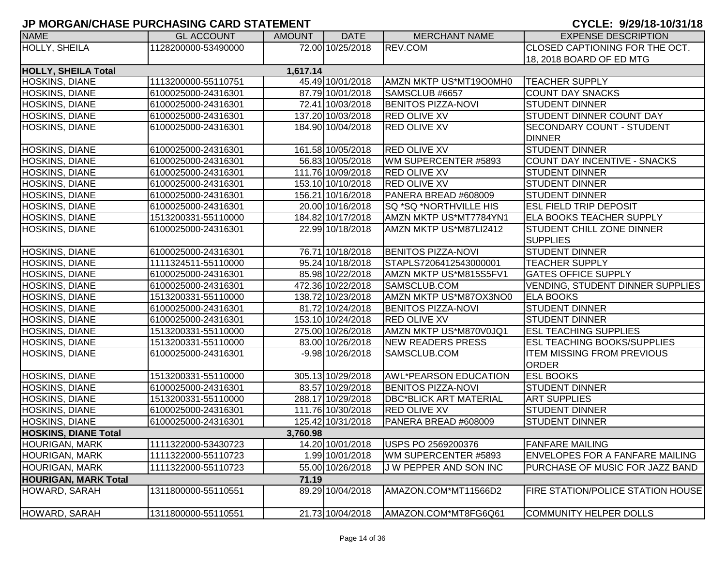| <b>NAME</b>                 | <b>GL ACCOUNT</b>   | <b>AMOUNT</b> | <b>DATE</b>        | <b>MERCHANT NAME</b>          | <b>EXPENSE DESCRIPTION</b>               |
|-----------------------------|---------------------|---------------|--------------------|-------------------------------|------------------------------------------|
| HOLLY, SHEILA               | 1128200000-53490000 |               | 72.00 10/25/2018   | REV.COM                       | CLOSED CAPTIONING FOR THE OCT.           |
|                             |                     |               |                    |                               | 18, 2018 BOARD OF ED MTG                 |
| <b>HOLLY, SHEILA Total</b>  |                     | 1,617.14      |                    |                               |                                          |
| <b>HOSKINS, DIANE</b>       | 1113200000-55110751 |               | 45.49 10/01/2018   | AMZN MKTP US*MT19O0MH0        | <b>TEACHER SUPPLY</b>                    |
| <b>HOSKINS, DIANE</b>       | 6100025000-24316301 |               | 87.79 10/01/2018   | SAMSCLUB #6657                | <b>COUNT DAY SNACKS</b>                  |
| <b>HOSKINS, DIANE</b>       | 6100025000-24316301 |               | 72.41 10/03/2018   | <b>BENITOS PIZZA-NOVI</b>     | <b>STUDENT DINNER</b>                    |
| <b>HOSKINS, DIANE</b>       | 6100025000-24316301 |               | 137.20 10/03/2018  | <b>RED OLIVE XV</b>           | <b>STUDENT DINNER COUNT DAY</b>          |
| <b>HOSKINS, DIANE</b>       | 6100025000-24316301 |               | 184.90 10/04/2018  | <b>RED OLIVE XV</b>           | <b>SECONDARY COUNT - STUDENT</b>         |
|                             |                     |               |                    |                               | <b>DINNER</b>                            |
| <b>HOSKINS, DIANE</b>       | 6100025000-24316301 |               | 161.58 10/05/2018  | <b>RED OLIVE XV</b>           | <b>STUDENT DINNER</b>                    |
| HOSKINS, DIANE              | 6100025000-24316301 |               | 56.83 10/05/2018   | WM SUPERCENTER #5893          | COUNT DAY INCENTIVE - SNACKS             |
| HOSKINS, DIANE              | 6100025000-24316301 |               | 111.76 10/09/2018  | <b>RED OLIVE XV</b>           | <b>STUDENT DINNER</b>                    |
| <b>HOSKINS, DIANE</b>       | 6100025000-24316301 |               | 153.10 10/10/2018  | <b>RED OLIVE XV</b>           | <b>STUDENT DINNER</b>                    |
| <b>HOSKINS, DIANE</b>       | 6100025000-24316301 |               | 156.21 10/16/2018  | PANERA BREAD #608009          | <b>STUDENT DINNER</b>                    |
| <b>HOSKINS, DIANE</b>       | 6100025000-24316301 |               | 20.00 10/16/2018   | SQ *SQ *NORTHVILLE HIS        | <b>ESL FIELD TRIP DEPOSIT</b>            |
| <b>HOSKINS, DIANE</b>       | 1513200331-55110000 |               | 184.82 10/17/2018  | AMZN MKTP US*MT7784YN1        | <b>ELA BOOKS TEACHER SUPPLY</b>          |
| <b>HOSKINS, DIANE</b>       | 6100025000-24316301 |               | 22.99 10/18/2018   | AMZN MKTP US*M87LI2412        | <b>STUDENT CHILL ZONE DINNER</b>         |
|                             |                     |               |                    |                               | <b>SUPPLIES</b>                          |
| <b>HOSKINS, DIANE</b>       | 6100025000-24316301 |               | 76.71 10/18/2018   | <b>BENITOS PIZZA-NOVI</b>     | <b>STUDENT DINNER</b>                    |
| <b>HOSKINS, DIANE</b>       | 1111324511-55110000 |               | 95.24 10/18/2018   | STAPLS7206412543000001        | <b>TEACHER SUPPLY</b>                    |
| HOSKINS, DIANE              | 6100025000-24316301 |               | 85.98 10/22/2018   | AMZN MKTP US*M815S5FV1        | <b>GATES OFFICE SUPPLY</b>               |
| <b>HOSKINS, DIANE</b>       | 6100025000-24316301 |               | 472.36 10/22/2018  | SAMSCLUB.COM                  | VENDING, STUDENT DINNER SUPPLIES         |
| <b>HOSKINS, DIANE</b>       | 1513200331-55110000 |               | 138.72 10/23/2018  | AMZN MKTP US*M87OX3NO0        | <b>ELA BOOKS</b>                         |
| <b>HOSKINS, DIANE</b>       | 6100025000-24316301 |               | 81.72 10/24/2018   | <b>BENITOS PIZZA-NOVI</b>     | <b>STUDENT DINNER</b>                    |
| <b>HOSKINS, DIANE</b>       | 6100025000-24316301 |               | 153.10 10/24/2018  | <b>RED OLIVE XV</b>           | <b>STUDENT DINNER</b>                    |
| <b>HOSKINS, DIANE</b>       | 1513200331-55110000 |               | 275.00 10/26/2018  | AMZN MKTP US*M870V0JQ1        | <b>ESL TEACHING SUPPLIES</b>             |
| <b>HOSKINS, DIANE</b>       | 1513200331-55110000 |               | 83.00 10/26/2018   | NEW READERS PRESS             | <b>ESL TEACHING BOOKS/SUPPLIES</b>       |
| <b>HOSKINS, DIANE</b>       | 6100025000-24316301 |               | $-9.98$ 10/26/2018 | SAMSCLUB.COM                  | <b>ITEM MISSING FROM PREVIOUS</b>        |
|                             |                     |               |                    |                               | <b>ORDER</b>                             |
| <b>HOSKINS, DIANE</b>       | 1513200331-55110000 |               | 305.13 10/29/2018  | <b>AWL*PEARSON EDUCATION</b>  | <b>ESL BOOKS</b>                         |
| <b>HOSKINS, DIANE</b>       | 6100025000-24316301 |               | 83.57 10/29/2018   | <b>BENITOS PIZZA-NOVI</b>     | <b>STUDENT DINNER</b>                    |
| <b>HOSKINS, DIANE</b>       | 1513200331-55110000 |               | 288.17 10/29/2018  | <b>DBC*BLICK ART MATERIAL</b> | <b>ART SUPPLIES</b>                      |
| <b>HOSKINS, DIANE</b>       | 6100025000-24316301 |               | 111.76 10/30/2018  | <b>RED OLIVE XV</b>           | <b>STUDENT DINNER</b>                    |
| <b>HOSKINS, DIANE</b>       | 6100025000-24316301 |               | 125.42 10/31/2018  | PANERA BREAD #608009          | <b>STUDENT DINNER</b>                    |
| <b>HOSKINS, DIANE Total</b> |                     | 3,760.98      |                    |                               |                                          |
| <b>HOURIGAN, MARK</b>       | 1111322000-53430723 |               | 14.20 10/01/2018   | USPS PO 2569200376            | <b>FANFARE MAILING</b>                   |
| <b>HOURIGAN, MARK</b>       | 1111322000-55110723 |               | 1.99 10/01/2018    | WM SUPERCENTER #5893          | <b>ENVELOPES FOR A FANFARE MAILING</b>   |
| <b>HOURIGAN, MARK</b>       | 1111322000-55110723 |               | 55.00 10/26/2018   | J W PEPPER AND SON INC        | PURCHASE OF MUSIC FOR JAZZ BAND          |
| <b>HOURIGAN, MARK Total</b> |                     | 71.19         |                    |                               |                                          |
| HOWARD, SARAH               | 1311800000-55110551 |               | 89.29 10/04/2018   | AMAZON.COM*MT11566D2          | <b>FIRE STATION/POLICE STATION HOUSE</b> |
| <b>HOWARD, SARAH</b>        | 1311800000-55110551 |               | 21.73 10/04/2018   | AMAZON.COM*MT8FG6Q61          | <b>COMMUNITY HELPER DOLLS</b>            |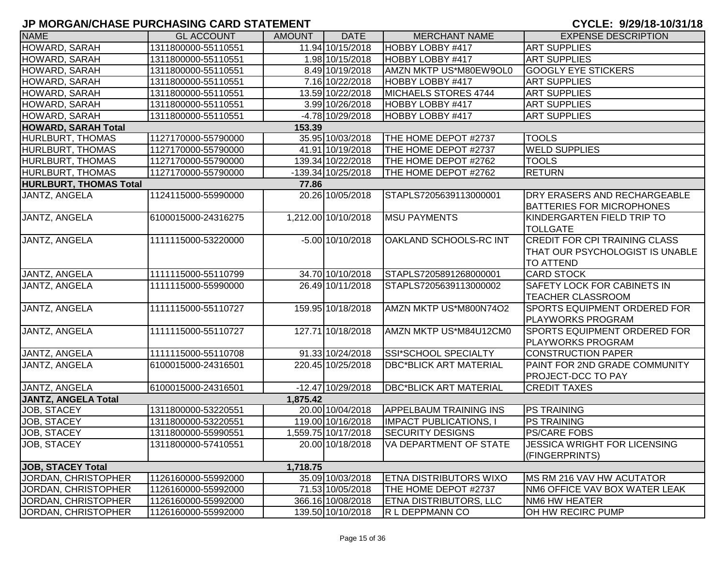| <b>NAME</b>                   | <b>GL ACCOUNT</b>   | <b>AMOUNT</b> | <b>DATE</b>         | <b>MERCHANT NAME</b>          | <b>EXPENSE DESCRIPTION</b>                                                                  |
|-------------------------------|---------------------|---------------|---------------------|-------------------------------|---------------------------------------------------------------------------------------------|
| HOWARD, SARAH                 | 1311800000-55110551 |               | 11.94 10/15/2018    | HOBBY LOBBY #417              | <b>ART SUPPLIES</b>                                                                         |
| HOWARD, SARAH                 | 1311800000-55110551 |               | 1.98 10/15/2018     | HOBBY LOBBY #417              | <b>ART SUPPLIES</b>                                                                         |
| HOWARD, SARAH                 | 1311800000-55110551 |               | 8.49 10/19/2018     | AMZN MKTP US*M80EW9OL0        | <b>GOOGLY EYE STICKERS</b>                                                                  |
| HOWARD, SARAH                 | 1311800000-55110551 |               | 7.16 10/22/2018     | HOBBY LOBBY #417              | <b>ART SUPPLIES</b>                                                                         |
| HOWARD, SARAH                 | 1311800000-55110551 |               | 13.59 10/22/2018    | MICHAELS STORES 4744          | <b>ART SUPPLIES</b>                                                                         |
| HOWARD, SARAH                 | 1311800000-55110551 |               | 3.99 10/26/2018     | HOBBY LOBBY #417              | <b>ART SUPPLIES</b>                                                                         |
| <b>HOWARD, SARAH</b>          | 1311800000-55110551 |               | -4.78 10/29/2018    | HOBBY LOBBY #417              | <b>ART SUPPLIES</b>                                                                         |
| <b>HOWARD, SARAH Total</b>    |                     | 153.39        |                     |                               |                                                                                             |
| HURLBURT, THOMAS              | 1127170000-55790000 |               | 35.95 10/03/2018    | THE HOME DEPOT #2737          | <b>TOOLS</b>                                                                                |
| HURLBURT, THOMAS              | 1127170000-55790000 |               | 41.91 10/19/2018    | THE HOME DEPOT #2737          | <b>WELD SUPPLIES</b>                                                                        |
| HURLBURT, THOMAS              | 1127170000-55790000 |               | 139.34 10/22/2018   | THE HOME DEPOT #2762          | <b>TOOLS</b>                                                                                |
| <b>HURLBURT, THOMAS</b>       | 1127170000-55790000 |               | -139.34 10/25/2018  | THE HOME DEPOT #2762          | <b>RETURN</b>                                                                               |
| <b>HURLBURT, THOMAS Total</b> |                     | 77.86         |                     |                               |                                                                                             |
| JANTZ, ANGELA                 | 1124115000-55990000 |               | 20.26 10/05/2018    | STAPLS7205639113000001        | <b>DRY ERASERS AND RECHARGEABLE</b><br><b>BATTERIES FOR MICROPHONES</b>                     |
| JANTZ, ANGELA                 | 6100015000-24316275 |               | 1,212.00 10/10/2018 | <b>MSU PAYMENTS</b>           | KINDERGARTEN FIELD TRIP TO<br><b>TOLLGATE</b>                                               |
| JANTZ, ANGELA                 | 1111115000-53220000 |               | $-5.00$ 10/10/2018  | OAKLAND SCHOOLS-RC INT        | <b>CREDIT FOR CPI TRAINING CLASS</b><br>THAT OUR PSYCHOLOGIST IS UNABLE<br><b>TO ATTEND</b> |
| JANTZ, ANGELA                 | 1111115000-55110799 |               | 34.70 10/10/2018    | STAPLS7205891268000001        | <b>CARD STOCK</b>                                                                           |
| JANTZ, ANGELA                 | 1111115000-55990000 |               | 26.49 10/11/2018    | STAPLS7205639113000002        | SAFETY LOCK FOR CABINETS IN<br><b>TEACHER CLASSROOM</b>                                     |
| JANTZ, ANGELA                 | 1111115000-55110727 |               | 159.95 10/18/2018   | AMZN MKTP US*M800N74O2        | <b>SPORTS EQUIPMENT ORDERED FOR</b><br><b>PLAYWORKS PROGRAM</b>                             |
| JANTZ, ANGELA                 | 1111115000-55110727 |               | 127.71 10/18/2018   | AMZN MKTP US*M84U12CM0        | <b>SPORTS EQUIPMENT ORDERED FOR</b><br>PLAYWORKS PROGRAM                                    |
| JANTZ, ANGELA                 | 1111115000-55110708 |               | 91.33 10/24/2018    | SSI*SCHOOL SPECIALTY          | <b>CONSTRUCTION PAPER</b>                                                                   |
| JANTZ, ANGELA                 | 6100015000-24316501 |               | 220.45 10/25/2018   | <b>DBC*BLICK ART MATERIAL</b> | PAINT FOR 2ND GRADE COMMUNITY<br>PROJECT-DCC TO PAY                                         |
| <b>JANTZ, ANGELA</b>          | 6100015000-24316501 |               | -12.47 10/29/2018   | <b>DBC*BLICK ART MATERIAL</b> | <b>CREDIT TAXES</b>                                                                         |
| <b>JANTZ, ANGELA Total</b>    |                     | 1,875.42      |                     |                               |                                                                                             |
| <b>JOB, STACEY</b>            | 1311800000-53220551 |               | 20.00 10/04/2018    | <b>APPELBAUM TRAINING INS</b> | <b>PS TRAINING</b>                                                                          |
| JOB, STACEY                   | 1311800000-53220551 |               | 119.00 10/16/2018   | <b>IMPACT PUBLICATIONS, I</b> | <b>PS TRAINING</b>                                                                          |
| JOB, STACEY                   | 1311800000-55990551 |               | 1,559.75 10/17/2018 | <b>SECURITY DESIGNS</b>       | <b>PS/CARE FOBS</b>                                                                         |
| JOB, STACEY                   | 1311800000-57410551 |               | 20.00 10/18/2018    | IVA DEPARTMENT OF STATE       | <b>JESSICA WRIGHT FOR LICENSING</b><br>(FINGERPRINTS)                                       |
| <b>JOB, STACEY Total</b>      |                     | 1,718.75      |                     |                               |                                                                                             |
| JORDAN, CHRISTOPHER           | 1126160000-55992000 |               | 35.09 10/03/2018    | <b>ETNA DISTRIBUTORS WIXO</b> | MS RM 216 VAV HW ACUTATOR                                                                   |
| JORDAN, CHRISTOPHER           | 1126160000-55992000 |               | 71.53 10/05/2018    | THE HOME DEPOT #2737          | <b>NM6 OFFICE VAV BOX WATER LEAK</b>                                                        |
| JORDAN, CHRISTOPHER           | 1126160000-55992000 |               | 366.16 10/08/2018   | <b>ETNA DISTRIBUTORS, LLC</b> | NM6 HW HEATER                                                                               |
| JORDAN, CHRISTOPHER           | 1126160000-55992000 |               | 139.50 10/10/2018   | R L DEPPMANN CO               | OH HW RECIRC PUMP                                                                           |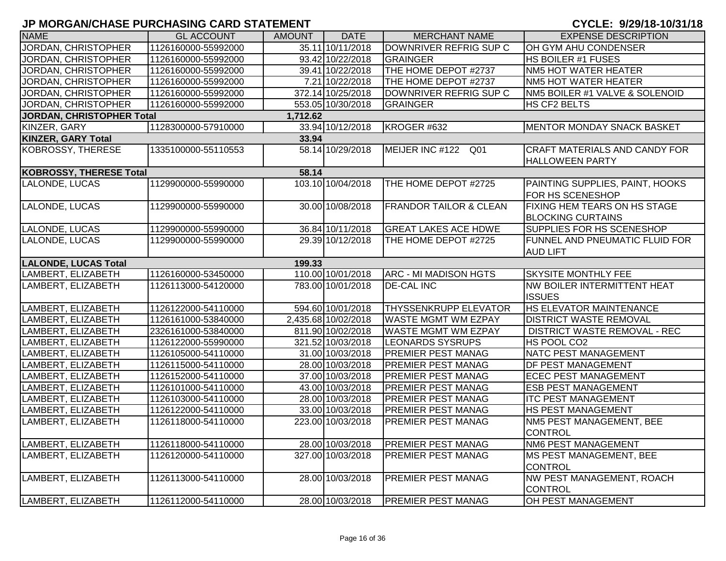| <b>NAME</b>                      | <b>GL ACCOUNT</b>   | AMOUNT   | <b>DATE</b>         | <b>MERCHANT NAME</b>              | <b>EXPENSE DESCRIPTION</b>                                      |
|----------------------------------|---------------------|----------|---------------------|-----------------------------------|-----------------------------------------------------------------|
| JORDAN, CHRISTOPHER              | 1126160000-55992000 |          | 35.11 10/11/2018    | DOWNRIVER REFRIG SUP C            | <b>OH GYM AHU CONDENSER</b>                                     |
| JORDAN, CHRISTOPHER              | 1126160000-55992000 |          | 93.42 10/22/2018    | GRAINGER                          | <b>HS BOILER #1 FUSES</b>                                       |
| JORDAN, CHRISTOPHER              | 1126160000-55992000 |          | 39.41 10/22/2018    | THE HOME DEPOT #2737              | NM5 HOT WATER HEATER                                            |
| JORDAN, CHRISTOPHER              | 1126160000-55992000 |          | 7.21 10/22/2018     | THE HOME DEPOT #2737              | NM5 HOT WATER HEATER                                            |
| JORDAN, CHRISTOPHER              | 1126160000-55992000 |          | 372.14 10/25/2018   | DOWNRIVER REFRIG SUP C            | NM5 BOILER #1 VALVE & SOLENOID                                  |
| JORDAN, CHRISTOPHER              | 1126160000-55992000 |          | 553.05 10/30/2018   | GRAINGER                          | HS CF2 BELTS                                                    |
| <b>JORDAN, CHRISTOPHER Total</b> |                     | 1,712.62 |                     |                                   |                                                                 |
| KINZER, GARY                     | 1128300000-57910000 |          | 33.94 10/12/2018    | KROGER #632                       | MENTOR MONDAY SNACK BASKET                                      |
| <b>KINZER, GARY Total</b>        |                     | 33.94    |                     |                                   |                                                                 |
| <b>KOBROSSY, THERESE</b>         | 1335100000-55110553 |          | 58.14 10/29/2018    | MEIJER INC #122 Q01               | <b>CRAFT MATERIALS AND CANDY FOR</b><br>HALLOWEEN PARTY         |
| <b>KOBROSSY, THERESE Total</b>   |                     | 58.14    |                     |                                   |                                                                 |
| <b>LALONDE, LUCAS</b>            | 1129900000-55990000 |          | 103.10 10/04/2018   | THE HOME DEPOT #2725              | PAINTING SUPPLIES, PAINT, HOOKS<br>FOR HS SCENESHOP             |
| LALONDE, LUCAS                   | 1129900000-55990000 |          | 30.00 10/08/2018    | <b>FRANDOR TAILOR &amp; CLEAN</b> | <b>FIXING HEM TEARS ON HS STAGE</b><br><b>BLOCKING CURTAINS</b> |
| LALONDE, LUCAS                   | 1129900000-55990000 |          | 36.84 10/11/2018    | <b>GREAT LAKES ACE HDWE</b>       | <b>SUPPLIES FOR HS SCENESHOP</b>                                |
| LALONDE, LUCAS                   | 1129900000-55990000 |          | 29.39 10/12/2018    | THE HOME DEPOT #2725              | FUNNEL AND PNEUMATIC FLUID FOR<br><b>AUD LIFT</b>               |
| <b>LALONDE, LUCAS Total</b>      |                     | 199.33   |                     |                                   |                                                                 |
| LAMBERT, ELIZABETH               | 1126160000-53450000 |          | 110.00 10/01/2018   | ARC - MI MADISON HGTS             | <b>SKYSITE MONTHLY FEE</b>                                      |
| LAMBERT, ELIZABETH               | 1126113000-54120000 |          | 783.00 10/01/2018   | <b>DE-CAL INC</b>                 | NW BOILER INTERMITTENT HEAT<br><b>ISSUES</b>                    |
| LAMBERT, ELIZABETH               | 1126122000-54110000 |          | 594.60 10/01/2018   | <b>THYSSENKRUPP ELEVATOR</b>      | <b>HS ELEVATOR MAINTENANCE</b>                                  |
| LAMBERT, ELIZABETH               | 1126161000-53840000 |          | 2,435.68 10/02/2018 | <b>WASTE MGMT WM EZPAY</b>        | <b>DISTRICT WASTE REMOVAL</b>                                   |
| LAMBERT, ELIZABETH               | 2326161000-53840000 |          | 811.90 10/02/2018   | <b>WASTE MGMT WM EZPAY</b>        | <b>DISTRICT WASTE REMOVAL - REC</b>                             |
| LAMBERT, ELIZABETH               | 1126122000-55990000 |          | 321.52 10/03/2018   | <b>LEONARDS SYSRUPS</b>           | HS POOL CO2                                                     |
| LAMBERT, ELIZABETH               | 1126105000-54110000 |          | 31.00 10/03/2018    | <b>PREMIER PEST MANAG</b>         | NATC PEST MANAGEMENT                                            |
| LAMBERT, ELIZABETH               | 1126115000-54110000 |          | 28.00 10/03/2018    | <b>PREMIER PEST MANAG</b>         | DF PEST MANAGEMENT                                              |
| LAMBERT, ELIZABETH               | 1126152000-54110000 |          | 37.00 10/03/2018    | <b>PREMIER PEST MANAG</b>         | <b>ECEC PEST MANAGEMENT</b>                                     |
| LAMBERT, ELIZABETH               | 1126101000-54110000 |          | 43.00 10/03/2018    | <b>PREMIER PEST MANAG</b>         | <b>ESB PEST MANAGEMENT</b>                                      |
| LAMBERT, ELIZABETH               | 1126103000-54110000 |          | 28.00 10/03/2018    | <b>PREMIER PEST MANAG</b>         | <b>ITC PEST MANAGEMENT</b>                                      |
| LAMBERT, ELIZABETH               | 1126122000-54110000 |          | 33.00 10/03/2018    | <b>PREMIER PEST MANAG</b>         | HS PEST MANAGEMENT                                              |
| LAMBERT, ELIZABETH               | 1126118000-54110000 |          | 223.00 10/03/2018   | <b>PREMIER PEST MANAG</b>         | NM5 PEST MANAGEMENT, BEE                                        |
|                                  |                     |          |                     |                                   | CONTROL                                                         |
| LAMBERT, ELIZABETH               | 1126118000-54110000 |          | 28.00 10/03/2018    | <b>PREMIER PEST MANAG</b>         | NM6 PEST MANAGEMENT                                             |
| LAMBERT, ELIZABETH               | 1126120000-54110000 |          | 327.00 10/03/2018   | <b>PREMIER PEST MANAG</b>         | MS PEST MANAGEMENT, BEE<br>CONTROL                              |
| LAMBERT, ELIZABETH               | 1126113000-54110000 |          | 28.00 10/03/2018    | <b>PREMIER PEST MANAG</b>         | NW PEST MANAGEMENT, ROACH<br><b>CONTROL</b>                     |
| LAMBERT, ELIZABETH               | 1126112000-54110000 |          | 28.00 10/03/2018    | <b>PREMIER PEST MANAG</b>         | OH PEST MANAGEMENT                                              |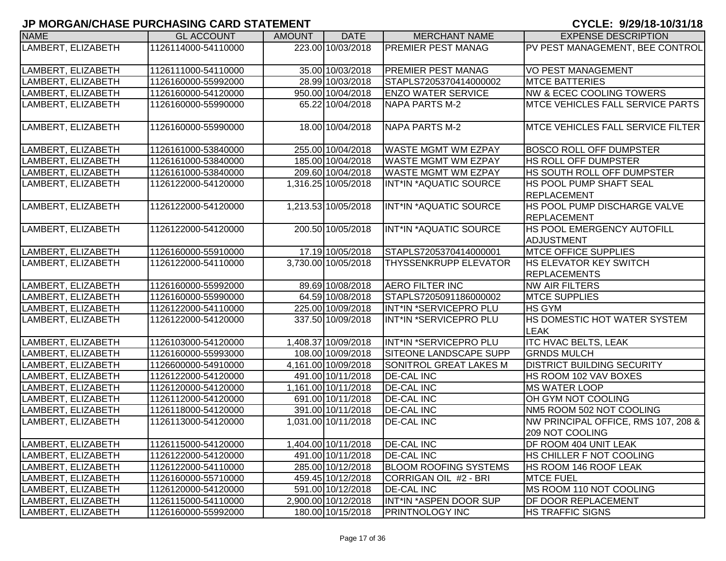| <b>NAME</b>        | <b>GL ACCOUNT</b>   | <b>AMOUNT</b> | <b>DATE</b>         | <b>MERCHANT NAME</b>         | <b>EXPENSE DESCRIPTION</b>                |
|--------------------|---------------------|---------------|---------------------|------------------------------|-------------------------------------------|
| LAMBERT, ELIZABETH | 1126114000-54110000 |               | 223.00 10/03/2018   | <b>PREMIER PEST MANAG</b>    | PV PEST MANAGEMENT, BEE CONTROL           |
|                    |                     |               |                     |                              |                                           |
| LAMBERT, ELIZABETH | 1126111000-54110000 |               | 35.00 10/03/2018    | <b>PREMIER PEST MANAG</b>    | <b>VO PEST MANAGEMENT</b>                 |
| LAMBERT, ELIZABETH | 1126160000-55992000 |               | 28.99 10/03/2018    | STAPLS7205370414000002       | <b>MTCE BATTERIES</b>                     |
| LAMBERT, ELIZABETH | 1126160000-54120000 |               | 950.00 10/04/2018   | <b>ENZO WATER SERVICE</b>    | <b>NW &amp; ECEC COOLING TOWERS</b>       |
| LAMBERT, ELIZABETH | 1126160000-55990000 |               | 65.22 10/04/2018    | <b>NAPA PARTS M-2</b>        | <b>MTCE VEHICLES FALL SERVICE PARTS</b>   |
|                    |                     |               |                     |                              |                                           |
| LAMBERT, ELIZABETH | 1126160000-55990000 |               | 18.00 10/04/2018    | <b>NAPA PARTS M-2</b>        | <b>IMTCE VEHICLES FALL SERVICE FILTER</b> |
|                    |                     |               |                     |                              |                                           |
| LAMBERT, ELIZABETH | 1126161000-53840000 |               | 255.00 10/04/2018   | <b>WASTE MGMT WM EZPAY</b>   | <b>BOSCO ROLL OFF DUMPSTER</b>            |
| LAMBERT, ELIZABETH | 1126161000-53840000 |               | 185.00 10/04/2018   | <b>WASTE MGMT WM EZPAY</b>   | <b>HS ROLL OFF DUMPSTER</b>               |
| LAMBERT, ELIZABETH | 1126161000-53840000 |               | 209.60 10/04/2018   | <b>WASTE MGMT WM EZPAY</b>   | HS SOUTH ROLL OFF DUMPSTER                |
| LAMBERT, ELIZABETH | 1126122000-54120000 |               | 1,316.25 10/05/2018 | INT*IN *AQUATIC SOURCE       | <b>HS POOL PUMP SHAFT SEAL</b>            |
|                    |                     |               |                     |                              | REPLACEMENT                               |
| LAMBERT, ELIZABETH | 1126122000-54120000 |               | 1,213.53 10/05/2018 | INT*IN *AQUATIC SOURCE       | <b>HS POOL PUMP DISCHARGE VALVE</b>       |
|                    |                     |               |                     |                              | REPLACEMENT                               |
| LAMBERT, ELIZABETH | 1126122000-54120000 |               | 200.50 10/05/2018   | INT*IN *AQUATIC SOURCE       | <b>HS POOL EMERGENCY AUTOFILL</b>         |
|                    |                     |               |                     |                              | ADJUSTMENT                                |
| LAMBERT, ELIZABETH | 1126160000-55910000 |               | 17.19 10/05/2018    | STAPLS7205370414000001       | <b>MTCE OFFICE SUPPLIES</b>               |
| LAMBERT, ELIZABETH | 1126122000-54110000 |               | 3,730.00 10/05/2018 | THYSSENKRUPP ELEVATOR        | <b>HS ELEVATOR KEY SWITCH</b>             |
|                    |                     |               |                     |                              | <b>REPLACEMENTS</b>                       |
| LAMBERT, ELIZABETH | 1126160000-55992000 |               | 89.69 10/08/2018    | <b>AERO FILTER INC</b>       | <b>NW AIR FILTERS</b>                     |
| LAMBERT, ELIZABETH | 1126160000-55990000 |               | 64.59 10/08/2018    | STAPLS7205091186000002       | <b>MTCE SUPPLIES</b>                      |
| LAMBERT, ELIZABETH | 1126122000-54110000 |               | 225.00 10/09/2018   | INT*IN *SERVICEPRO PLU       | <b>HS GYM</b>                             |
| LAMBERT, ELIZABETH | 1126122000-54120000 |               | 337.50 10/09/2018   | INT*IN *SERVICEPRO PLU       | HS DOMESTIC HOT WATER SYSTEM              |
|                    |                     |               |                     |                              | <b>LEAK</b>                               |
| LAMBERT, ELIZABETH | 1126103000-54120000 |               | 1,408.37 10/09/2018 | INT*IN *SERVICEPRO PLU       | <b>ITC HVAC BELTS, LEAK</b>               |
| LAMBERT, ELIZABETH | 1126160000-55993000 |               | 108.00 10/09/2018   | SITEONE LANDSCAPE SUPP       | <b>GRNDS MULCH</b>                        |
| LAMBERT, ELIZABETH | 1126600000-54910000 |               | 4,161.00 10/09/2018 | SONITROL GREAT LAKES M       | <b>DISTRICT BUILDING SECURITY</b>         |
| LAMBERT, ELIZABETH | 1126122000-54120000 |               | 491.00 10/11/2018   | <b>DE-CAL INC</b>            | HS ROOM 102 VAV BOXES                     |
| LAMBERT, ELIZABETH | 1126120000-54120000 |               | 1,161.00 10/11/2018 | <b>DE-CAL INC</b>            | <b>MS WATER LOOP</b>                      |
| LAMBERT, ELIZABETH | 1126112000-54120000 |               | 691.00 10/11/2018   | <b>DE-CAL INC</b>            | OH GYM NOT COOLING                        |
| LAMBERT, ELIZABETH | 1126118000-54120000 |               | 391.00 10/11/2018   | <b>DE-CAL INC</b>            | NM5 ROOM 502 NOT COOLING                  |
| LAMBERT, ELIZABETH | 1126113000-54120000 |               | 1,031.00 10/11/2018 | <b>DE-CAL INC</b>            | NW PRINCIPAL OFFICE, RMS 107, 208 &       |
|                    |                     |               |                     |                              | 209 NOT COOLING                           |
| LAMBERT, ELIZABETH | 1126115000-54120000 |               | 1,404.00 10/11/2018 | <b>DE-CAL INC</b>            | <b>IDF ROOM 404 UNIT LEAK</b>             |
| LAMBERT, ELIZABETH | 1126122000-54120000 |               | 491.00 10/11/2018   | <b>DE-CAL INC</b>            | HS CHILLER F NOT COOLING                  |
| LAMBERT, ELIZABETH | 1126122000-54110000 |               | 285.00 10/12/2018   | <b>BLOOM ROOFING SYSTEMS</b> | HS ROOM 146 ROOF LEAK                     |
| LAMBERT, ELIZABETH | 1126160000-55710000 |               | 459.45 10/12/2018   | CORRIGAN OIL #2 - BRI        | <b>MTCE FUEL</b>                          |
| LAMBERT, ELIZABETH | 1126120000-54120000 |               | 591.00 10/12/2018   | <b>DE-CAL INC</b>            | MS ROOM 110 NOT COOLING                   |
| LAMBERT, ELIZABETH | 1126115000-54110000 |               | 2,900.00 10/12/2018 | INT*IN *ASPEN DOOR SUP       | DF DOOR REPLACEMENT                       |
| LAMBERT, ELIZABETH | 1126160000-55992000 |               | 180.00 10/15/2018   | <b>PRINTNOLOGY INC</b>       | <b>HS TRAFFIC SIGNS</b>                   |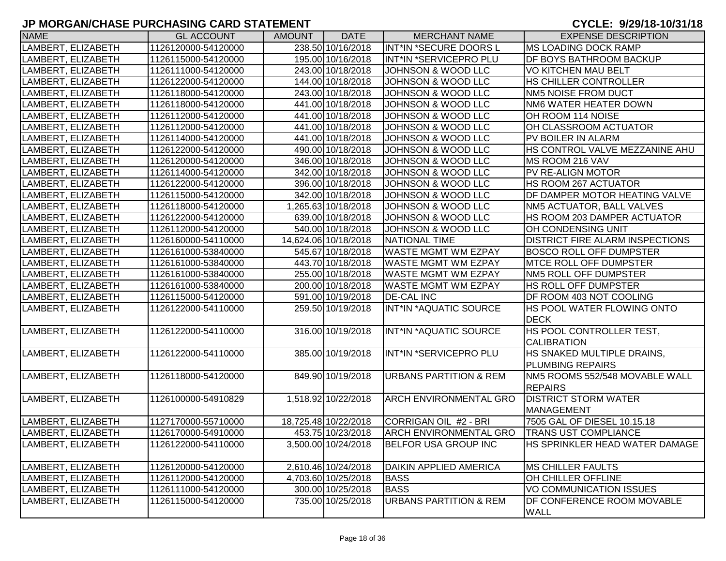| <b>NAME</b>        | <b>GL ACCOUNT</b>   | <b>AMOUNT</b> | <b>DATE</b>          | <b>MERCHANT NAME</b>              | <b>EXPENSE DESCRIPTION</b>             |
|--------------------|---------------------|---------------|----------------------|-----------------------------------|----------------------------------------|
| LAMBERT, ELIZABETH | 1126120000-54120000 |               | 238.50 10/16/2018    | INT*IN *SECURE DOORS L            | MS LOADING DOCK RAMP                   |
| LAMBERT, ELIZABETH | 1126115000-54120000 |               | 195.00 10/16/2018    | INT*IN *SERVICEPRO PLU            | <b>IDF BOYS BATHROOM BACKUP</b>        |
| LAMBERT, ELIZABETH | 1126111000-54120000 |               | 243.00 10/18/2018    | JOHNSON & WOOD LLC                | VO KITCHEN MAU BELT                    |
| LAMBERT, ELIZABETH | 1126122000-54120000 |               | 144.00 10/18/2018    | JOHNSON & WOOD LLC                | HS CHILLER CONTROLLER                  |
| LAMBERT, ELIZABETH | 1126118000-54120000 |               | 243.00 10/18/2018    | JOHNSON & WOOD LLC                | NM5 NOISE FROM DUCT                    |
| LAMBERT, ELIZABETH | 1126118000-54120000 |               | 441.00 10/18/2018    | JOHNSON & WOOD LLC                | NM6 WATER HEATER DOWN                  |
| LAMBERT, ELIZABETH | 1126112000-54120000 |               | 441.00 10/18/2018    | JOHNSON & WOOD LLC                | OH ROOM 114 NOISE                      |
| LAMBERT, ELIZABETH | 1126112000-54120000 |               | 441.00 10/18/2018    | JOHNSON & WOOD LLC                | OH CLASSROOM ACTUATOR                  |
| LAMBERT, ELIZABETH | 1126114000-54120000 |               | 441.00 10/18/2018    | JOHNSON & WOOD LLC                | PV BOILER IN ALARM                     |
| LAMBERT, ELIZABETH | 1126122000-54120000 |               | 490.00 10/18/2018    | JOHNSON & WOOD LLC                | HS CONTROL VALVE MEZZANINE AHU         |
| LAMBERT, ELIZABETH | 1126120000-54120000 |               | 346.00 10/18/2018    | JOHNSON & WOOD LLC                | MS ROOM 216 VAV                        |
| LAMBERT, ELIZABETH | 1126114000-54120000 |               | 342.00 10/18/2018    | JOHNSON & WOOD LLC                | PV RE-ALIGN MOTOR                      |
| LAMBERT, ELIZABETH | 1126122000-54120000 |               | 396.00 10/18/2018    | JOHNSON & WOOD LLC                | HS ROOM 267 ACTUATOR                   |
| LAMBERT, ELIZABETH | 1126115000-54120000 |               | 342.00 10/18/2018    | JOHNSON & WOOD LLC                | DF DAMPER MOTOR HEATING VALVE          |
| LAMBERT, ELIZABETH | 1126118000-54120000 |               | 1,265.63 10/18/2018  | <b>JOHNSON &amp; WOOD LLC</b>     | NM5 ACTUATOR, BALL VALVES              |
| LAMBERT, ELIZABETH | 1126122000-54120000 |               | 639.00 10/18/2018    | <b>JOHNSON &amp; WOOD LLC</b>     | HS ROOM 203 DAMPER ACTUATOR            |
| LAMBERT, ELIZABETH | 1126112000-54120000 |               | 540.00 10/18/2018    | JOHNSON & WOOD LLC                | OH CONDENSING UNIT                     |
| LAMBERT, ELIZABETH | 1126160000-54110000 |               | 14,624.06 10/18/2018 | <b>NATIONAL TIME</b>              | <b>DISTRICT FIRE ALARM INSPECTIONS</b> |
| LAMBERT, ELIZABETH | 1126161000-53840000 |               | 545.67 10/18/2018    | <b>WASTE MGMT WM EZPAY</b>        | <b>BOSCO ROLL OFF DUMPSTER</b>         |
| LAMBERT, ELIZABETH | 1126161000-53840000 |               | 443.70 10/18/2018    | <b>WASTE MGMT WM EZPAY</b>        | <b>MTCE ROLL OFF DUMPSTER</b>          |
| LAMBERT, ELIZABETH | 1126161000-53840000 |               | 255.00 10/18/2018    | <b>WASTE MGMT WM EZPAY</b>        | NM5 ROLL OFF DUMPSTER                  |
| LAMBERT, ELIZABETH | 1126161000-53840000 |               | 200.00 10/18/2018    | <b>WASTE MGMT WM EZPAY</b>        | <b>HS ROLL OFF DUMPSTER</b>            |
| LAMBERT, ELIZABETH | 1126115000-54120000 |               | 591.00 10/19/2018    | <b>DE-CAL INC</b>                 | DF ROOM 403 NOT COOLING                |
| LAMBERT, ELIZABETH | 1126122000-54110000 |               | 259.50 10/19/2018    | INT*IN *AQUATIC SOURCE            | HS POOL WATER FLOWING ONTO             |
|                    |                     |               |                      |                                   | <b>DECK</b>                            |
| LAMBERT, ELIZABETH | 1126122000-54110000 |               | 316.00 10/19/2018    | INT*IN *AQUATIC SOURCE            | HS POOL CONTROLLER TEST,               |
|                    |                     |               |                      |                                   | <b>CALIBRATION</b>                     |
| LAMBERT, ELIZABETH | 1126122000-54110000 |               | 385.00 10/19/2018    | INT*IN *SERVICEPRO PLU            | HS SNAKED MULTIPLE DRAINS,             |
|                    |                     |               |                      |                                   | <b>PLUMBING REPAIRS</b>                |
| LAMBERT, ELIZABETH | 1126118000-54120000 |               | 849.90 10/19/2018    | <b>URBANS PARTITION &amp; REM</b> | NM5 ROOMS 552/548 MOVABLE WALL         |
|                    |                     |               |                      |                                   | <b>REPAIRS</b>                         |
| LAMBERT, ELIZABETH | 1126100000-54910829 |               | 1,518.92 10/22/2018  | <b>ARCH ENVIRONMENTAL GRO</b>     | <b>DISTRICT STORM WATER</b>            |
|                    |                     |               |                      |                                   | MANAGEMENT                             |
| LAMBERT, ELIZABETH | 1127170000-55710000 |               | 18,725.48 10/22/2018 | CORRIGAN OIL #2 - BRI             | 7505 GAL OF DIESEL 10.15.18            |
| LAMBERT, ELIZABETH | 1126170000-54910000 |               | 453.75 10/23/2018    | <b>ARCH ENVIRONMENTAL GRO</b>     | <b>TRANS UST COMPLIANCE</b>            |
| LAMBERT, ELIZABETH | 1126122000-54110000 |               | 3,500.00 10/24/2018  | <b>BELFOR USA GROUP INC</b>       | <b>HS SPRINKLER HEAD WATER DAMAGE</b>  |
| LAMBERT, ELIZABETH | 1126120000-54120000 |               | 2,610.46 10/24/2018  | <b>DAIKIN APPLIED AMERICA</b>     | <b>MS CHILLER FAULTS</b>               |
| LAMBERT, ELIZABETH | 1126112000-54120000 |               | 4,703.60 10/25/2018  | <b>BASS</b>                       | OH CHILLER OFFLINE                     |
| LAMBERT, ELIZABETH | 1126111000-54120000 |               | 300.00 10/25/2018    | <b>BASS</b>                       | VO COMMUNICATION ISSUES                |
| LAMBERT, ELIZABETH | 1126115000-54120000 |               | 735.00 10/25/2018    | <b>URBANS PARTITION &amp; REM</b> | <b>DF CONFERENCE ROOM MOVABLE</b>      |
|                    |                     |               |                      |                                   | <b>WALL</b>                            |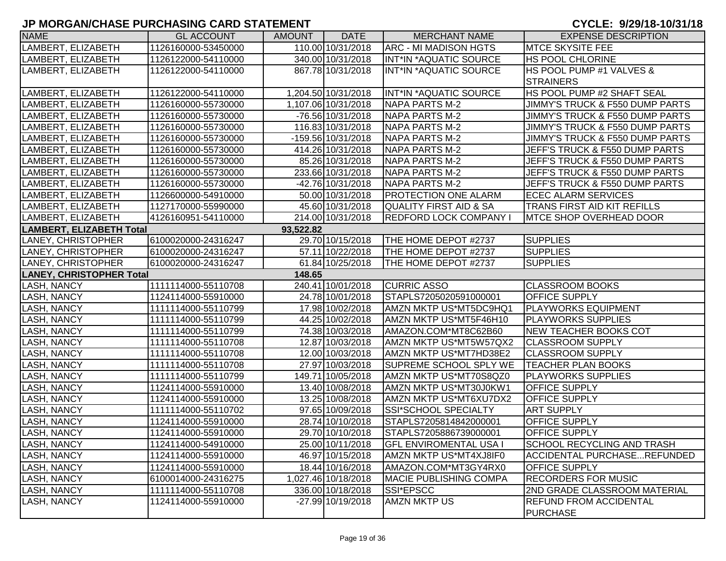| <b>NAME</b>                     | <b>GL ACCOUNT</b>   | <b>AMOUNT</b> | <b>DATE</b>          | <b>MERCHANT NAME</b>           | <b>EXPENSE DESCRIPTION</b>         |
|---------------------------------|---------------------|---------------|----------------------|--------------------------------|------------------------------------|
| LAMBERT, ELIZABETH              | 1126160000-53450000 |               | 110.00 10/31/2018    | <b>ARC - MI MADISON HGTS</b>   | <b>MTCE SKYSITE FEE</b>            |
| LAMBERT, ELIZABETH              | 1126122000-54110000 |               | 340.00 10/31/2018    | INT*IN *AQUATIC SOURCE         | <b>HS POOL CHLORINE</b>            |
| LAMBERT, ELIZABETH              | 1126122000-54110000 |               | 867.78 10/31/2018    | INT*IN *AQUATIC SOURCE         | HS POOL PUMP #1 VALVES &           |
|                                 |                     |               |                      |                                | <b>STRAINERS</b>                   |
| LAMBERT, ELIZABETH              | 1126122000-54110000 |               | 1,204.50 10/31/2018  | INT*IN *AQUATIC SOURCE         | HS POOL PUMP #2 SHAFT SEAL         |
| LAMBERT, ELIZABETH              | 1126160000-55730000 |               | 1,107.06 10/31/2018  | <b>NAPA PARTS M-2</b>          | JIMMY'S TRUCK & F550 DUMP PARTS    |
| LAMBERT, ELIZABETH              | 1126160000-55730000 |               | -76.56 10/31/2018    | NAPA PARTS M-2                 | JIMMY'S TRUCK & F550 DUMP PARTS    |
| LAMBERT, ELIZABETH              | 1126160000-55730000 |               | 116.83 10/31/2018    | NAPA PARTS M-2                 | JIMMY'S TRUCK & F550 DUMP PARTS    |
| LAMBERT, ELIZABETH              | 1126160000-55730000 |               | $-159.56$ 10/31/2018 | NAPA PARTS M-2                 | JIMMY'S TRUCK & F550 DUMP PARTS    |
| LAMBERT, ELIZABETH              | 1126160000-55730000 |               | 414.26 10/31/2018    | NAPA PARTS M-2                 | JEFF'S TRUCK & F550 DUMP PARTS     |
| LAMBERT, ELIZABETH              | 1126160000-55730000 |               | 85.26 10/31/2018     | NAPA PARTS M-2                 | JEFF'S TRUCK & F550 DUMP PARTS     |
| LAMBERT, ELIZABETH              | 1126160000-55730000 |               | 233.66 10/31/2018    | <b>NAPA PARTS M-2</b>          | JEFF'S TRUCK & F550 DUMP PARTS     |
| LAMBERT, ELIZABETH              | 1126160000-55730000 |               | -42.76 10/31/2018    | NAPA PARTS M-2                 | JEFF'S TRUCK & F550 DUMP PARTS     |
| LAMBERT, ELIZABETH              | 1126600000-54910000 |               | 50.00 10/31/2018     | <b>PROTECTION ONE ALARM</b>    | <b>ECEC ALARM SERVICES</b>         |
| LAMBERT, ELIZABETH              | 1127170000-55990000 |               | 45.60 10/31/2018     | QUALITY FIRST AID & SA         | TRANS FIRST AID KIT REFILLS        |
| LAMBERT, ELIZABETH              | 4126160951-54110000 |               | 214.00 10/31/2018    | <b>REDFORD LOCK COMPANY I</b>  | <b>IMTCE SHOP OVERHEAD DOOR</b>    |
| <b>LAMBERT, ELIZABETH Total</b> |                     | 93,522.82     |                      |                                |                                    |
| LANEY, CHRISTOPHER              | 6100020000-24316247 |               | 29.70 10/15/2018     | THE HOME DEPOT #2737           | <b>SUPPLIES</b>                    |
| LANEY, CHRISTOPHER              | 6100020000-24316247 |               | 57.11 10/22/2018     | THE HOME DEPOT #2737           | <b>SUPPLIES</b>                    |
| LANEY, CHRISTOPHER              | 6100020000-24316247 |               | 61.84 10/25/2018     | THE HOME DEPOT #2737           | <b>SUPPLIES</b>                    |
| <b>LANEY, CHRISTOPHER Total</b> |                     | 148.65        |                      |                                |                                    |
| <b>LASH, NANCY</b>              | 1111114000-55110708 |               | 240.41 10/01/2018    | <b>CURRIC ASSO</b>             | <b>CLASSROOM BOOKS</b>             |
| <b>LASH, NANCY</b>              | 1124114000-55910000 |               | 24.78 10/01/2018     | STAPLS7205020591000001         | <b>OFFICE SUPPLY</b>               |
| <b>LASH, NANCY</b>              | 1111114000-55110799 |               | 17.98 10/02/2018     | AMZN MKTP US*MT5DC9HQ1         | <b>PLAYWORKS EQUIPMENT</b>         |
| <b>LASH, NANCY</b>              | 1111114000-55110799 |               | 44.25 10/02/2018     | AMZN MKTP US*MT5F46H10         | <b>PLAYWORKS SUPPLIES</b>          |
| <b>LASH, NANCY</b>              | 1111114000-55110799 |               | 74.38 10/03/2018     | AMAZON.COM*MT8C62B60           | <b>NEW TEACHER BOOKS COT</b>       |
| <b>LASH, NANCY</b>              | 1111114000-55110708 |               | 12.87 10/03/2018     | AMZN MKTP US*MT5W57QX2         | <b>CLASSROOM SUPPLY</b>            |
| <b>LASH, NANCY</b>              | 1111114000-55110708 |               | 12.00 10/03/2018     | AMZN MKTP US*MT7HD38E2         | <b>CLASSROOM SUPPLY</b>            |
| <b>LASH, NANCY</b>              | 1111114000-55110708 |               | 27.97 10/03/2018     | SUPREME SCHOOL SPLY WE         | <b>TEACHER PLAN BOOKS</b>          |
| <b>LASH, NANCY</b>              | 1111114000-55110799 |               | 149.71 10/05/2018    | AMZN MKTP US*MT70S8QZ0         | <b>PLAYWORKS SUPPLIES</b>          |
| <b>LASH, NANCY</b>              | 1124114000-55910000 |               | 13.40 10/08/2018     | AMZN MKTP US*MT30J0KW1         | OFFICE SUPPLY                      |
| <b>LASH, NANCY</b>              | 1124114000-55910000 |               | 13.25 10/08/2018     | AMZN MKTP US*MT6XU7DX2         | OFFICE SUPPLY                      |
| <b>LASH, NANCY</b>              | 1111114000-55110702 |               | 97.65 10/09/2018     | SSI*SCHOOL SPECIALTY           | <b>ART SUPPLY</b>                  |
| <b>LASH, NANCY</b>              | 1124114000-55910000 |               | 28.74 10/10/2018     | STAPLS7205814842000001         | OFFICE SUPPLY                      |
| <b>LASH, NANCY</b>              | 1124114000-55910000 |               | 29.70 10/10/2018     | STAPLS7205886739000001         | OFFICE SUPPLY                      |
| LASH, NANCY                     | 1124114000-54910000 |               | 25.00 10/11/2018     | <b> GFL ENVIROMENTAL USA I</b> | <b>SCHOOL RECYCLING AND TRASH</b>  |
| <b>LASH, NANCY</b>              | 1124114000-55910000 |               | 46.97 10/15/2018     | AMZN MKTP US*MT4XJ8IF0         | <b>ACCIDENTAL PURCHASEREFUNDED</b> |
| <b>LASH, NANCY</b>              | 1124114000-55910000 |               | 18.44 10/16/2018     | AMAZON.COM*MT3GY4RX0           | <b>OFFICE SUPPLY</b>               |
| <b>LASH, NANCY</b>              | 6100014000-24316275 |               | 1,027.46 10/18/2018  | <b>MACIE PUBLISHING COMPA</b>  | <b>RECORDERS FOR MUSIC</b>         |
| LASH, NANCY                     | 1111114000-55110708 |               | 336.00 10/18/2018    | SSI*EPSCC                      | 2ND GRADE CLASSROOM MATERIAL       |
| LASH, NANCY                     | 1124114000-55910000 |               | -27.99 10/19/2018    | <b>AMZN MKTP US</b>            | <b>REFUND FROM ACCIDENTAL</b>      |
|                                 |                     |               |                      |                                | <b>PURCHASE</b>                    |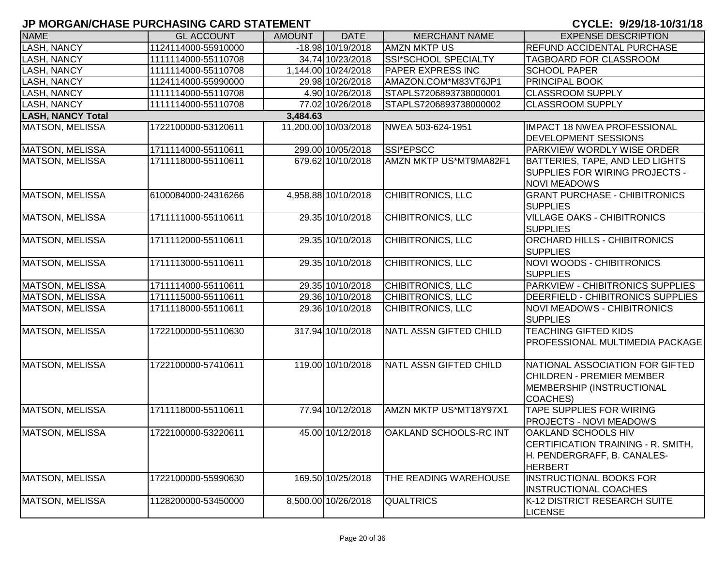| <b>NAME</b>              | <b>GL ACCOUNT</b>   | <b>AMOUNT</b> | <b>DATE</b>          | <b>MERCHANT NAME</b>          | <b>EXPENSE DESCRIPTION</b>                                                                                   |
|--------------------------|---------------------|---------------|----------------------|-------------------------------|--------------------------------------------------------------------------------------------------------------|
| LASH, NANCY              | 1124114000-55910000 |               | $-18.98110/19/2018$  | <b>AMZN MKTP US</b>           | REFUND ACCIDENTAL PURCHASE                                                                                   |
| <b>LASH, NANCY</b>       | 1111114000-55110708 |               | 34.74 10/23/2018     | SSI*SCHOOL SPECIALTY          | TAGBOARD FOR CLASSROOM                                                                                       |
| <b>LASH, NANCY</b>       | 1111114000-55110708 |               | 1,144.00 10/24/2018  | <b>PAPER EXPRESS INC</b>      | <b>SCHOOL PAPER</b>                                                                                          |
| <b>LASH, NANCY</b>       | 1124114000-55990000 |               | 29.98 10/26/2018     | AMAZON.COM*M83VT6JP1          | <b>PRINCIPAL BOOK</b>                                                                                        |
| <b>LASH, NANCY</b>       | 1111114000-55110708 |               | 4.90 10/26/2018      | STAPLS7206893738000001        | <b>CLASSROOM SUPPLY</b>                                                                                      |
| LASH, NANCY              | 1111114000-55110708 |               | 77.02 10/26/2018     | STAPLS7206893738000002        | <b>CLASSROOM SUPPLY</b>                                                                                      |
| <b>LASH, NANCY Total</b> |                     | 3,484.63      |                      |                               |                                                                                                              |
| MATSON, MELISSA          | 1722100000-53120611 |               | 11,200.00 10/03/2018 | NWEA 503-624-1951             | <b>IMPACT 18 NWEA PROFESSIONAL</b><br><b>DEVELOPMENT SESSIONS</b>                                            |
| <b>MATSON, MELISSA</b>   | 1711114000-55110611 |               | 299.00 10/05/2018    | SSI*EPSCC                     | PARKVIEW WORDLY WISE ORDER                                                                                   |
| <b>MATSON, MELISSA</b>   | 1711118000-55110611 |               | 679.62 10/10/2018    | AMZN MKTP US*MT9MA82F1        | <b>BATTERIES, TAPE, AND LED LIGHTS</b><br>SUPPLIES FOR WIRING PROJECTS -<br><b>NOVI MEADOWS</b>              |
| <b>MATSON, MELISSA</b>   | 6100084000-24316266 |               | 4,958.88 10/10/2018  | CHIBITRONICS, LLC             | <b>GRANT PURCHASE - CHIBITRONICS</b><br><b>SUPPLIES</b>                                                      |
| MATSON, MELISSA          | 1711111000-55110611 |               | 29.35 10/10/2018     | <b>CHIBITRONICS, LLC</b>      | <b>VILLAGE OAKS - CHIBITRONICS</b><br><b>SUPPLIES</b>                                                        |
| <b>MATSON, MELISSA</b>   | 1711112000-55110611 |               | 29.35 10/10/2018     | <b>CHIBITRONICS, LLC</b>      | ORCHARD HILLS - CHIBITRONICS<br><b>SUPPLIES</b>                                                              |
| <b>MATSON, MELISSA</b>   | 1711113000-55110611 |               | 29.35 10/10/2018     | <b>CHIBITRONICS, LLC</b>      | <b>NOVI WOODS - CHIBITRONICS</b><br><b>SUPPLIES</b>                                                          |
| <b>MATSON, MELISSA</b>   | 1711114000-55110611 |               | 29.35 10/10/2018     | <b>CHIBITRONICS, LLC</b>      | PARKVIEW - CHIBITRONICS SUPPLIES                                                                             |
| <b>MATSON, MELISSA</b>   | 1711115000-55110611 |               | 29.36 10/10/2018     | <b>CHIBITRONICS, LLC</b>      | DEERFIELD - CHIBITRONICS SUPPLIES                                                                            |
| <b>MATSON, MELISSA</b>   | 1711118000-55110611 |               | 29.36 10/10/2018     | <b>CHIBITRONICS, LLC</b>      | <b>NOVI MEADOWS - CHIBITRONICS</b><br><b>SUPPLIES</b>                                                        |
| <b>MATSON, MELISSA</b>   | 1722100000-55110630 |               | 317.94 10/10/2018    | <b>NATL ASSN GIFTED CHILD</b> | <b>TEACHING GIFTED KIDS</b><br>PROFESSIONAL MULTIMEDIA PACKAGE                                               |
| <b>MATSON, MELISSA</b>   | 1722100000-57410611 |               | 119.00 10/10/2018    | NATL ASSN GIFTED CHILD        | NATIONAL ASSOCIATION FOR GIFTED<br><b>CHILDREN - PREMIER MEMBER</b><br>MEMBERSHIP (INSTRUCTIONAL<br>COACHES) |
| MATSON, MELISSA          | 1711118000-55110611 |               | 77.94 10/12/2018     | AMZN MKTP US*MT18Y97X1        | <b>TAPE SUPPLIES FOR WIRING</b><br><b>PROJECTS - NOVI MEADOWS</b>                                            |
| <b>MATSON, MELISSA</b>   | 1722100000-53220611 |               | 45.00 10/12/2018     | <b>OAKLAND SCHOOLS-RC INT</b> | OAKLAND SCHOOLS HIV<br>CERTIFICATION TRAINING - R. SMITH,<br>H. PENDERGRAFF, B. CANALES-<br><b>HERBERT</b>   |
| <b>MATSON, MELISSA</b>   | 1722100000-55990630 |               | 169.50 10/25/2018    | THE READING WAREHOUSE         | <b>INSTRUCTIONAL BOOKS FOR</b><br><b>INSTRUCTIONAL COACHES</b>                                               |
| MATSON, MELISSA          | 1128200000-53450000 |               | 8,500.00 10/26/2018  | <b>QUALTRICS</b>              | K-12 DISTRICT RESEARCH SUITE<br><b>LICENSE</b>                                                               |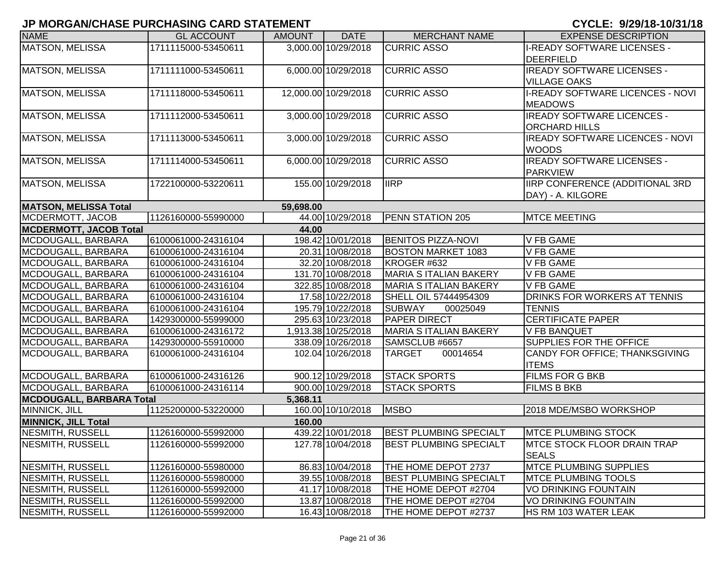| <b>NAME</b>                     | <b>GL ACCOUNT</b>   | <b>AMOUNT</b> | <b>DATE</b>          | <b>MERCHANT NAME</b>          | <b>EXPENSE DESCRIPTION</b>             |
|---------------------------------|---------------------|---------------|----------------------|-------------------------------|----------------------------------------|
| MATSON, MELISSA                 | 1711115000-53450611 |               | 3,000.00 10/29/2018  | <b>CURRIC ASSO</b>            | <b>I-READY SOFTWARE LICENSES -</b>     |
|                                 |                     |               |                      |                               | <b>DEERFIELD</b>                       |
| MATSON, MELISSA                 | 1711111000-53450611 |               | 6,000.00 10/29/2018  | <b>CURRIC ASSO</b>            | <b>IREADY SOFTWARE LICENSES -</b>      |
|                                 |                     |               |                      |                               | <b>VILLAGE OAKS</b>                    |
| MATSON, MELISSA                 | 1711118000-53450611 |               | 12,000.00 10/29/2018 | <b>CURRIC ASSO</b>            | I-READY SOFTWARE LICENCES - NOVI       |
|                                 |                     |               |                      |                               | <b>MEADOWS</b>                         |
| MATSON, MELISSA                 | 1711112000-53450611 |               | 3,000.00 10/29/2018  | <b>CURRIC ASSO</b>            | <b>IREADY SOFTWARE LICENCES -</b>      |
|                                 |                     |               |                      |                               | <b>ORCHARD HILLS</b>                   |
| MATSON, MELISSA                 | 1711113000-53450611 |               | 3,000.00 10/29/2018  | <b>CURRIC ASSO</b>            | <b>IREADY SOFTWARE LICENCES - NOVI</b> |
|                                 |                     |               |                      |                               | <b>WOODS</b>                           |
| MATSON, MELISSA                 | 1711114000-53450611 |               | 6,000.00 10/29/2018  | <b>CURRIC ASSO</b>            | <b>IREADY SOFTWARE LICENSES -</b>      |
|                                 |                     |               |                      |                               | <b>PARKVIEW</b>                        |
| MATSON, MELISSA                 | 1722100000-53220611 |               | 155.00 10/29/2018    | <b>IIRP</b>                   | IIRP CONFERENCE (ADDITIONAL 3RD        |
|                                 |                     |               |                      |                               | DAY) - A. KILGORE                      |
| <b>MATSON, MELISSA Total</b>    |                     | 59,698.00     |                      |                               |                                        |
| MCDERMOTT, JACOB                | 1126160000-55990000 |               | 44.00 10/29/2018     | <b>PENN STATION 205</b>       | <b>MTCE MEETING</b>                    |
| <b>MCDERMOTT, JACOB Total</b>   |                     | 44.00         |                      |                               |                                        |
| MCDOUGALL, BARBARA              | 6100061000-24316104 |               | 198.42 10/01/2018    | <b>BENITOS PIZZA-NOVI</b>     | <b>V FB GAME</b>                       |
| MCDOUGALL, BARBARA              | 6100061000-24316104 |               | 20.31 10/08/2018     | <b>BOSTON MARKET 1083</b>     | <b>V FB GAME</b>                       |
| MCDOUGALL, BARBARA              | 6100061000-24316104 |               | 32.20 10/08/2018     | KROGER #632                   | <b>V FB GAME</b>                       |
| MCDOUGALL, BARBARA              | 6100061000-24316104 |               | 131.70 10/08/2018    | <b>MARIA S ITALIAN BAKERY</b> | <b>V FB GAME</b>                       |
| MCDOUGALL, BARBARA              | 6100061000-24316104 |               | 322.85 10/08/2018    | <b>MARIA S ITALIAN BAKERY</b> | <b>V FB GAME</b>                       |
| MCDOUGALL, BARBARA              | 6100061000-24316104 |               | 17.58 10/22/2018     | SHELL OIL 57444954309         | DRINKS FOR WORKERS AT TENNIS           |
| MCDOUGALL, BARBARA              | 6100061000-24316104 |               | 195.79 10/22/2018    | <b>SUBWAY</b><br>00025049     | <b>TENNIS</b>                          |
| MCDOUGALL, BARBARA              | 1429300000-55999000 |               | 295.63 10/23/2018    | <b>PAPER DIRECT</b>           | <b>CERTIFICATE PAPER</b>               |
| MCDOUGALL, BARBARA              | 6100061000-24316172 |               | 1,913.38 10/25/2018  | <b>MARIA S ITALIAN BAKERY</b> | <b>V FB BANQUET</b>                    |
| MCDOUGALL, BARBARA              | 1429300000-55910000 |               | 338.09 10/26/2018    | SAMSCLUB #6657                | SUPPLIES FOR THE OFFICE                |
| MCDOUGALL, BARBARA              | 6100061000-24316104 |               | 102.04 10/26/2018    | 00014654<br><b>TARGET</b>     | CANDY FOR OFFICE; THANKSGIVING         |
|                                 |                     |               |                      |                               | <b>ITEMS</b>                           |
| MCDOUGALL, BARBARA              | 6100061000-24316126 |               | 900.12 10/29/2018    | <b>STACK SPORTS</b>           | <b>FILMS FOR G BKB</b>                 |
| MCDOUGALL, BARBARA              | 6100061000-24316114 |               | 900.00 10/29/2018    | <b>STACK SPORTS</b>           | <b>FILMS B BKB</b>                     |
| <b>MCDOUGALL, BARBARA Total</b> |                     | 5,368.11      |                      |                               |                                        |
| MINNICK, JILL                   | 1125200000-53220000 |               | 160.00 10/10/2018    | <b>MSBO</b>                   | 2018 MDE/MSBO WORKSHOP                 |
| <b>MINNICK, JILL Total</b>      |                     | 160.00        |                      |                               |                                        |
| NESMITH, RUSSELL                | 1126160000-55992000 |               | 439.22 10/01/2018    | <b>BEST PLUMBING SPECIALT</b> | <b>MTCE PLUMBING STOCK</b>             |
| NESMITH, RUSSELL                | 1126160000-55992000 |               | 127.78 10/04/2018    | <b>BEST PLUMBING SPECIALT</b> | <b>IMTCE STOCK FLOOR DRAIN TRAP</b>    |
|                                 |                     |               |                      |                               | <b>SEALS</b>                           |
| NESMITH, RUSSELL                | 1126160000-55980000 |               | 86.83 10/04/2018     | THE HOME DEPOT 2737           | <b>MTCE PLUMBING SUPPLIES</b>          |
| NESMITH, RUSSELL                | 1126160000-55980000 |               | 39.55 10/08/2018     | <b>BEST PLUMBING SPECIALT</b> | <b>MTCE PLUMBING TOOLS</b>             |
| NESMITH, RUSSELL                | 1126160000-55992000 |               | 41.17 10/08/2018     | THE HOME DEPOT #2704          | VO DRINKING FOUNTAIN                   |
| NESMITH, RUSSELL                | 1126160000-55992000 |               | 13.87 10/08/2018     | THE HOME DEPOT #2704          | <b>VO DRINKING FOUNTAIN</b>            |
| <b>NESMITH, RUSSELL</b>         | 1126160000-55992000 |               | 16.43 10/08/2018     | THE HOME DEPOT #2737          | HS RM 103 WATER LEAK                   |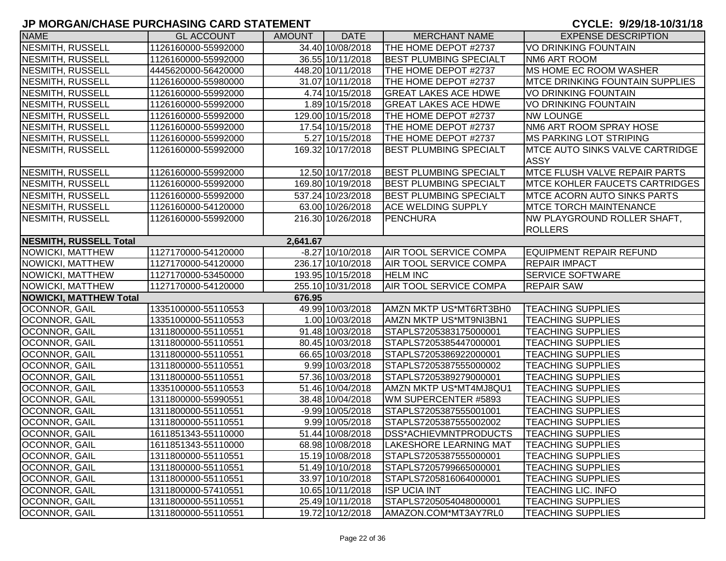| <b>NAME</b>                   | <b>GL ACCOUNT</b>   | <b>AMOUNT</b> | <b>DATE</b>        | <b>MERCHANT NAME</b>          | <b>EXPENSE DESCRIPTION</b>                            |
|-------------------------------|---------------------|---------------|--------------------|-------------------------------|-------------------------------------------------------|
| <b>NESMITH, RUSSELL</b>       | 1126160000-55992000 |               | 34.40 10/08/2018   | THE HOME DEPOT #2737          | <b>VO DRINKING FOUNTAIN</b>                           |
| <b>NESMITH, RUSSELL</b>       | 1126160000-55992000 |               | 36.55 10/11/2018   | <b>BEST PLUMBING SPECIALT</b> | NM6 ART ROOM                                          |
| NESMITH, RUSSELL              | 4445620000-56420000 |               | 448.20 10/11/2018  | THE HOME DEPOT #2737          | <b>IMS HOME EC ROOM WASHER</b>                        |
| NESMITH, RUSSELL              | 1126160000-55980000 |               | 31.07 10/11/2018   | THE HOME DEPOT #2737          | <b>MTCE DRINKING FOUNTAIN SUPPLIES</b>                |
| NESMITH, RUSSELL              | 1126160000-55992000 |               | 4.74 10/15/2018    | <b>GREAT LAKES ACE HDWE</b>   | <b>VO DRINKING FOUNTAIN</b>                           |
| NESMITH, RUSSELL              | 1126160000-55992000 |               | 1.89 10/15/2018    | <b>GREAT LAKES ACE HDWE</b>   | <b>VO DRINKING FOUNTAIN</b>                           |
| <b>NESMITH, RUSSELL</b>       | 1126160000-55992000 |               | 129.00 10/15/2018  | THE HOME DEPOT #2737          | <b>NW LOUNGE</b>                                      |
| NESMITH, RUSSELL              | 1126160000-55992000 |               | 17.54 10/15/2018   | THE HOME DEPOT #2737          | NM6 ART ROOM SPRAY HOSE                               |
| NESMITH, RUSSELL              | 1126160000-55992000 |               | 5.27 10/15/2018    | THE HOME DEPOT #2737          | <b>MS PARKING LOT STRIPING</b>                        |
| <b>NESMITH, RUSSELL</b>       | 1126160000-55992000 |               | 169.32 10/17/2018  | <b>BEST PLUMBING SPECIALT</b> | <b>MTCE AUTO SINKS VALVE CARTRIDGE</b><br><b>ASSY</b> |
| NESMITH, RUSSELL              | 1126160000-55992000 |               | 12.50 10/17/2018   | <b>BEST PLUMBING SPECIALT</b> | <b>MTCE FLUSH VALVE REPAIR PARTS</b>                  |
| NESMITH, RUSSELL              | 1126160000-55992000 |               | 169.80 10/19/2018  | <b>BEST PLUMBING SPECIALT</b> | <b>MTCE KOHLER FAUCETS CARTRIDGES</b>                 |
| <b>NESMITH, RUSSELL</b>       | 1126160000-55992000 |               | 537.24 10/23/2018  | <b>BEST PLUMBING SPECIALT</b> | <b>MTCE ACORN AUTO SINKS PARTS</b>                    |
| <b>NESMITH, RUSSELL</b>       | 1126160000-54120000 |               | 63.00 10/26/2018   | <b>ACE WELDING SUPPLY</b>     | <b>MTCE TORCH MAINTENANCE</b>                         |
| <b>NESMITH, RUSSELL</b>       | 1126160000-55992000 |               | 216.30 10/26/2018  | <b>PENCHURA</b>               | NW PLAYGROUND ROLLER SHAFT,                           |
|                               |                     |               |                    |                               | <b>ROLLERS</b>                                        |
| <b>NESMITH, RUSSELL Total</b> |                     | 2,641.67      |                    |                               |                                                       |
| <b>NOWICKI, MATTHEW</b>       | 1127170000-54120000 |               | $-8.27$ 10/10/2018 | <b>AIR TOOL SERVICE COMPA</b> | <b>EQUIPMENT REPAIR REFUND</b>                        |
| NOWICKI, MATTHEW              | 1127170000-54120000 |               | 236.17 10/10/2018  | <b>AIR TOOL SERVICE COMPA</b> | <b>REPAIR IMPACT</b>                                  |
| <b>NOWICKI, MATTHEW</b>       | 1127170000-53450000 |               | 193.95 10/15/2018  | <b>HELM INC</b>               | <b>SERVICE SOFTWARE</b>                               |
| <b>NOWICKI, MATTHEW</b>       | 1127170000-54120000 |               | 255.10 10/31/2018  | <b>AIR TOOL SERVICE COMPA</b> | <b>REPAIR SAW</b>                                     |
| <b>NOWICKI, MATTHEW Total</b> |                     | 676.95        |                    |                               |                                                       |
| OCONNOR, GAIL                 | 1335100000-55110553 |               | 49.99 10/03/2018   | AMZN MKTP US*MT6RT3BH0        | <b>TEACHING SUPPLIES</b>                              |
| OCONNOR, GAIL                 | 1335100000-55110553 |               | 1.00 10/03/2018    | AMZN MKTP US*MT9NI3BN1        | <b>TEACHING SUPPLIES</b>                              |
| OCONNOR, GAIL                 | 1311800000-55110551 |               | 91.48 10/03/2018   | STAPLS7205383175000001        | <b>TEACHING SUPPLIES</b>                              |
| OCONNOR, GAIL                 | 1311800000-55110551 |               | 80.45 10/03/2018   | STAPLS7205385447000001        | <b>TEACHING SUPPLIES</b>                              |
| OCONNOR, GAIL                 | 1311800000-55110551 |               | 66.65 10/03/2018   | STAPLS7205386922000001        | <b>TEACHING SUPPLIES</b>                              |
| OCONNOR, GAIL                 | 1311800000-55110551 |               | 9.99 10/03/2018    | STAPLS7205387555000002        | <b>TEACHING SUPPLIES</b>                              |
| <b>OCONNOR, GAIL</b>          | 1311800000-55110551 |               | 57.36 10/03/2018   | STAPLS7205389279000001        | <b>TEACHING SUPPLIES</b>                              |
| OCONNOR, GAIL                 | 1335100000-55110553 |               | 51.46 10/04/2018   | AMZN MKTP US*MT4MJ8QU1        | <b>TEACHING SUPPLIES</b>                              |
| OCONNOR, GAIL                 | 1311800000-55990551 |               | 38.48 10/04/2018   | WM SUPERCENTER #5893          | <b>TEACHING SUPPLIES</b>                              |
| OCONNOR, GAIL                 | 1311800000-55110551 |               | -9.99 10/05/2018   | STAPLS7205387555001001        | <b>TEACHING SUPPLIES</b>                              |
| OCONNOR, GAIL                 | 1311800000-55110551 |               | 9.99 10/05/2018    | STAPLS7205387555002002        | <b>TEACHING SUPPLIES</b>                              |
| <b>OCONNOR, GAIL</b>          | 1611851343-55110000 |               | 51.44 10/08/2018   | <b>DSS*ACHIEVMNTPRODUCTS</b>  | <b>TEACHING SUPPLIES</b>                              |
| OCONNOR, GAIL                 | 1611851343-55110000 |               | 68.98 10/08/2018   | <b>LAKESHORE LEARNING MAT</b> | <b>TEACHING SUPPLIES</b>                              |
| OCONNOR, GAIL                 | 1311800000-55110551 |               | 15.19 10/08/2018   | STAPLS7205387555000001        | <b>TEACHING SUPPLIES</b>                              |
| OCONNOR, GAIL                 | 1311800000-55110551 |               | 51.49 10/10/2018   | STAPLS7205799665000001        | <b>TEACHING SUPPLIES</b>                              |
| OCONNOR, GAIL                 | 1311800000-55110551 |               | 33.97 10/10/2018   | STAPLS7205816064000001        | <b>TEACHING SUPPLIES</b>                              |
| <b>OCONNOR, GAIL</b>          | 1311800000-57410551 |               | 10.65 10/11/2018   | <b>ISP UCIA INT</b>           | <b>TEACHING LIC. INFO</b>                             |
| OCONNOR, GAIL                 | 1311800000-55110551 |               | 25.49 10/11/2018   | STAPLS7205054048000001        | <b>TEACHING SUPPLIES</b>                              |
| OCONNOR, GAIL                 | 1311800000-55110551 |               | 19.72 10/12/2018   | AMAZON.COM*MT3AY7RL0          | <b>TEACHING SUPPLIES</b>                              |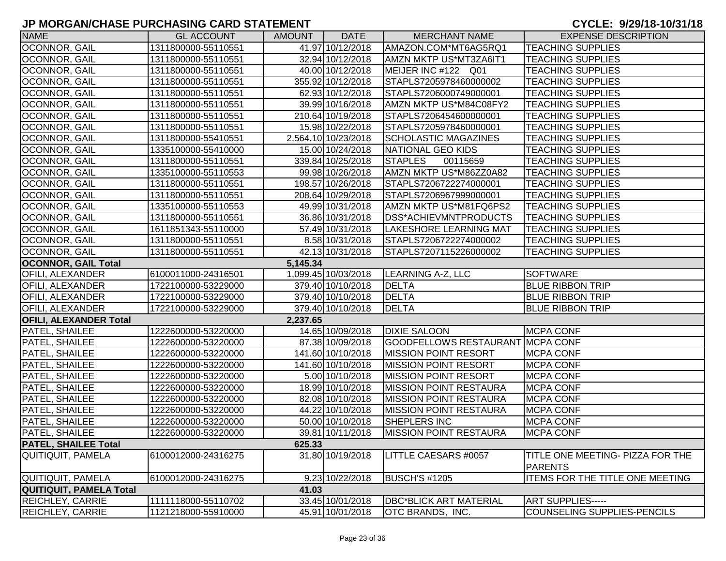| <b>NAME</b>                   | <b>GL ACCOUNT</b>   | <b>AMOUNT</b> | <b>DATE</b>         | <b>MERCHANT NAME</b>                    | <b>EXPENSE DESCRIPTION</b>             |
|-------------------------------|---------------------|---------------|---------------------|-----------------------------------------|----------------------------------------|
| OCONNOR, GAIL                 | 1311800000-55110551 |               | 41.97 10/12/2018    | AMAZON.COM*MT6AG5RQ1                    | <b>TEACHING SUPPLIES</b>               |
| OCONNOR, GAIL                 | 1311800000-55110551 |               | 32.94 10/12/2018    | AMZN MKTP US*MT3ZA6IT1                  | <b>TEACHING SUPPLIES</b>               |
| <b>OCONNOR, GAIL</b>          | 1311800000-55110551 |               | 40.00 10/12/2018    | MEIJER INC #122 Q01                     | <b>TEACHING SUPPLIES</b>               |
| <b>OCONNOR, GAIL</b>          | 1311800000-55110551 |               | 355.92 10/12/2018   | STAPLS7205978460000002                  | <b>TEACHING SUPPLIES</b>               |
| OCONNOR, GAIL                 | 1311800000-55110551 |               | 62.93 10/12/2018    | STAPLS7206000749000001                  | <b>TEACHING SUPPLIES</b>               |
| OCONNOR, GAIL                 | 1311800000-55110551 |               | 39.99 10/16/2018    | AMZN MKTP US*M84C08FY2                  | <b>TEACHING SUPPLIES</b>               |
| OCONNOR, GAIL                 | 1311800000-55110551 |               | 210.64 10/19/2018   | STAPLS7206454600000001                  | <b>TEACHING SUPPLIES</b>               |
| <b>OCONNOR, GAIL</b>          | 1311800000-55110551 |               | 15.98 10/22/2018    | STAPLS7205978460000001                  | <b>TEACHING SUPPLIES</b>               |
| OCONNOR, GAIL                 | 1311800000-55410551 |               | 2,564.10 10/23/2018 | <b>SCHOLASTIC MAGAZINES</b>             | <b>TEACHING SUPPLIES</b>               |
| OCONNOR, GAIL                 | 1335100000-55410000 |               | 15.00 10/24/2018    | NATIONAL GEO KIDS                       | <b>TEACHING SUPPLIES</b>               |
| <b>OCONNOR, GAIL</b>          | 1311800000-55110551 |               | 339.84 10/25/2018   | <b>STAPLES</b><br>00115659              | <b>TEACHING SUPPLIES</b>               |
| <b>OCONNOR, GAIL</b>          | 1335100000-55110553 |               | 99.98 10/26/2018    | AMZN MKTP US*M86ZZ0A82                  | <b>TEACHING SUPPLIES</b>               |
| OCONNOR, GAIL                 | 1311800000-55110551 |               | 198.57 10/26/2018   | STAPLS7206722274000001                  | <b>TEACHING SUPPLIES</b>               |
| OCONNOR, GAIL                 | 1311800000-55110551 |               | 208.64 10/29/2018   | STAPLS7206967999000001                  | <b>TEACHING SUPPLIES</b>               |
| OCONNOR, GAIL                 | 1335100000-55110553 |               | 49.99 10/31/2018    | AMZN MKTP US*M81FQ6PS2                  | <b>TEACHING SUPPLIES</b>               |
| OCONNOR, GAIL                 | 1311800000-55110551 |               | 36.86 10/31/2018    | <b>DSS*ACHIEVMNTPRODUCTS</b>            | <b>TEACHING SUPPLIES</b>               |
| OCONNOR, GAIL                 | 1611851343-55110000 |               | 57.49 10/31/2018    | <b>LAKESHORE LEARNING MAT</b>           | <b>TEACHING SUPPLIES</b>               |
| OCONNOR, GAIL                 | 1311800000-55110551 |               | 8.58 10/31/2018     | STAPLS7206722274000002                  | <b>TEACHING SUPPLIES</b>               |
| OCONNOR, GAIL                 | 1311800000-55110551 |               | 42.13 10/31/2018    | STAPLS7207115226000002                  | <b>TEACHING SUPPLIES</b>               |
| <b>OCONNOR, GAIL Total</b>    |                     | 5,145.34      |                     |                                         |                                        |
| OFILI, ALEXANDER              | 6100011000-24316501 |               | 1,099.45 10/03/2018 | LEARNING A-Z, LLC                       | <b>SOFTWARE</b>                        |
| OFILI, ALEXANDER              | 1722100000-53229000 |               | 379.40 10/10/2018   | <b>DELTA</b>                            | <b>BLUE RIBBON TRIP</b>                |
| OFILI, ALEXANDER              | 1722100000-53229000 |               | 379.40 10/10/2018   | <b>DELTA</b>                            | <b>BLUE RIBBON TRIP</b>                |
| <b>OFILI, ALEXANDER</b>       | 1722100000-53229000 |               | 379.40 10/10/2018   | <b>DELTA</b>                            | <b>BLUE RIBBON TRIP</b>                |
| <b>OFILI, ALEXANDER Total</b> |                     | 2,237.65      |                     |                                         |                                        |
| PATEL, SHAILEE                | 1222600000-53220000 |               | 14.65 10/09/2018    | <b>DIXIE SALOON</b>                     | <b>MCPA CONF</b>                       |
| <b>PATEL, SHAILEE</b>         | 1222600000-53220000 |               | 87.38 10/09/2018    | <b>GOODFELLOWS RESTAURANT MCPA CONF</b> |                                        |
| <b>PATEL, SHAILEE</b>         | 1222600000-53220000 |               | 141.60 10/10/2018   | <b>MISSION POINT RESORT</b>             | <b>MCPA CONF</b>                       |
| PATEL, SHAILEE                | 1222600000-53220000 |               | 141.60 10/10/2018   | <b>MISSION POINT RESORT</b>             | <b>MCPA CONF</b>                       |
| <b>PATEL, SHAILEE</b>         | 1222600000-53220000 |               | 5.00 10/10/2018     | <b>MISSION POINT RESORT</b>             | <b>MCPA CONF</b>                       |
| <b>PATEL, SHAILEE</b>         | 1222600000-53220000 |               | 18.99 10/10/2018    | <b>IMISSION POINT RESTAURA</b>          | <b>MCPA CONF</b>                       |
| PATEL, SHAILEE                | 1222600000-53220000 |               | 82.08 10/10/2018    | <b>MISSION POINT RESTAURA</b>           | <b>MCPA CONF</b>                       |
| PATEL, SHAILEE                | 1222600000-53220000 |               | 44.22 10/10/2018    | <b>MISSION POINT RESTAURA</b>           | <b>MCPA CONF</b>                       |
| <b>PATEL, SHAILEE</b>         | 1222600000-53220000 |               | 50.00 10/10/2018    | SHEPLERS INC                            | <b>MCPA CONF</b>                       |
| <b>PATEL, SHAILEE</b>         | 1222600000-53220000 |               | 39.81 10/11/2018    | <b>MISSION POINT RESTAURA</b>           | <b>MCPA CONF</b>                       |
| <b>PATEL, SHAILEE Total</b>   |                     | 625.33        |                     |                                         |                                        |
| <b>QUITIQUIT, PAMELA</b>      | 6100012000-24316275 |               | 31.80 10/19/2018    | LITTLE CAESARS #0057                    | TITLE ONE MEETING- PIZZA FOR THE       |
|                               |                     |               |                     |                                         | <b>PARENTS</b>                         |
| <b>QUITIQUIT, PAMELA</b>      | 6100012000-24316275 |               | 9.23 10/22/2018     | <b>BUSCH'S #1205</b>                    | <b>ITEMS FOR THE TITLE ONE MEETING</b> |
| QUITIQUIT, PAMELA Total       |                     | 41.03         |                     |                                         |                                        |
| <b>REICHLEY, CARRIE</b>       | 1111118000-55110702 |               | 33.45 10/01/2018    | <b>DBC*BLICK ART MATERIAL</b>           | <b>ART SUPPLIES-----</b>               |
| <b>REICHLEY, CARRIE</b>       | 1121218000-55910000 |               | 45.91 10/01/2018    | <b>OTC BRANDS, INC.</b>                 | COUNSELING SUPPLIES-PENCILS            |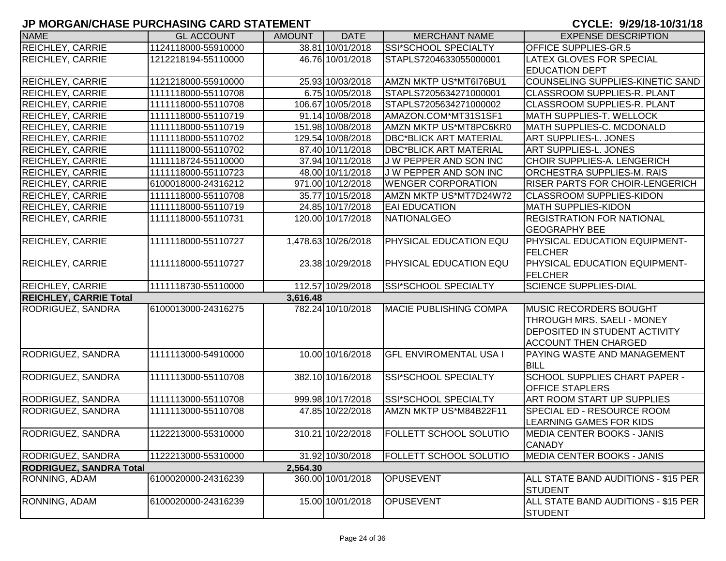| <b>NAME</b>                    | <b>GL ACCOUNT</b>   | <b>AMOUNT</b> | <b>DATE</b>         | <b>MERCHANT NAME</b>          | <b>EXPENSE DESCRIPTION</b>             |
|--------------------------------|---------------------|---------------|---------------------|-------------------------------|----------------------------------------|
| REICHLEY, CARRIE               | 1124118000-55910000 |               | 38.81 10/01/2018    | SSI*SCHOOL SPECIALTY          | <b>OFFICE SUPPLIES-GR.5</b>            |
| <b>REICHLEY, CARRIE</b>        | 1212218194-55110000 |               | 46.76 10/01/2018    | STAPLS7204633055000001        | <b>LATEX GLOVES FOR SPECIAL</b>        |
|                                |                     |               |                     |                               | <b>EDUCATION DEPT</b>                  |
| REICHLEY, CARRIE               | 1121218000-55910000 |               | 25.93 10/03/2018    | AMZN MKTP US*MT6176BU1        | COUNSELING SUPPLIES-KINETIC SAND       |
| <b>REICHLEY, CARRIE</b>        | 1111118000-55110708 |               | 6.75 10/05/2018     | STAPLS7205634271000001        | <b>CLASSROOM SUPPLIES-R. PLANT</b>     |
| REICHLEY, CARRIE               | 1111118000-55110708 |               | 106.67 10/05/2018   | STAPLS7205634271000002        | CLASSROOM SUPPLIES-R. PLANT            |
| REICHLEY, CARRIE               | 1111118000-55110719 |               | 91.14 10/08/2018    | AMAZON.COM*MT31S1SF1          | <b>MATH SUPPLIES-T. WELLOCK</b>        |
| REICHLEY, CARRIE               | 1111118000-55110719 |               | 151.98 10/08/2018   | AMZN MKTP US*MT8PC6KR0        | MATH SUPPLIES-C. MCDONALD              |
| REICHLEY, CARRIE               | 1111118000-55110702 |               | 129.54 10/08/2018   | <b>DBC*BLICK ART MATERIAL</b> | <b>ART SUPPLIES-L. JONES</b>           |
| <b>REICHLEY, CARRIE</b>        | 1111118000-55110702 |               | 87.40 10/11/2018    | <b>DBC*BLICK ART MATERIAL</b> | <b>ART SUPPLIES-L. JONES</b>           |
| <b>REICHLEY, CARRIE</b>        | 1111118724-55110000 |               | 37.94 10/11/2018    | <b>JW PEPPER AND SON INC</b>  | <b>CHOIR SUPPLIES-A. LENGERICH</b>     |
| <b>REICHLEY, CARRIE</b>        | 1111118000-55110723 |               | 48.00 10/11/2018    | J W PEPPER AND SON INC        | <b>ORCHESTRA SUPPLIES-M. RAIS</b>      |
| REICHLEY, CARRIE               | 6100018000-24316212 |               | 971.00 10/12/2018   | <b>WENGER CORPORATION</b>     | <b>RISER PARTS FOR CHOIR-LENGERICH</b> |
| <b>REICHLEY, CARRIE</b>        | 1111118000-55110708 |               | 35.77 10/15/2018    | AMZN MKTP US*MT7D24W72        | <b>CLASSROOM SUPPLIES-KIDON</b>        |
| REICHLEY, CARRIE               | 1111118000-55110719 |               | 24.85 10/17/2018    | <b>EAI EDUCATION</b>          | <b>MATH SUPPLIES-KIDON</b>             |
| <b>REICHLEY, CARRIE</b>        | 1111118000-55110731 |               | 120.00 10/17/2018   | NATIONALGEO                   | <b>REGISTRATION FOR NATIONAL</b>       |
|                                |                     |               |                     |                               | <b>GEOGRAPHY BEE</b>                   |
| <b>REICHLEY, CARRIE</b>        | 1111118000-55110727 |               | 1,478.63 10/26/2018 | <b>PHYSICAL EDUCATION EQU</b> | PHYSICAL EDUCATION EQUIPMENT-          |
|                                |                     |               |                     |                               | <b>FELCHER</b>                         |
| <b>REICHLEY, CARRIE</b>        | 1111118000-55110727 |               | 23.38 10/29/2018    | PHYSICAL EDUCATION EQU        | <b>PHYSICAL EDUCATION EQUIPMENT-</b>   |
|                                |                     |               |                     |                               | <b>FELCHER</b>                         |
| <b>REICHLEY, CARRIE</b>        | 1111118730-55110000 |               | 112.57 10/29/2018   | SSI*SCHOOL SPECIALTY          | <b>SCIENCE SUPPLIES-DIAL</b>           |
| <b>REICHLEY, CARRIE Total</b>  |                     | 3,616.48      |                     |                               |                                        |
| RODRIGUEZ, SANDRA              | 6100013000-24316275 |               | 782.24 10/10/2018   | <b>MACIE PUBLISHING COMPA</b> | <b>MUSIC RECORDERS BOUGHT</b>          |
|                                |                     |               |                     |                               | THROUGH MRS. SAELI - MONEY             |
|                                |                     |               |                     |                               | <b>DEPOSITED IN STUDENT ACTIVITY</b>   |
|                                |                     |               |                     |                               | <b>ACCOUNT THEN CHARGED</b>            |
| RODRIGUEZ, SANDRA              | 1111113000-54910000 |               | 10.00 10/16/2018    | <b>GFL ENVIROMENTAL USA I</b> | PAYING WASTE AND MANAGEMENT            |
|                                |                     |               |                     |                               | <b>BILL</b>                            |
| RODRIGUEZ, SANDRA              | 1111113000-55110708 |               | 382.10 10/16/2018   | SSI*SCHOOL SPECIALTY          | <b>SCHOOL SUPPLIES CHART PAPER -</b>   |
|                                |                     |               |                     |                               | <b>OFFICE STAPLERS</b>                 |
| RODRIGUEZ, SANDRA              | 1111113000-55110708 |               | 999.98 10/17/2018   | SSI*SCHOOL SPECIALTY          | <b>ART ROOM START UP SUPPLIES</b>      |
| RODRIGUEZ, SANDRA              | 1111113000-55110708 |               | 47.85 10/22/2018    | AMZN MKTP US*M84B22F11        | <b>SPECIAL ED - RESOURCE ROOM</b>      |
|                                |                     |               |                     |                               | <b>LEARNING GAMES FOR KIDS</b>         |
| <b>RODRIGUEZ, SANDRA</b>       | 1122213000-55310000 |               | 310.21 10/22/2018   | <b>FOLLETT SCHOOL SOLUTIO</b> | MEDIA CENTER BOOKS - JANIS             |
|                                |                     |               |                     |                               | <b>CANADY</b>                          |
| RODRIGUEZ, SANDRA              | 1122213000-55310000 |               | 31.92 10/30/2018    | <b>FOLLETT SCHOOL SOLUTIO</b> | <b>MEDIA CENTER BOOKS - JANIS</b>      |
| <b>RODRIGUEZ, SANDRA Total</b> |                     | 2,564.30      |                     |                               |                                        |
| RONNING, ADAM                  | 6100020000-24316239 |               | 360.00 10/01/2018   | <b>OPUSEVENT</b>              | ALL STATE BAND AUDITIONS - \$15 PER    |
|                                |                     |               |                     |                               | <b>STUDENT</b>                         |
| RONNING, ADAM                  | 6100020000-24316239 |               | 15.00 10/01/2018    | <b>OPUSEVENT</b>              | ALL STATE BAND AUDITIONS - \$15 PER    |
|                                |                     |               |                     |                               | <b>STUDENT</b>                         |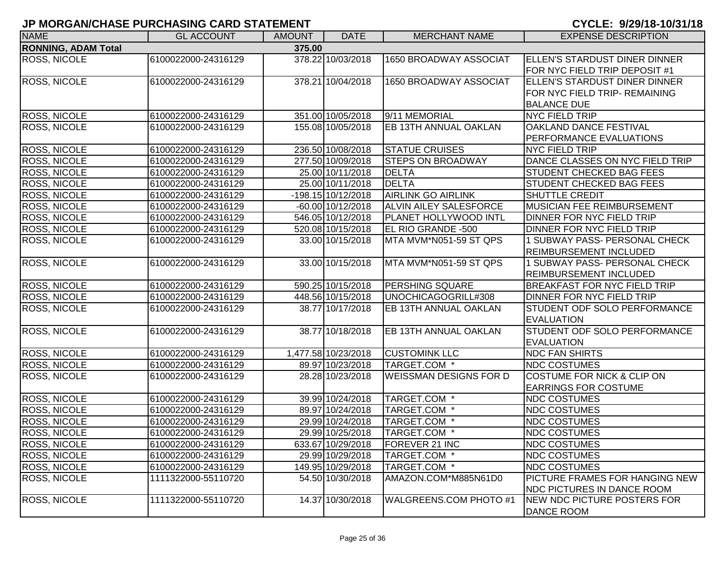| <b>NAME</b>                | <b>GL ACCOUNT</b>   | <b>AMOUNT</b> | <b>DATE</b>          | <b>MERCHANT NAME</b>          | <b>EXPENSE DESCRIPTION</b>            |
|----------------------------|---------------------|---------------|----------------------|-------------------------------|---------------------------------------|
| <b>RONNING, ADAM Total</b> |                     | 375.00        |                      |                               |                                       |
| <b>ROSS, NICOLE</b>        | 6100022000-24316129 |               | 378.22 10/03/2018    | 1650 BROADWAY ASSOCIAT        | ELLEN'S STARDUST DINER DINNER         |
|                            |                     |               |                      |                               | FOR NYC FIELD TRIP DEPOSIT #1         |
| ROSS, NICOLE               | 6100022000-24316129 |               | 378.21 10/04/2018    | 1650 BROADWAY ASSOCIAT        | ELLEN'S STARDUST DINER DINNER         |
|                            |                     |               |                      |                               | FOR NYC FIELD TRIP- REMAINING         |
|                            |                     |               |                      |                               | <b>BALANCE DUE</b>                    |
| ROSS, NICOLE               | 6100022000-24316129 |               | 351.00 10/05/2018    | 9/11 MEMORIAL                 | <b>NYC FIELD TRIP</b>                 |
| <b>ROSS, NICOLE</b>        | 6100022000-24316129 |               | 155.08 10/05/2018    | EB 13TH ANNUAL OAKLAN         | OAKLAND DANCE FESTIVAL                |
|                            |                     |               |                      |                               | PERFORMANCE EVALUATIONS               |
| <b>ROSS, NICOLE</b>        | 6100022000-24316129 |               | 236.50 10/08/2018    | <b>STATUE CRUISES</b>         | <b>NYC FIELD TRIP</b>                 |
| <b>ROSS, NICOLE</b>        | 6100022000-24316129 |               | 277.50 10/09/2018    | <b>STEPS ON BROADWAY</b>      | DANCE CLASSES ON NYC FIELD TRIP       |
| ROSS, NICOLE               | 6100022000-24316129 |               | 25.00 10/11/2018     | <b>DELTA</b>                  | <b>STUDENT CHECKED BAG FEES</b>       |
| <b>ROSS, NICOLE</b>        | 6100022000-24316129 |               | 25.00 10/11/2018     | <b>DELTA</b>                  | <b>STUDENT CHECKED BAG FEES</b>       |
| ROSS, NICOLE               | 6100022000-24316129 |               | $-198.15$ 10/12/2018 | <b>AIRLINK GO AIRLINK</b>     | SHUTTLE CREDIT                        |
| <b>ROSS, NICOLE</b>        | 6100022000-24316129 |               | -60.00 10/12/2018    | ALVIN AILEY SALESFORCE        | MUSICIAN FEE REIMBURSEMENT            |
| <b>ROSS, NICOLE</b>        | 6100022000-24316129 |               | 546.05 10/12/2018    | PLANET HOLLYWOOD INTL         | DINNER FOR NYC FIELD TRIP             |
| <b>ROSS, NICOLE</b>        | 6100022000-24316129 |               | 520.08 10/15/2018    | EL RIO GRANDE -500            | DINNER FOR NYC FIELD TRIP             |
| ROSS, NICOLE               | 6100022000-24316129 |               | 33.00 10/15/2018     | MTA MVM*N051-59 ST QPS        | 1 SUBWAY PASS- PERSONAL CHECK         |
|                            |                     |               |                      |                               | <b>REIMBURSEMENT INCLUDED</b>         |
| <b>ROSS, NICOLE</b>        | 6100022000-24316129 |               | 33.00 10/15/2018     | MTA MVM*N051-59 ST QPS        | 1 SUBWAY PASS- PERSONAL CHECK         |
|                            |                     |               |                      |                               | <b>REIMBURSEMENT INCLUDED</b>         |
| ROSS, NICOLE               | 6100022000-24316129 |               | 590.25 10/15/2018    | <b>PERSHING SQUARE</b>        | <b>BREAKFAST FOR NYC FIELD TRIP</b>   |
| <b>ROSS, NICOLE</b>        | 6100022000-24316129 |               | 448.56 10/15/2018    | UNOCHICAGOGRILL#308           | DINNER FOR NYC FIELD TRIP             |
| ROSS, NICOLE               | 6100022000-24316129 |               | 38.77 10/17/2018     | EB 13TH ANNUAL OAKLAN         | STUDENT ODF SOLO PERFORMANCE          |
|                            |                     |               |                      |                               | <b>EVALUATION</b>                     |
| <b>ROSS, NICOLE</b>        | 6100022000-24316129 |               | 38.77 10/18/2018     | EB 13TH ANNUAL OAKLAN         | STUDENT ODF SOLO PERFORMANCE          |
|                            |                     |               |                      |                               | <b>EVALUATION</b>                     |
| ROSS, NICOLE               | 6100022000-24316129 |               | 1,477.58 10/23/2018  | <b>CUSTOMINK LLC</b>          | <b>NDC FAN SHIRTS</b>                 |
| <b>ROSS, NICOLE</b>        | 6100022000-24316129 |               | 89.97 10/23/2018     | TARGET.COM *                  | <b>NDC COSTUMES</b>                   |
| <b>ROSS, NICOLE</b>        | 6100022000-24316129 |               | 28.28 10/23/2018     | <b>WEISSMAN DESIGNS FOR D</b> | <b>COSTUME FOR NICK &amp; CLIP ON</b> |
|                            |                     |               |                      |                               | <b>EARRINGS FOR COSTUME</b>           |
| ROSS, NICOLE               | 6100022000-24316129 |               | 39.99 10/24/2018     | TARGET.COM *                  | <b>NDC COSTUMES</b>                   |
| ROSS, NICOLE               | 6100022000-24316129 |               | 89.97 10/24/2018     | TARGET.COM *                  | <b>NDC COSTUMES</b>                   |
| <b>ROSS, NICOLE</b>        | 6100022000-24316129 |               | 29.99 10/24/2018     | TARGET.COM *                  | <b>NDC COSTUMES</b>                   |
| <b>ROSS, NICOLE</b>        | 6100022000-24316129 |               | 29.99 10/25/2018     | TARGET.COM *                  | <b>NDC COSTUMES</b>                   |
| <b>ROSS, NICOLE</b>        | 6100022000-24316129 |               | 633.67 10/29/2018    | FOREVER 21 INC                | <b>NDC COSTUMES</b>                   |
| <b>ROSS, NICOLE</b>        | 6100022000-24316129 |               | 29.99 10/29/2018     | TARGET.COM *                  | <b>NDC COSTUMES</b>                   |
| ROSS, NICOLE               | 6100022000-24316129 |               | 149.95 10/29/2018    | TARGET.COM *                  | <b>NDC COSTUMES</b>                   |
| <b>ROSS, NICOLE</b>        | 1111322000-55110720 |               | 54.50 10/30/2018     | AMAZON.COM*M885N61D0          | PICTURE FRAMES FOR HANGING NEW        |
|                            |                     |               |                      |                               | <b>NDC PICTURES IN DANCE ROOM</b>     |
| ROSS, NICOLE               | 1111322000-55110720 |               | 14.37 10/30/2018     | WALGREENS.COM PHOTO #1        | NEW NDC PICTURE POSTERS FOR           |
|                            |                     |               |                      |                               | <b>DANCE ROOM</b>                     |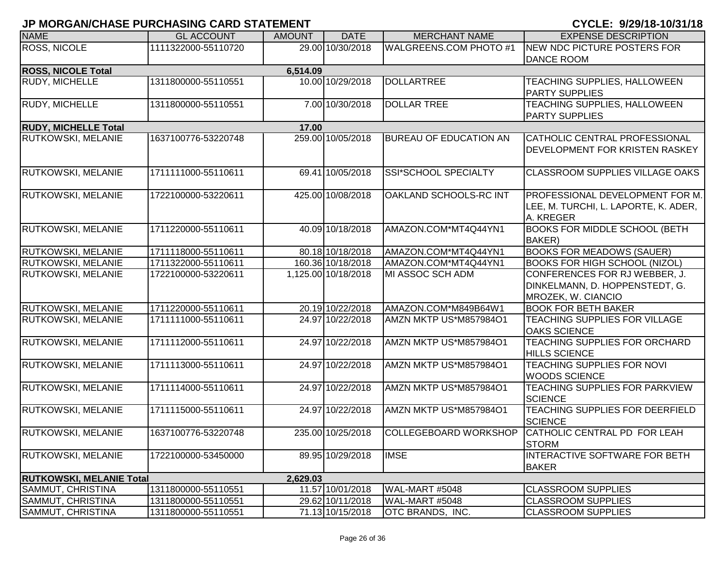| <b>NAME</b>                     | <b>GL ACCOUNT</b>   | <b>AMOUNT</b> | <b>DATE</b>         | <b>MERCHANT NAME</b>          | <b>EXPENSE DESCRIPTION</b>                                                                  |
|---------------------------------|---------------------|---------------|---------------------|-------------------------------|---------------------------------------------------------------------------------------------|
| <b>ROSS, NICOLE</b>             | 1111322000-55110720 |               | 29.00 10/30/2018    | <b>WALGREENS.COM PHOTO #1</b> | NEW NDC PICTURE POSTERS FOR<br><b>DANCE ROOM</b>                                            |
| <b>ROSS, NICOLE Total</b>       |                     | 6,514.09      |                     |                               |                                                                                             |
| RUDY, MICHELLE                  | 1311800000-55110551 |               | 10.00 10/29/2018    | <b>DOLLARTREE</b>             | TEACHING SUPPLIES, HALLOWEEN<br><b>PARTY SUPPLIES</b>                                       |
| <b>RUDY, MICHELLE</b>           | 1311800000-55110551 |               | 7.00 10/30/2018     | <b>DOLLAR TREE</b>            | <b>TEACHING SUPPLIES, HALLOWEEN</b><br><b>PARTY SUPPLIES</b>                                |
| <b>RUDY, MICHELLE Total</b>     |                     | 17.00         |                     |                               |                                                                                             |
| <b>RUTKOWSKI, MELANIE</b>       | 1637100776-53220748 |               | 259.00 10/05/2018   | <b>BUREAU OF EDUCATION AN</b> | CATHOLIC CENTRAL PROFESSIONAL<br>DEVELOPMENT FOR KRISTEN RASKEY                             |
| RUTKOWSKI, MELANIE              | 1711111000-55110611 |               | 69.41 10/05/2018    | SSI*SCHOOL SPECIALTY          | <b>CLASSROOM SUPPLIES VILLAGE OAKS</b>                                                      |
| RUTKOWSKI, MELANIE              | 1722100000-53220611 |               | 425.00 10/08/2018   | OAKLAND SCHOOLS-RC INT        | <b>PROFESSIONAL DEVELOPMENT FOR M.</b><br>LEE, M. TURCHI, L. LAPORTE, K. ADER,<br>A. KREGER |
| <b>RUTKOWSKI, MELANIE</b>       | 1711220000-55110611 |               | 40.09 10/18/2018    | AMAZON.COM*MT4Q44YN1          | <b>BOOKS FOR MIDDLE SCHOOL (BETH)</b><br><b>BAKER</b> )                                     |
| RUTKOWSKI, MELANIE              | 1711118000-55110611 |               | 80.18 10/18/2018    | AMAZON.COM*MT4Q44YN1          | <b>BOOKS FOR MEADOWS (SAUER)</b>                                                            |
| <b>RUTKOWSKI, MELANIE</b>       | 1711322000-55110611 |               | 160.36 10/18/2018   | AMAZON.COM*MT4Q44YN1          | <b>BOOKS FOR HIGH SCHOOL (NIZOL)</b>                                                        |
| RUTKOWSKI, MELANIE              | 1722100000-53220611 |               | 1,125.00 10/18/2018 | MI ASSOC SCH ADM              | CONFERENCES FOR RJ WEBBER, J.<br>DINKELMANN, D. HOPPENSTEDT, G.<br>MROZEK, W. CIANCIO       |
| <b>RUTKOWSKI, MELANIE</b>       | 1711220000-55110611 |               | 20.19 10/22/2018    | AMAZON.COM*M849B64W1          | <b>BOOK FOR BETH BAKER</b>                                                                  |
| <b>RUTKOWSKI, MELANIE</b>       | 1711111000-55110611 |               | 24.97 10/22/2018    | AMZN MKTP US*M857984O1        | TEACHING SUPPLIES FOR VILLAGE<br><b>OAKS SCIENCE</b>                                        |
| RUTKOWSKI, MELANIE              | 1711112000-55110611 |               | 24.97 10/22/2018    | AMZN MKTP US*M857984O1        | TEACHING SUPPLIES FOR ORCHARD<br><b>HILLS SCIENCE</b>                                       |
| RUTKOWSKI, MELANIE              | 1711113000-55110611 |               | 24.97 10/22/2018    | AMZN MKTP US*M857984O1        | TEACHING SUPPLIES FOR NOVI<br><b>WOODS SCIENCE</b>                                          |
| RUTKOWSKI, MELANIE              | 1711114000-55110611 |               | 24.97 10/22/2018    | AMZN MKTP US*M857984O1        | TEACHING SUPPLIES FOR PARKVIEW<br><b>SCIENCE</b>                                            |
| RUTKOWSKI, MELANIE              | 1711115000-55110611 |               | 24.97 10/22/2018    | AMZN MKTP US*M857984O1        | TEACHING SUPPLIES FOR DEERFIELD<br><b>SCIENCE</b>                                           |
| RUTKOWSKI, MELANIE              | 1637100776-53220748 |               | 235.00 10/25/2018   | COLLEGEBOARD WORKSHOP         | CATHOLIC CENTRAL PD FOR LEAH<br><b>STORM</b>                                                |
| RUTKOWSKI, MELANIE              | 1722100000-53450000 |               | 89.95 10/29/2018    | <b>IMSE</b>                   | INTERACTIVE SOFTWARE FOR BETH<br><b>BAKER</b>                                               |
| <b>RUTKOWSKI, MELANIE Total</b> |                     | 2,629.03      |                     |                               |                                                                                             |
| SAMMUT, CHRISTINA               | 1311800000-55110551 |               | 11.57 10/01/2018    | WAL-MART #5048                | <b>CLASSROOM SUPPLIES</b>                                                                   |
| SAMMUT, CHRISTINA               | 1311800000-55110551 |               | 29.62 10/11/2018    | WAL-MART #5048                | <b>CLASSROOM SUPPLIES</b>                                                                   |
| SAMMUT, CHRISTINA               | 1311800000-55110551 |               | 71.13 10/15/2018    | OTC BRANDS, INC.              | <b>CLASSROOM SUPPLIES</b>                                                                   |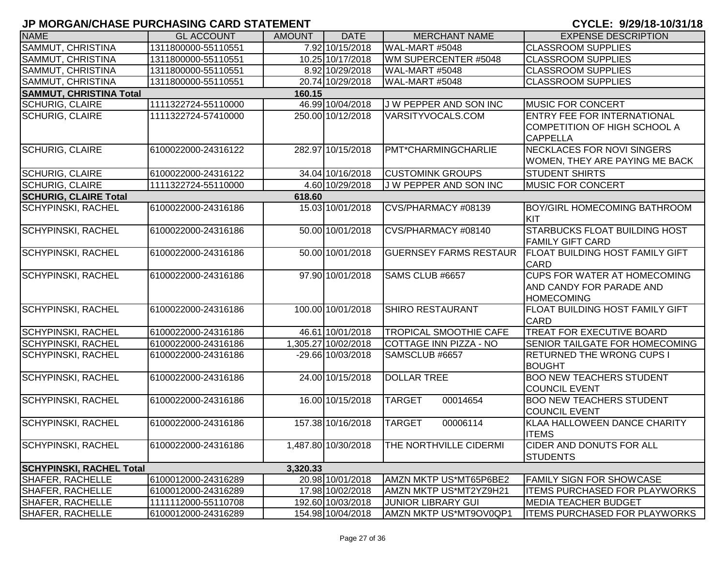| <b>NAME</b>                     | <b>GL ACCOUNT</b>   | <b>AMOUNT</b> | <b>DATE</b>         | <b>MERCHANT NAME</b>          | <b>EXPENSE DESCRIPTION</b>                                                            |
|---------------------------------|---------------------|---------------|---------------------|-------------------------------|---------------------------------------------------------------------------------------|
| SAMMUT, CHRISTINA               | 1311800000-55110551 |               | 7.92 10/15/2018     | WAL-MART #5048                | <b>CLASSROOM SUPPLIES</b>                                                             |
| SAMMUT, CHRISTINA               | 1311800000-55110551 |               | 10.25 10/17/2018    | WM SUPERCENTER #5048          | <b>CLASSROOM SUPPLIES</b>                                                             |
| SAMMUT, CHRISTINA               | 1311800000-55110551 |               | 8.92 10/29/2018     | WAL-MART #5048                | <b>CLASSROOM SUPPLIES</b>                                                             |
| SAMMUT, CHRISTINA               | 1311800000-55110551 |               | 20.74 10/29/2018    | WAL-MART #5048                | <b>CLASSROOM SUPPLIES</b>                                                             |
| <b>SAMMUT, CHRISTINA Total</b>  |                     | 160.15        |                     |                               |                                                                                       |
| <b>SCHURIG, CLAIRE</b>          | 1111322724-55110000 |               | 46.99 10/04/2018    | J W PEPPER AND SON INC        | <b>MUSIC FOR CONCERT</b>                                                              |
| <b>SCHURIG, CLAIRE</b>          | 1111322724-57410000 |               | 250.00 10/12/2018   | VARSITYVOCALS.COM             | <b>ENTRY FEE FOR INTERNATIONAL</b><br>COMPETITION OF HIGH SCHOOL A<br><b>CAPPELLA</b> |
| <b>SCHURIG, CLAIRE</b>          | 6100022000-24316122 |               | 282.97 10/15/2018   | PMT*CHARMINGCHARLIE           | <b>NECKLACES FOR NOVI SINGERS</b><br>WOMEN, THEY ARE PAYING ME BACK                   |
| <b>SCHURIG, CLAIRE</b>          | 6100022000-24316122 |               | 34.04 10/16/2018    | <b>CUSTOMINK GROUPS</b>       | <b>STUDENT SHIRTS</b>                                                                 |
| <b>SCHURIG, CLAIRE</b>          | 1111322724-55110000 |               | 4.60 10/29/2018     | J W PEPPER AND SON INC        | <b>MUSIC FOR CONCERT</b>                                                              |
| <b>SCHURIG, CLAIRE Total</b>    |                     | 618.60        |                     |                               |                                                                                       |
| <b>SCHYPINSKI, RACHEL</b>       | 6100022000-24316186 |               | 15.03 10/01/2018    | CVS/PHARMACY #08139           | <b>BOY/GIRL HOMECOMING BATHROOM</b><br>KIT                                            |
| <b>SCHYPINSKI, RACHEL</b>       | 6100022000-24316186 |               | 50.00 10/01/2018    | CVS/PHARMACY #08140           | <b>STARBUCKS FLOAT BUILDING HOST</b><br><b>FAMILY GIFT CARD</b>                       |
| <b>SCHYPINSKI, RACHEL</b>       | 6100022000-24316186 |               | 50.00 10/01/2018    | <b>GUERNSEY FARMS RESTAUR</b> | <b>FLOAT BUILDING HOST FAMILY GIFT</b><br><b>CARD</b>                                 |
| <b>SCHYPINSKI, RACHEL</b>       | 6100022000-24316186 |               | 97.90 10/01/2018    | SAMS CLUB #6657               | <b>CUPS FOR WATER AT HOMECOMING</b><br>AND CANDY FOR PARADE AND<br><b>HOMECOMING</b>  |
| <b>SCHYPINSKI, RACHEL</b>       | 6100022000-24316186 |               | 100.00 10/01/2018   | <b>SHIRO RESTAURANT</b>       | FLOAT BUILDING HOST FAMILY GIFT<br><b>CARD</b>                                        |
| SCHYPINSKI, RACHEL              | 6100022000-24316186 |               | 46.61 10/01/2018    | <b>TROPICAL SMOOTHIE CAFE</b> | TREAT FOR EXECUTIVE BOARD                                                             |
| <b>SCHYPINSKI, RACHEL</b>       | 6100022000-24316186 |               | 1,305.27 10/02/2018 | COTTAGE INN PIZZA - NO        | <b>SENIOR TAILGATE FOR HOMECOMING</b>                                                 |
| SCHYPINSKI, RACHEL              | 6100022000-24316186 |               | -29.66 10/03/2018   | SAMSCLUB #6657                | <b>RETURNED THE WRONG CUPS I</b><br><b>BOUGHT</b>                                     |
| <b>SCHYPINSKI, RACHEL</b>       | 6100022000-24316186 |               | 24.00 10/15/2018    | <b>DOLLAR TREE</b>            | <b>BOO NEW TEACHERS STUDENT</b><br><b>COUNCIL EVENT</b>                               |
| <b>SCHYPINSKI, RACHEL</b>       | 6100022000-24316186 |               | 16.00 10/15/2018    | 00014654<br><b>TARGET</b>     | <b>BOO NEW TEACHERS STUDENT</b><br><b>COUNCIL EVENT</b>                               |
| <b>SCHYPINSKI, RACHEL</b>       | 6100022000-24316186 |               | 157.38 10/16/2018   | <b>TARGET</b><br>00006114     | KLAA HALLOWEEN DANCE CHARITY<br><b>ITEMS</b>                                          |
| <b>SCHYPINSKI, RACHEL</b>       | 6100022000-24316186 |               | 1,487.80 10/30/2018 | THE NORTHVILLE CIDERMI        | <b>CIDER AND DONUTS FOR ALL</b><br><b>STUDENTS</b>                                    |
| <b>SCHYPINSKI, RACHEL Total</b> |                     | 3,320.33      |                     |                               |                                                                                       |
| SHAFER, RACHELLE                | 6100012000-24316289 |               | 20.98 10/01/2018    | AMZN MKTP US*MT65P6BE2        | <b>FAMILY SIGN FOR SHOWCASE</b>                                                       |
| SHAFER, RACHELLE                | 6100012000-24316289 |               | 17.98 10/02/2018    | AMZN MKTP US*MT2YZ9H21        | <b>ITEMS PURCHASED FOR PLAYWORKS</b>                                                  |
| SHAFER, RACHELLE                | 1111112000-55110708 |               | 192.60 10/03/2018   | <b>JUNIOR LIBRARY GUI</b>     | MEDIA TEACHER BUDGET                                                                  |
| SHAFER, RACHELLE                | 6100012000-24316289 |               | 154.98 10/04/2018   | AMZN MKTP US*MT9OV0QP1        | <b>ITEMS PURCHASED FOR PLAYWORKS</b>                                                  |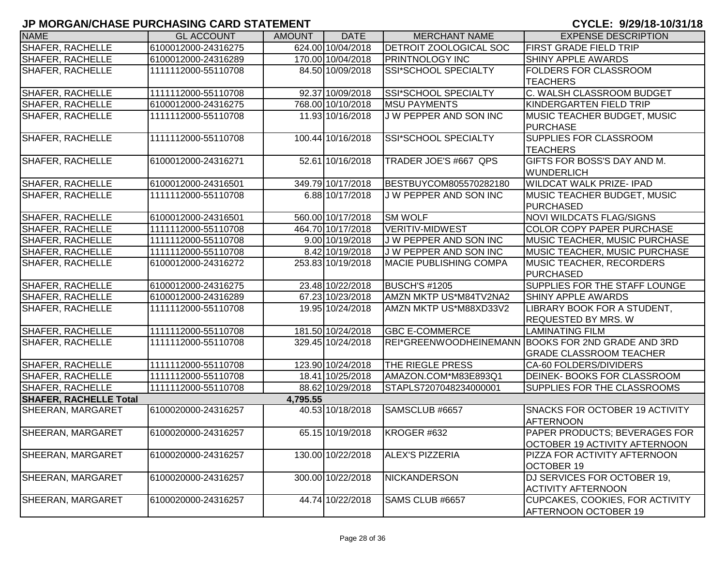| <b>NAME</b>                   | <b>GL ACCOUNT</b>   | <b>AMOUNT</b> | <b>DATE</b>       | <b>MERCHANT NAME</b>          | <b>EXPENSE DESCRIPTION</b>                         |
|-------------------------------|---------------------|---------------|-------------------|-------------------------------|----------------------------------------------------|
| SHAFER, RACHELLE              | 6100012000-24316275 |               | 624.00 10/04/2018 | DETROIT ZOOLOGICAL SOC        | <b>FIRST GRADE FIELD TRIP</b>                      |
| SHAFER, RACHELLE              | 6100012000-24316289 |               | 170.00 10/04/2018 | <b>PRINTNOLOGY INC</b>        | <b>SHINY APPLE AWARDS</b>                          |
| <b>SHAFER, RACHELLE</b>       | 1111112000-55110708 |               | 84.50 10/09/2018  | SSI*SCHOOL SPECIALTY          | <b>FOLDERS FOR CLASSROOM</b>                       |
|                               |                     |               |                   |                               | <b>TEACHERS</b>                                    |
| SHAFER, RACHELLE              | 1111112000-55110708 |               | 92.37 10/09/2018  | SSI*SCHOOL SPECIALTY          | C. WALSH CLASSROOM BUDGET                          |
| SHAFER, RACHELLE              | 6100012000-24316275 |               | 768.00 10/10/2018 | <b>MSU PAYMENTS</b>           | KINDERGARTEN FIELD TRIP                            |
| SHAFER, RACHELLE              | 1111112000-55110708 |               | 11.93 10/16/2018  | J W PEPPER AND SON INC        | <b>MUSIC TEACHER BUDGET, MUSIC</b>                 |
|                               |                     |               |                   |                               | <b>PURCHASE</b>                                    |
| SHAFER, RACHELLE              | 1111112000-55110708 |               | 100.44 10/16/2018 | SSI*SCHOOL SPECIALTY          | <b>SUPPLIES FOR CLASSROOM</b>                      |
|                               |                     |               |                   |                               | <b>TEACHERS</b>                                    |
| <b>SHAFER, RACHELLE</b>       | 6100012000-24316271 |               | 52.61 10/16/2018  | TRADER JOE'S #667 QPS         | GIFTS FOR BOSS'S DAY AND M.                        |
|                               |                     |               |                   |                               | <b>WUNDERLICH</b>                                  |
| SHAFER, RACHELLE              | 6100012000-24316501 |               | 349.79 10/17/2018 | BESTBUYCOM805570282180        | <b>WILDCAT WALK PRIZE- IPAD</b>                    |
| SHAFER, RACHELLE              | 1111112000-55110708 |               | 6.88 10/17/2018   | J W PEPPER AND SON INC        | MUSIC TEACHER BUDGET, MUSIC                        |
|                               |                     |               |                   |                               | <b>PURCHASED</b>                                   |
| SHAFER, RACHELLE              | 6100012000-24316501 |               | 560.00 10/17/2018 | <b>SM WOLF</b>                | <b>NOVI WILDCATS FLAG/SIGNS</b>                    |
| <b>SHAFER, RACHELLE</b>       | 1111112000-55110708 |               | 464.70 10/17/2018 | <b>VERITIV-MIDWEST</b>        | <b>COLOR COPY PAPER PURCHASE</b>                   |
| SHAFER, RACHELLE              | 1111112000-55110708 |               | 9.00 10/19/2018   | J W PEPPER AND SON INC        | <b>IMUSIC TEACHER, MUSIC PURCHASE</b>              |
| SHAFER, RACHELLE              | 1111112000-55110708 |               | 8.42 10/19/2018   | J W PEPPER AND SON INC        | <b>MUSIC TEACHER, MUSIC PURCHASE</b>               |
| SHAFER, RACHELLE              | 6100012000-24316272 |               | 253.83 10/19/2018 | <b>MACIE PUBLISHING COMPA</b> | <b>MUSIC TEACHER, RECORDERS</b>                    |
|                               |                     |               |                   |                               | PURCHASED                                          |
| <b>SHAFER, RACHELLE</b>       | 6100012000-24316275 |               | 23.48 10/22/2018  | <b>BUSCH'S #1205</b>          | SUPPLIES FOR THE STAFF LOUNGE                      |
| SHAFER, RACHELLE              | 6100012000-24316289 |               | 67.23 10/23/2018  | AMZN MKTP US*M84TV2NA2        | <b>SHINY APPLE AWARDS</b>                          |
| SHAFER, RACHELLE              | 1111112000-55110708 |               | 19.95 10/24/2018  | AMZN MKTP US*M88XD33V2        | LIBRARY BOOK FOR A STUDENT,                        |
|                               |                     |               |                   |                               | <b>REQUESTED BY MRS. W</b>                         |
| <b>SHAFER, RACHELLE</b>       | 1111112000-55110708 |               | 181.50 10/24/2018 | <b>GBC E-COMMERCE</b>         | <b>LAMINATING FILM</b>                             |
| SHAFER, RACHELLE              | 1111112000-55110708 |               | 329.45 10/24/2018 |                               | REI*GREENWOODHEINEMANN BOOKS FOR 2ND GRADE AND 3RD |
|                               |                     |               |                   |                               | <b>GRADE CLASSROOM TEACHER</b>                     |
| SHAFER, RACHELLE              | 1111112000-55110708 |               | 123.90 10/24/2018 | <b>THE RIEGLE PRESS</b>       | CA-60 FOLDERS/DIVIDERS                             |
| SHAFER, RACHELLE              | 1111112000-55110708 |               | 18.41 10/25/2018  | AMAZON.COM*M83E893Q1          | DEINEK- BOOKS FOR CLASSROOM                        |
| SHAFER, RACHELLE              | 1111112000-55110708 |               | 88.62 10/29/2018  | STAPLS7207048234000001        | SUPPLIES FOR THE CLASSROOMS                        |
| <b>SHAFER, RACHELLE Total</b> |                     | 4,795.55      |                   |                               |                                                    |
| SHEERAN, MARGARET             | 6100020000-24316257 |               | 40.53 10/18/2018  | SAMSCLUB #6657                | SNACKS FOR OCTOBER 19 ACTIVITY                     |
|                               |                     |               |                   |                               | <b>AFTERNOON</b>                                   |
| <b>SHEERAN, MARGARET</b>      | 6100020000-24316257 |               | 65.15 10/19/2018  | KROGER #632                   | PAPER PRODUCTS; BEVERAGES FOR                      |
|                               |                     |               |                   |                               | OCTOBER 19 ACTIVITY AFTERNOON                      |
| <b>SHEERAN, MARGARET</b>      | 6100020000-24316257 |               | 130.00 10/22/2018 | <b>ALEX'S PIZZERIA</b>        | PIZZA FOR ACTIVITY AFTERNOON                       |
|                               |                     |               |                   |                               | <b>OCTOBER 19</b>                                  |
| SHEERAN, MARGARET             | 6100020000-24316257 |               | 300.00 10/22/2018 | <b>NICKANDERSON</b>           | DJ SERVICES FOR OCTOBER 19,                        |
|                               |                     |               |                   |                               | <b>ACTIVITY AFTERNOON</b>                          |
| SHEERAN, MARGARET             | 6100020000-24316257 |               | 44.74 10/22/2018  | SAMS CLUB #6657               | <b>CUPCAKES, COOKIES, FOR ACTIVITY</b>             |
|                               |                     |               |                   |                               | AFTERNOON OCTOBER 19                               |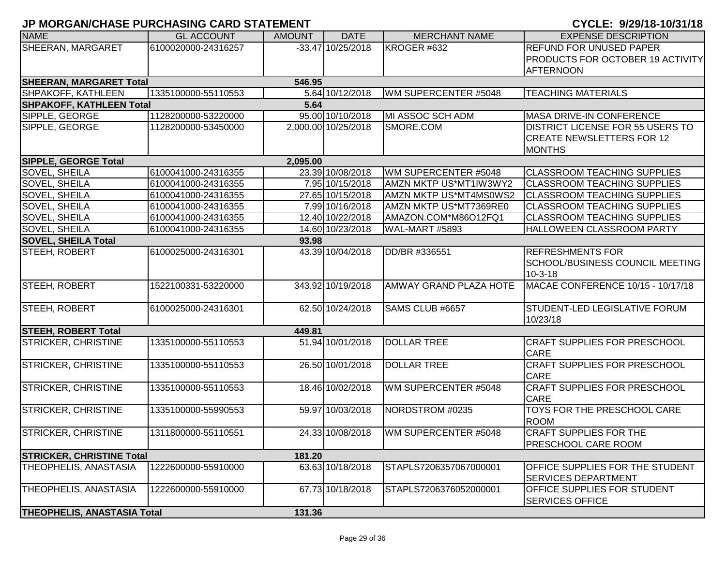|  |  |  |  | CYCLE: 9/29/18-10/31/18 |  |  |  |  |  |
|--|--|--|--|-------------------------|--|--|--|--|--|
|--|--|--|--|-------------------------|--|--|--|--|--|

| <b>NAME</b>                        | <b>GL ACCOUNT</b>   | <b>AMOUNT</b> | <b>DATE</b>         | <b>MERCHANT NAME</b>          | <b>EXPENSE DESCRIPTION</b>              |
|------------------------------------|---------------------|---------------|---------------------|-------------------------------|-----------------------------------------|
| SHEERAN, MARGARET                  | 6100020000-24316257 |               | $-33.47$ 10/25/2018 | KROGER #632                   | <b>REFUND FOR UNUSED PAPER</b>          |
|                                    |                     |               |                     |                               | <b>PRODUCTS FOR OCTOBER 19 ACTIVITY</b> |
|                                    |                     |               |                     |                               | <b>AFTERNOON</b>                        |
| <b>SHEERAN, MARGARET Total</b>     |                     | 546.95        |                     |                               |                                         |
| SHPAKOFF, KATHLEEN                 | 1335100000-55110553 |               | 5.64 10/12/2018     | WM SUPERCENTER #5048          | <b>TEACHING MATERIALS</b>               |
| <b>SHPAKOFF, KATHLEEN Total</b>    |                     | 5.64          |                     |                               |                                         |
| SIPPLE, GEORGE                     | 1128200000-53220000 |               | 95.00 10/10/2018    | MI ASSOC SCH ADM              | MASA DRIVE-IN CONFERENCE                |
| SIPPLE, GEORGE                     | 1128200000-53450000 |               | 2,000.00 10/25/2018 | SMORE.COM                     | <b>DISTRICT LICENSE FOR 55 USERS TO</b> |
|                                    |                     |               |                     |                               | <b>CREATE NEWSLETTERS FOR 12</b>        |
|                                    |                     |               |                     |                               | <b>MONTHS</b>                           |
| <b>SIPPLE, GEORGE Total</b>        |                     | 2,095.00      |                     |                               |                                         |
| SOVEL, SHEILA                      | 6100041000-24316355 |               | 23.39 10/08/2018    | WM SUPERCENTER #5048          | <b>CLASSROOM TEACHING SUPPLIES</b>      |
| SOVEL, SHEILA                      | 6100041000-24316355 |               | 7.95 10/15/2018     | AMZN MKTP US*MT1IW3WY2        | <b>CLASSROOM TEACHING SUPPLIES</b>      |
| SOVEL, SHEILA                      | 6100041000-24316355 |               | 27.65 10/15/2018    | AMZN MKTP US*MT4MS0WS2        | <b>CLASSROOM TEACHING SUPPLIES</b>      |
| SOVEL, SHEILA                      | 6100041000-24316355 |               | 7.99 10/16/2018     | AMZN MKTP US*MT7369RE0        | <b>CLASSROOM TEACHING SUPPLIES</b>      |
| SOVEL, SHEILA                      | 6100041000-24316355 |               | 12.40 10/22/2018    | AMAZON.COM*M86O12FQ1          | <b>CLASSROOM TEACHING SUPPLIES</b>      |
| SOVEL, SHEILA                      | 6100041000-24316355 |               | 14.60 10/23/2018    | WAL-MART #5893                | HALLOWEEN CLASSROOM PARTY               |
| <b>SOVEL, SHEILA Total</b>         |                     | 93.98         |                     |                               |                                         |
| STEEH, ROBERT                      | 6100025000-24316301 |               | 43.39 10/04/2018    | DD/BR #336551                 | <b>REFRESHMENTS FOR</b>                 |
|                                    |                     |               |                     |                               | <b>SCHOOL/BUSINESS COUNCIL MEETING</b>  |
|                                    |                     |               |                     |                               | $10-3-18$                               |
| STEEH, ROBERT                      | 1522100331-53220000 |               | 343.92 10/19/2018   | <b>AMWAY GRAND PLAZA HOTE</b> | MACAE CONFERENCE 10/15 - 10/17/18       |
|                                    |                     |               |                     |                               |                                         |
| STEEH, ROBERT                      | 6100025000-24316301 |               | 62.50 10/24/2018    | SAMS CLUB #6657               | STUDENT-LED LEGISLATIVE FORUM           |
|                                    |                     |               |                     |                               | 10/23/18                                |
| <b>STEEH, ROBERT Total</b>         |                     | 449.81        |                     |                               |                                         |
| STRICKER, CHRISTINE                | 1335100000-55110553 |               | 51.94 10/01/2018    | <b>DOLLAR TREE</b>            | <b>CRAFT SUPPLIES FOR PRESCHOOL</b>     |
|                                    |                     |               |                     |                               | <b>CARE</b>                             |
| STRICKER, CHRISTINE                | 1335100000-55110553 |               | 26.50 10/01/2018    | <b>DOLLAR TREE</b>            | <b>CRAFT SUPPLIES FOR PRESCHOOL</b>     |
|                                    |                     |               |                     |                               | <b>CARE</b>                             |
| <b>STRICKER, CHRISTINE</b>         | 1335100000-55110553 |               | 18.46 10/02/2018    | WM SUPERCENTER #5048          | <b>CRAFT SUPPLIES FOR PRESCHOOL</b>     |
|                                    |                     |               |                     |                               | <b>CARE</b>                             |
| STRICKER, CHRISTINE                | 1335100000-55990553 |               | 59.97 10/03/2018    | NORDSTROM #0235               | TOYS FOR THE PRESCHOOL CARE             |
|                                    |                     |               |                     |                               | <b>ROOM</b>                             |
| <b>STRICKER, CHRISTINE</b>         | 1311800000-55110551 |               | 24.33 10/08/2018    | WM SUPERCENTER #5048          | <b>CRAFT SUPPLIES FOR THE</b>           |
|                                    |                     |               |                     |                               | <b>PRESCHOOL CARE ROOM</b>              |
| <b>STRICKER, CHRISTINE Total</b>   |                     | 181.20        |                     |                               |                                         |
| THEOPHELIS, ANASTASIA              | 1222600000-55910000 |               | 63.63 10/18/2018    | STAPLS7206357067000001        | OFFICE SUPPLIES FOR THE STUDENT         |
|                                    |                     |               |                     |                               | <b>SERVICES DEPARTMENT</b>              |
| THEOPHELIS, ANASTASIA              | 1222600000-55910000 |               | 67.73 10/18/2018    | STAPLS7206376052000001        | <b>OFFICE SUPPLIES FOR STUDENT</b>      |
|                                    |                     |               |                     |                               | <b>SERVICES OFFICE</b>                  |
| <b>THEOPHELIS, ANASTASIA Total</b> |                     | 131.36        |                     |                               |                                         |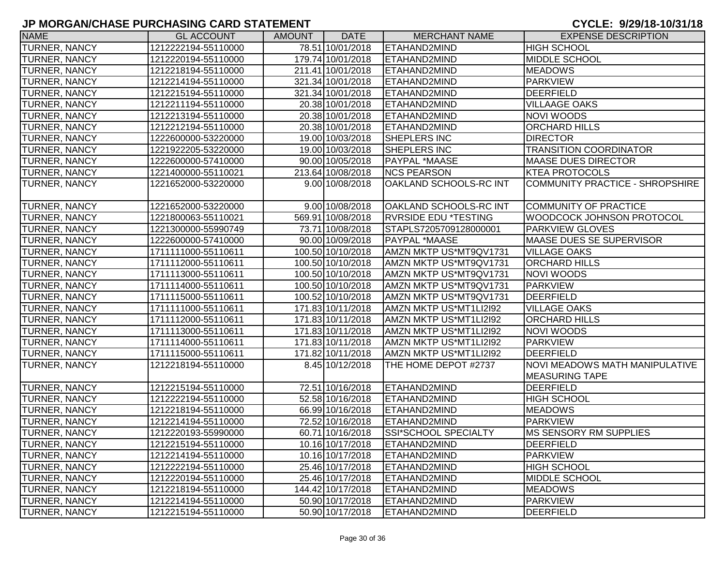| <b>NAME</b>          | <b>GL ACCOUNT</b>   | <b>AMOUNT</b> | <b>DATE</b>       | <b>MERCHANT NAME</b>        | <b>EXPENSE DESCRIPTION</b>      |
|----------------------|---------------------|---------------|-------------------|-----------------------------|---------------------------------|
| <b>TURNER, NANCY</b> | 1212222194-55110000 |               | 78.51 10/01/2018  | <b>ETAHAND2MIND</b>         | <b>HIGH SCHOOL</b>              |
| <b>TURNER, NANCY</b> | 1212220194-55110000 |               | 179.74 10/01/2018 | <b>ETAHAND2MIND</b>         | <b>MIDDLE SCHOOL</b>            |
| <b>TURNER, NANCY</b> | 1212218194-55110000 |               | 211.41 10/01/2018 | <b>ETAHAND2MIND</b>         | <b>MEADOWS</b>                  |
| <b>TURNER, NANCY</b> | 1212214194-55110000 |               | 321.34 10/01/2018 | <b>ETAHAND2MIND</b>         | <b>PARKVIEW</b>                 |
| <b>TURNER, NANCY</b> | 1212215194-55110000 |               | 321.34 10/01/2018 | <b>ETAHAND2MIND</b>         | <b>DEERFIELD</b>                |
| <b>TURNER, NANCY</b> | 1212211194-55110000 |               | 20.38 10/01/2018  | <b>ETAHAND2MIND</b>         | <b>VILLAAGE OAKS</b>            |
| <b>TURNER, NANCY</b> | 1212213194-55110000 |               | 20.38 10/01/2018  | <b>ETAHAND2MIND</b>         | NOVI WOODS                      |
| <b>TURNER, NANCY</b> | 1212212194-55110000 |               | 20.38 10/01/2018  | <b>ETAHAND2MIND</b>         | <b>ORCHARD HILLS</b>            |
| <b>TURNER, NANCY</b> | 1222600000-53220000 |               | 19.00 10/03/2018  | <b>SHEPLERS INC</b>         | <b>DIRECTOR</b>                 |
| TURNER, NANCY        | 1221922205-53220000 |               | 19.00 10/03/2018  | SHEPLERS INC                | <b>TRANSITION COORDINATOR</b>   |
| <b>TURNER, NANCY</b> | 1222600000-57410000 |               | 90.00 10/05/2018  | PAYPAL *MAASE               | <b>MAASE DUES DIRECTOR</b>      |
| TURNER, NANCY        | 1221400000-55110021 |               | 213.64 10/08/2018 | <b>NCS PEARSON</b>          | <b>KTEA PROTOCOLS</b>           |
| <b>TURNER, NANCY</b> | 1221652000-53220000 |               | 9.00 10/08/2018   | OAKLAND SCHOOLS-RC INT      | COMMUNITY PRACTICE - SHROPSHIRE |
|                      |                     |               |                   |                             |                                 |
| <b>TURNER, NANCY</b> | 1221652000-53220000 |               | 9.00 10/08/2018   | OAKLAND SCHOOLS-RC INT      | COMMUNITY OF PRACTICE           |
| <b>TURNER, NANCY</b> | 1221800063-55110021 |               | 569.91 10/08/2018 | <b>RVRSIDE EDU *TESTING</b> | WOODCOCK JOHNSON PROTOCOL       |
| <b>TURNER, NANCY</b> | 1221300000-55990749 |               | 73.71 10/08/2018  | STAPLS7205709128000001      | <b>PARKVIEW GLOVES</b>          |
| <b>TURNER, NANCY</b> | 1222600000-57410000 |               | 90.00 10/09/2018  | PAYPAL *MAASE               | <b>MAASE DUES SE SUPERVISOR</b> |
| <b>TURNER, NANCY</b> | 1711111000-55110611 |               | 100.50 10/10/2018 | AMZN MKTP US*MT9QV1731      | <b>VILLAGE OAKS</b>             |
| <b>TURNER, NANCY</b> | 1711112000-55110611 |               | 100.50 10/10/2018 | AMZN MKTP US*MT9QV1731      | <b>ORCHARD HILLS</b>            |
| <b>TURNER, NANCY</b> | 1711113000-55110611 |               | 100.50 10/10/2018 | AMZN MKTP US*MT9QV1731      | <b>NOVI WOODS</b>               |
| <b>TURNER, NANCY</b> | 1711114000-55110611 |               | 100.50 10/10/2018 | AMZN MKTP US*MT9QV1731      | <b>PARKVIEW</b>                 |
| <b>TURNER, NANCY</b> | 1711115000-55110611 |               | 100.52 10/10/2018 | AMZN MKTP US*MT9QV1731      | DEERFIELD                       |
| <b>TURNER, NANCY</b> | 1711111000-55110611 |               | 171.83 10/11/2018 | AMZN MKTP US*MT1LI2I92      | <b>VILLAGE OAKS</b>             |
| <b>TURNER, NANCY</b> | 1711112000-55110611 |               | 171.83 10/11/2018 | AMZN MKTP US*MT1LI2I92      | <b>ORCHARD HILLS</b>            |
| <b>TURNER, NANCY</b> | 1711113000-55110611 |               | 171.83 10/11/2018 | AMZN MKTP US*MT1LI2I92      | <b>NOVI WOODS</b>               |
| <b>TURNER, NANCY</b> | 1711114000-55110611 |               | 171.83 10/11/2018 | AMZN MKTP US*MT1LI2I92      | <b>PARKVIEW</b>                 |
| <b>TURNER, NANCY</b> | 1711115000-55110611 |               | 171.82 10/11/2018 | AMZN MKTP US*MT1LI2I92      | DEERFIELD                       |
| <b>TURNER, NANCY</b> | 1212218194-55110000 |               | 8.45 10/12/2018   | THE HOME DEPOT #2737        | NOVI MEADOWS MATH MANIPULATIVE  |
|                      |                     |               |                   |                             | <b>MEASURING TAPE</b>           |
| <b>TURNER, NANCY</b> | 1212215194-55110000 |               | 72.51 10/16/2018  | <b>ETAHAND2MIND</b>         | <b>DEERFIELD</b>                |
| <b>TURNER, NANCY</b> | 1212222194-55110000 |               | 52.58 10/16/2018  | <b>ETAHAND2MIND</b>         | <b>HIGH SCHOOL</b>              |
| <b>TURNER, NANCY</b> | 1212218194-55110000 |               | 66.99 10/16/2018  | <b>ETAHAND2MIND</b>         | <b>MEADOWS</b>                  |
| <b>TURNER, NANCY</b> | 1212214194-55110000 |               | 72.52 10/16/2018  | <b>ETAHAND2MIND</b>         | <b>PARKVIEW</b>                 |
| <b>TURNER, NANCY</b> | 1212220193-55990000 |               | 60.71 10/16/2018  | SSI*SCHOOL SPECIALTY        | <b>MS SENSORY RM SUPPLIES</b>   |
| <b>TURNER, NANCY</b> | 1212215194-55110000 |               | 10.16 10/17/2018  | ETAHAND2MIND                | DEERFIELD                       |
| <b>TURNER, NANCY</b> | 1212214194-55110000 |               | 10.16 10/17/2018  | ETAHAND2MIND                | <b>PARKVIEW</b>                 |
| <b>TURNER, NANCY</b> | 1212222194-55110000 |               | 25.46 10/17/2018  | <b>ETAHAND2MIND</b>         | <b>HIGH SCHOOL</b>              |
| <b>TURNER, NANCY</b> | 1212220194-55110000 |               | 25.46 10/17/2018  | ETAHAND2MIND                | <b>MIDDLE SCHOOL</b>            |
| <b>TURNER, NANCY</b> | 1212218194-55110000 |               | 144.42 10/17/2018 | <b>ETAHAND2MIND</b>         | <b>MEADOWS</b>                  |
| <b>TURNER, NANCY</b> | 1212214194-55110000 |               | 50.90 10/17/2018  | <b>ETAHAND2MIND</b>         | <b>PARKVIEW</b>                 |
| <b>TURNER, NANCY</b> | 1212215194-55110000 |               | 50.90 10/17/2018  | ETAHAND2MIND                | <b>DEERFIELD</b>                |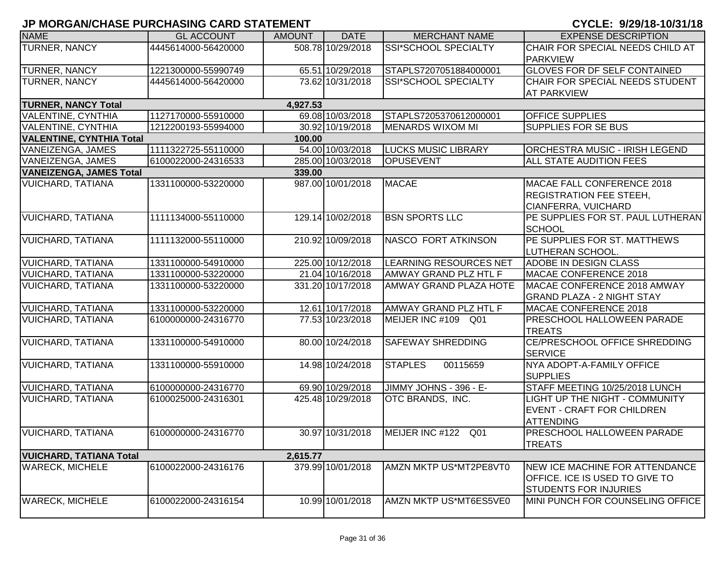| <b>NAME</b>                     | <b>GL ACCOUNT</b>   | <b>AMOUNT</b> | <b>DATE</b>       | <b>MERCHANT NAME</b>          | <b>EXPENSE DESCRIPTION</b>            |
|---------------------------------|---------------------|---------------|-------------------|-------------------------------|---------------------------------------|
| <b>TURNER, NANCY</b>            | 4445614000-56420000 |               | 508.78 10/29/2018 | SSI*SCHOOL SPECIALTY          | CHAIR FOR SPECIAL NEEDS CHILD AT      |
|                                 |                     |               |                   |                               | <b>PARKVIEW</b>                       |
| <b>TURNER, NANCY</b>            | 1221300000-55990749 |               | 65.51 10/29/2018  | STAPLS7207051884000001        | <b>GLOVES FOR DF SELF CONTAINED</b>   |
| <b>TURNER, NANCY</b>            | 4445614000-56420000 |               | 73.62 10/31/2018  | SSI*SCHOOL SPECIALTY          | CHAIR FOR SPECIAL NEEDS STUDENT       |
|                                 |                     |               |                   |                               | <b>AT PARKVIEW</b>                    |
| <b>TURNER, NANCY Total</b>      |                     | 4,927.53      |                   |                               |                                       |
| <b>VALENTINE, CYNTHIA</b>       | 1127170000-55910000 |               | 69.08 10/03/2018  | STAPLS7205370612000001        | <b>OFFICE SUPPLIES</b>                |
| <b>VALENTINE, CYNTHIA</b>       | 1212200193-55994000 |               | 30.92 10/19/2018  | <b>MENARDS WIXOM MI</b>       | <b>SUPPLIES FOR SE BUS</b>            |
| <b>VALENTINE, CYNTHIA Total</b> |                     | 100.00        |                   |                               |                                       |
| VANEIZENGA, JAMES               | 1111322725-55110000 |               | 54.00 10/03/2018  | <b>LUCKS MUSIC LIBRARY</b>    | ORCHESTRA MUSIC - IRISH LEGEND        |
| VANEIZENGA, JAMES               | 6100022000-24316533 |               | 285.00 10/03/2018 | <b>OPUSEVENT</b>              | ALL STATE AUDITION FEES               |
| <b>VANEIZENGA, JAMES Total</b>  |                     | 339.00        |                   |                               |                                       |
| <b>VUICHARD, TATIANA</b>        | 1331100000-53220000 |               | 987.00 10/01/2018 | <b>MACAE</b>                  | MACAE FALL CONFERENCE 2018            |
|                                 |                     |               |                   |                               | <b>REGISTRATION FEE STEEH,</b>        |
|                                 |                     |               |                   |                               | <b>CIANFERRA, VUICHARD</b>            |
| <b>VUICHARD, TATIANA</b>        | 1111134000-55110000 |               | 129.14 10/02/2018 | <b>BSN SPORTS LLC</b>         | PE SUPPLIES FOR ST. PAUL LUTHERAN     |
|                                 |                     |               |                   |                               | <b>SCHOOL</b>                         |
| <b>VUICHARD, TATIANA</b>        | 1111132000-55110000 |               | 210.92 10/09/2018 | <b>NASCO FORT ATKINSON</b>    | PE SUPPLIES FOR ST. MATTHEWS          |
|                                 |                     |               |                   |                               | LUTHERAN SCHOOL.                      |
| <b>VUICHARD, TATIANA</b>        | 1331100000-54910000 |               | 225.00 10/12/2018 | <b>LEARNING RESOURCES NET</b> | <b>ADOBE IN DESIGN CLASS</b>          |
| <b>VUICHARD, TATIANA</b>        | 1331100000-53220000 |               | 21.04 10/16/2018  | AMWAY GRAND PLZ HTL F         | MACAE CONFERENCE 2018                 |
| <b>VUICHARD, TATIANA</b>        | 1331100000-53220000 |               | 331.20 10/17/2018 | <b>AMWAY GRAND PLAZA HOTE</b> | MACAE CONFERENCE 2018 AMWAY           |
|                                 |                     |               |                   |                               | <b>GRAND PLAZA - 2 NIGHT STAY</b>     |
| <b>VUICHARD, TATIANA</b>        | 1331100000-53220000 |               | 12.61 10/17/2018  | AMWAY GRAND PLZ HTL F         | MACAE CONFERENCE 2018                 |
| <b>VUICHARD, TATIANA</b>        | 6100000000-24316770 |               | 77.53 10/23/2018  | MEIJER INC #109 Q01           | <b>PRESCHOOL HALLOWEEN PARADE</b>     |
|                                 |                     |               |                   |                               | <b>TREATS</b>                         |
| <b>VUICHARD, TATIANA</b>        | 1331100000-54910000 |               | 80.00 10/24/2018  | <b>SAFEWAY SHREDDING</b>      | CE/PRESCHOOL OFFICE SHREDDING         |
|                                 |                     |               |                   |                               | <b>SERVICE</b>                        |
| <b>VUICHARD, TATIANA</b>        | 1331100000-55910000 |               | 14.98 10/24/2018  | <b>STAPLES</b><br>00115659    | NYA ADOPT-A-FAMILY OFFICE             |
|                                 |                     |               |                   |                               | <b>SUPPLIES</b>                       |
| <b>VUICHARD, TATIANA</b>        | 6100000000-24316770 |               | 69.90 10/29/2018  | JIMMY JOHNS - 396 - E-        | STAFF MEETING 10/25/2018 LUNCH        |
| <b>VUICHARD, TATIANA</b>        | 6100025000-24316301 |               | 425.48 10/29/2018 | OTC BRANDS, INC.              | <b>LIGHT UP THE NIGHT - COMMUNITY</b> |
|                                 |                     |               |                   |                               | <b>EVENT - CRAFT FOR CHILDREN</b>     |
|                                 |                     |               |                   |                               | <b>ATTENDING</b>                      |
| <b>VUICHARD, TATIANA</b>        | 6100000000-24316770 |               | 30.97 10/31/2018  | MEIJER INC #122 Q01           | PRESCHOOL HALLOWEEN PARADE            |
|                                 |                     |               |                   |                               | <b>TREATS</b>                         |
| <b>VUICHARD, TATIANA Total</b>  |                     | 2,615.77      |                   |                               |                                       |
| <b>WARECK, MICHELE</b>          | 6100022000-24316176 |               | 379.99 10/01/2018 | AMZN MKTP US*MT2PE8VT0        | <b>NEW ICE MACHINE FOR ATTENDANCE</b> |
|                                 |                     |               |                   |                               | OFFICE. ICE IS USED TO GIVE TO        |
|                                 |                     |               |                   |                               | <b>STUDENTS FOR INJURIES</b>          |
| <b>WARECK, MICHELE</b>          | 6100022000-24316154 |               | 10.99 10/01/2018  | AMZN MKTP US*MT6ES5VE0        | MINI PUNCH FOR COUNSELING OFFICE      |
|                                 |                     |               |                   |                               |                                       |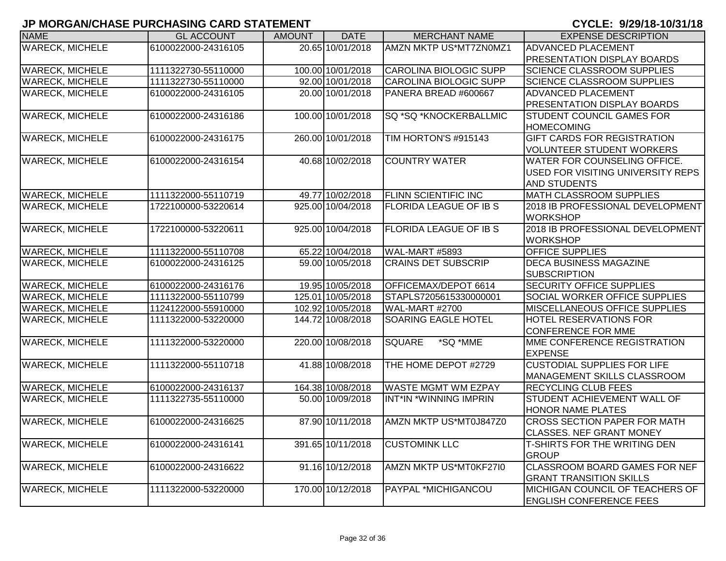| <b>NAME</b>            | <b>GL ACCOUNT</b>   | <b>AMOUNT</b> | <b>DATE</b>       | <b>MERCHANT NAME</b>          | <b>EXPENSE DESCRIPTION</b>           |
|------------------------|---------------------|---------------|-------------------|-------------------------------|--------------------------------------|
| <b>WARECK, MICHELE</b> | 6100022000-24316105 |               | 20.65 10/01/2018  | AMZN MKTP US*MT7ZN0MZ1        | <b>ADVANCED PLACEMENT</b>            |
|                        |                     |               |                   |                               | <b>PRESENTATION DISPLAY BOARDS</b>   |
| <b>WARECK, MICHELE</b> | 1111322730-55110000 |               | 100.00 10/01/2018 | CAROLINA BIOLOGIC SUPP        | <b>SCIENCE CLASSROOM SUPPLIES</b>    |
| <b>WARECK, MICHELE</b> | 1111322730-55110000 |               | 92.00 10/01/2018  | CAROLINA BIOLOGIC SUPP        | <b>SCIENCE CLASSROOM SUPPLIES</b>    |
| <b>WARECK, MICHELE</b> | 6100022000-24316105 |               | 20.00 10/01/2018  | PANERA BREAD #600667          | <b>ADVANCED PLACEMENT</b>            |
|                        |                     |               |                   |                               | <b>PRESENTATION DISPLAY BOARDS</b>   |
| <b>WARECK, MICHELE</b> | 6100022000-24316186 |               | 100.00 10/01/2018 | SQ *SQ *KNOCKERBALLMIC        | STUDENT COUNCIL GAMES FOR            |
|                        |                     |               |                   |                               | <b>HOMECOMING</b>                    |
| <b>WARECK, MICHELE</b> | 6100022000-24316175 |               | 260.00 10/01/2018 | TIM HORTON'S #915143          | <b>GIFT CARDS FOR REGISTRATION</b>   |
|                        |                     |               |                   |                               | <b>VOLUNTEER STUDENT WORKERS</b>     |
| <b>WARECK, MICHELE</b> | 6100022000-24316154 |               | 40.68 10/02/2018  | <b>COUNTRY WATER</b>          | WATER FOR COUNSELING OFFICE.         |
|                        |                     |               |                   |                               | USED FOR VISITING UNIVERSITY REPS    |
|                        |                     |               |                   |                               | <b>AND STUDENTS</b>                  |
| <b>WARECK, MICHELE</b> | 1111322000-55110719 |               | 49.77 10/02/2018  | <b>FLINN SCIENTIFIC INC</b>   | <b>MATH CLASSROOM SUPPLIES</b>       |
| <b>WARECK, MICHELE</b> | 1722100000-53220614 |               | 925.00 10/04/2018 | <b>FLORIDA LEAGUE OF IB S</b> | 2018 IB PROFESSIONAL DEVELOPMENT     |
|                        |                     |               |                   |                               | <b>WORKSHOP</b>                      |
| <b>WARECK, MICHELE</b> | 1722100000-53220611 |               | 925.00 10/04/2018 | <b>FLORIDA LEAGUE OF IB S</b> | 2018 IB PROFESSIONAL DEVELOPMENT     |
|                        |                     |               |                   |                               | <b>WORKSHOP</b>                      |
| <b>WARECK, MICHELE</b> | 1111322000-55110708 |               | 65.22 10/04/2018  | WAL-MART #5893                | <b>OFFICE SUPPLIES</b>               |
| <b>WARECK, MICHELE</b> | 6100022000-24316125 |               | 59.00 10/05/2018  | <b>CRAINS DET SUBSCRIP</b>    | <b>DECA BUSINESS MAGAZINE</b>        |
|                        |                     |               |                   |                               | <b>SUBSCRIPTION</b>                  |
| <b>WARECK, MICHELE</b> | 6100022000-24316176 |               | 19.95 10/05/2018  | OFFICEMAX/DEPOT 6614          | <b>SECURITY OFFICE SUPPLIES</b>      |
| <b>WARECK, MICHELE</b> | 1111322000-55110799 |               | 125.01 10/05/2018 | STAPLS7205615330000001        | <b>SOCIAL WORKER OFFICE SUPPLIES</b> |
| <b>WARECK, MICHELE</b> | 1124122000-55910000 |               | 102.92 10/05/2018 | WAL-MART #2700                | <b>MISCELLANEOUS OFFICE SUPPLIES</b> |
| <b>WARECK, MICHELE</b> | 1111322000-53220000 |               | 144.72 10/08/2018 | SOARING EAGLE HOTEL           | <b>HOTEL RESERVATIONS FOR</b>        |
|                        |                     |               |                   |                               | <b>CONFERENCE FOR MME</b>            |
| <b>WARECK, MICHELE</b> | 1111322000-53220000 |               | 220.00 10/08/2018 | <b>SQUARE</b><br>*SQ *MME     | MME CONFERENCE REGISTRATION          |
|                        |                     |               |                   |                               | <b>EXPENSE</b>                       |
| <b>WARECK, MICHELE</b> | 1111322000-55110718 |               | 41.88 10/08/2018  | THE HOME DEPOT #2729          | <b>CUSTODIAL SUPPLIES FOR LIFE</b>   |
|                        |                     |               |                   |                               | <b>MANAGEMENT SKILLS CLASSROOM</b>   |
| <b>WARECK, MICHELE</b> | 6100022000-24316137 |               | 164.38 10/08/2018 | <b>WASTE MGMT WM EZPAY</b>    | <b>RECYCLING CLUB FEES</b>           |
| <b>WARECK, MICHELE</b> | 1111322735-55110000 |               | 50.00 10/09/2018  | INT*IN *WINNING IMPRIN        | STUDENT ACHIEVEMENT WALL OF          |
|                        |                     |               |                   |                               | <b>HONOR NAME PLATES</b>             |
| <b>WARECK, MICHELE</b> | 6100022000-24316625 |               | 87.90 10/11/2018  | AMZN MKTP US*MT0J847Z0        | <b>CROSS SECTION PAPER FOR MATH</b>  |
|                        |                     |               |                   |                               | <b>CLASSES. NEF GRANT MONEY</b>      |
| <b>WARECK, MICHELE</b> | 6100022000-24316141 |               | 391.65 10/11/2018 | <b>CUSTOMINK LLC</b>          | <b>T-SHIRTS FOR THE WRITING DEN</b>  |
|                        |                     |               |                   |                               | <b>GROUP</b>                         |
| <b>WARECK, MICHELE</b> | 6100022000-24316622 |               | 91.16 10/12/2018  | AMZN MKTP US*MT0KF27I0        | CLASSROOM BOARD GAMES FOR NEF        |
|                        |                     |               |                   |                               | <b>GRANT TRANSITION SKILLS</b>       |
| <b>WARECK, MICHELE</b> | 1111322000-53220000 |               | 170.00 10/12/2018 | <b>PAYPAL *MICHIGANCOU</b>    | MICHIGAN COUNCIL OF TEACHERS OF      |
|                        |                     |               |                   |                               | <b>ENGLISH CONFERENCE FEES</b>       |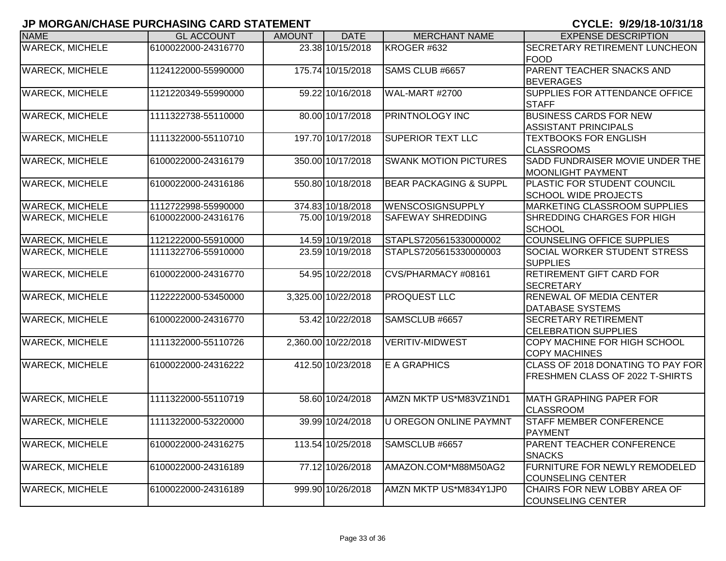| <b>NAME</b>            | <b>GL ACCOUNT</b>   | <b>AMOUNT</b> | <b>DATE</b>         | <b>MERCHANT NAME</b>              | <b>EXPENSE DESCRIPTION</b>                                |
|------------------------|---------------------|---------------|---------------------|-----------------------------------|-----------------------------------------------------------|
| <b>WARECK, MICHELE</b> | 6100022000-24316770 |               | 23.38 10/15/2018    | KROGER #632                       | <b>SECRETARY RETIREMENT LUNCHEON</b>                      |
|                        |                     |               |                     |                                   | <b>FOOD</b>                                               |
| <b>WARECK, MICHELE</b> | 1124122000-55990000 |               | 175.74 10/15/2018   | SAMS CLUB #6657                   | <b>PARENT TEACHER SNACKS AND</b>                          |
|                        |                     |               |                     |                                   | <b>BEVERAGES</b>                                          |
| <b>WARECK, MICHELE</b> | 1121220349-55990000 |               | 59.22 10/16/2018    | WAL-MART #2700                    | <b>SUPPLIES FOR ATTENDANCE OFFICE</b>                     |
|                        |                     |               |                     |                                   | <b>STAFF</b>                                              |
| <b>WARECK, MICHELE</b> | 1111322738-55110000 |               | 80.00 10/17/2018    | <b>PRINTNOLOGY INC</b>            | <b>BUSINESS CARDS FOR NEW</b>                             |
|                        |                     |               |                     |                                   | <b>ASSISTANT PRINCIPALS</b>                               |
| <b>WARECK, MICHELE</b> | 1111322000-55110710 |               | 197.70 10/17/2018   | <b>SUPERIOR TEXT LLC</b>          | <b>TEXTBOOKS FOR ENGLISH</b>                              |
|                        |                     |               |                     |                                   | <b>CLASSROOMS</b>                                         |
| <b>WARECK, MICHELE</b> | 6100022000-24316179 |               | 350.00 10/17/2018   | <b>SWANK MOTION PICTURES</b>      | SADD FUNDRAISER MOVIE UNDER THE                           |
|                        |                     |               |                     |                                   | <b>MOONLIGHT PAYMENT</b>                                  |
| <b>WARECK, MICHELE</b> | 6100022000-24316186 |               | 550.80 10/18/2018   | <b>BEAR PACKAGING &amp; SUPPL</b> | PLASTIC FOR STUDENT COUNCIL                               |
|                        |                     |               |                     |                                   | <b>SCHOOL WIDE PROJECTS</b>                               |
| <b>WARECK, MICHELE</b> | 1112722998-55990000 |               | 374.83 10/18/2018   | <b>WENSCOSIGNSUPPLY</b>           | <b>MARKETING CLASSROOM SUPPLIES</b>                       |
| <b>WARECK, MICHELE</b> | 6100022000-24316176 |               | 75.00 10/19/2018    | <b>SAFEWAY SHREDDING</b>          | <b>SHREDDING CHARGES FOR HIGH</b>                         |
|                        |                     |               |                     |                                   | <b>SCHOOL</b>                                             |
| <b>WARECK, MICHELE</b> | 1121222000-55910000 |               | 14.59 10/19/2018    | STAPLS7205615330000002            | <b>COUNSELING OFFICE SUPPLIES</b>                         |
| <b>WARECK, MICHELE</b> | 1111322706-55910000 |               | 23.59 10/19/2018    | STAPLS7205615330000003            | <b>SOCIAL WORKER STUDENT STRESS</b>                       |
|                        |                     |               |                     |                                   | <b>SUPPLIES</b>                                           |
| <b>WARECK, MICHELE</b> | 6100022000-24316770 |               | 54.95 10/22/2018    | CVS/PHARMACY #08161               | <b>RETIREMENT GIFT CARD FOR</b>                           |
|                        |                     |               |                     |                                   | <b>SECRETARY</b>                                          |
| <b>WARECK, MICHELE</b> | 1122222000-53450000 |               | 3,325.00 10/22/2018 | <b>PROQUEST LLC</b>               | <b>RENEWAL OF MEDIA CENTER</b>                            |
|                        |                     |               |                     |                                   | <b>DATABASE SYSTEMS</b>                                   |
| <b>WARECK, MICHELE</b> | 6100022000-24316770 |               | 53.42 10/22/2018    | SAMSCLUB #6657                    | <b>SECRETARY RETIREMENT</b>                               |
|                        |                     |               |                     |                                   | <b>CELEBRATION SUPPLIES</b>                               |
| <b>WARECK, MICHELE</b> | 1111322000-55110726 |               | 2,360.00 10/22/2018 | <b>VERITIV-MIDWEST</b>            | <b>COPY MACHINE FOR HIGH SCHOOL</b>                       |
|                        |                     |               | 412.50 10/23/2018   |                                   | <b>COPY MACHINES</b><br>CLASS OF 2018 DONATING TO PAY FOR |
| <b>WARECK, MICHELE</b> | 6100022000-24316222 |               |                     | E A GRAPHICS                      |                                                           |
|                        |                     |               |                     |                                   | <b>FRESHMEN CLASS OF 2022 T-SHIRTS</b>                    |
|                        |                     |               | 58.60 10/24/2018    | AMZN MKTP US*M83VZ1ND1            | <b>MATH GRAPHING PAPER FOR</b>                            |
| <b>WARECK, MICHELE</b> | 1111322000-55110719 |               |                     |                                   |                                                           |
| <b>WARECK, MICHELE</b> | 1111322000-53220000 |               | 39.99 10/24/2018    | <b>U OREGON ONLINE PAYMNT</b>     | <b>CLASSROOM</b><br><b>STAFF MEMBER CONFERENCE</b>        |
|                        |                     |               |                     |                                   |                                                           |
| <b>WARECK, MICHELE</b> | 6100022000-24316275 |               | 113.54 10/25/2018   | SAMSCLUB #6657                    | <b>PAYMENT</b><br><b>PARENT TEACHER CONFERENCE</b>        |
|                        |                     |               |                     |                                   | <b>SNACKS</b>                                             |
| <b>WARECK, MICHELE</b> | 6100022000-24316189 |               | 77.12 10/26/2018    | AMAZON.COM*M88M50AG2              | FURNITURE FOR NEWLY REMODELED                             |
|                        |                     |               |                     |                                   | <b>COUNSELING CENTER</b>                                  |
| <b>WARECK, MICHELE</b> | 6100022000-24316189 |               | 999.90 10/26/2018   | AMZN MKTP US*M834Y1JP0            | CHAIRS FOR NEW LOBBY AREA OF                              |
|                        |                     |               |                     |                                   | COUNSELING CENTER                                         |
|                        |                     |               |                     |                                   |                                                           |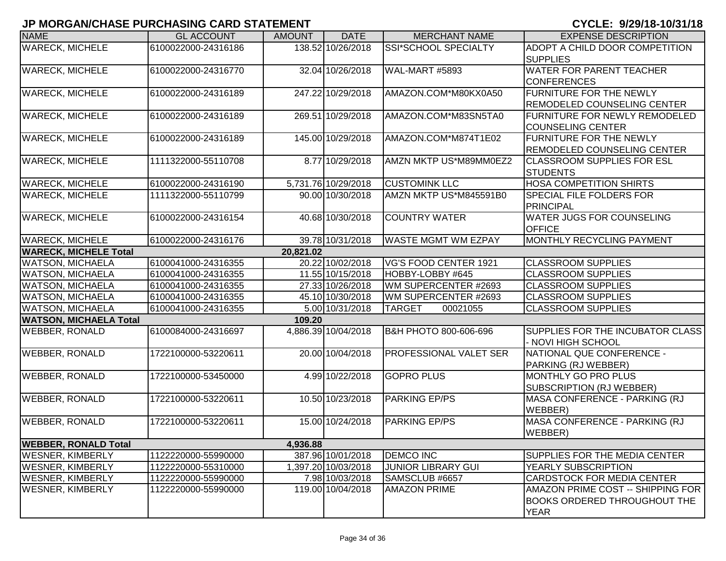| <b>NAME</b>                   | <b>GL ACCOUNT</b>   | <b>AMOUNT</b> | <b>DATE</b>         | <b>MERCHANT NAME</b>       | <b>EXPENSE DESCRIPTION</b>           |
|-------------------------------|---------------------|---------------|---------------------|----------------------------|--------------------------------------|
| <b>WARECK, MICHELE</b>        | 6100022000-24316186 |               | 138.52 10/26/2018   | SSI*SCHOOL SPECIALTY       | ADOPT A CHILD DOOR COMPETITION       |
|                               |                     |               |                     |                            | <b>SUPPLIES</b>                      |
| <b>WARECK, MICHELE</b>        | 6100022000-24316770 |               | 32.04 10/26/2018    | WAL-MART #5893             | <b>WATER FOR PARENT TEACHER</b>      |
|                               |                     |               |                     |                            | <b>CONFERENCES</b>                   |
| <b>WARECK, MICHELE</b>        | 6100022000-24316189 |               | 247.22 10/29/2018   | AMAZON.COM*M80KX0A50       | <b>FURNITURE FOR THE NEWLY</b>       |
|                               |                     |               |                     |                            | <b>REMODELED COUNSELING CENTER</b>   |
| <b>WARECK, MICHELE</b>        | 6100022000-24316189 |               | 269.51 10/29/2018   | AMAZON.COM*M83SN5TA0       | <b>FURNITURE FOR NEWLY REMODELED</b> |
|                               |                     |               |                     |                            | <b>COUNSELING CENTER</b>             |
| <b>WARECK, MICHELE</b>        | 6100022000-24316189 |               | 145.00 10/29/2018   | AMAZON.COM*M874T1E02       | <b>FURNITURE FOR THE NEWLY</b>       |
|                               |                     |               |                     |                            | <b>REMODELED COUNSELING CENTER</b>   |
| <b>WARECK, MICHELE</b>        | 1111322000-55110708 |               | 8.77 10/29/2018     | AMZN MKTP US*M89MM0EZ2     | <b>CLASSROOM SUPPLIES FOR ESL</b>    |
|                               |                     |               |                     |                            | <b>STUDENTS</b>                      |
| <b>WARECK, MICHELE</b>        | 6100022000-24316190 |               | 5,731.76 10/29/2018 | <b>CUSTOMINK LLC</b>       | <b>HOSA COMPETITION SHIRTS</b>       |
| <b>WARECK, MICHELE</b>        | 1111322000-55110799 |               | 90.00 10/30/2018    | AMZN MKTP US*M845591B0     | <b>SPECIAL FILE FOLDERS FOR</b>      |
|                               |                     |               |                     |                            | PRINCIPAL                            |
| <b>WARECK, MICHELE</b>        | 6100022000-24316154 |               | 40.68 10/30/2018    | <b>COUNTRY WATER</b>       | <b>WATER JUGS FOR COUNSELING</b>     |
|                               |                     |               |                     |                            | <b>OFFICE</b>                        |
| <b>WARECK, MICHELE</b>        | 6100022000-24316176 |               | 39.78 10/31/2018    | <b>WASTE MGMT WM EZPAY</b> | MONTHLY RECYCLING PAYMENT            |
| <b>WARECK, MICHELE Total</b>  |                     | 20,821.02     |                     |                            |                                      |
| <b>WATSON, MICHAELA</b>       | 6100041000-24316355 |               | 20.22 10/02/2018    | VG'S FOOD CENTER 1921      | <b>CLASSROOM SUPPLIES</b>            |
| <b>WATSON, MICHAELA</b>       | 6100041000-24316355 |               | 11.55 10/15/2018    | HOBBY-LOBBY #645           | <b>CLASSROOM SUPPLIES</b>            |
| <b>WATSON, MICHAELA</b>       | 6100041000-24316355 |               | 27.33 10/26/2018    | WM SUPERCENTER #2693       | <b>CLASSROOM SUPPLIES</b>            |
| <b>WATSON, MICHAELA</b>       | 6100041000-24316355 |               | 45.10 10/30/2018    | WM SUPERCENTER #2693       | <b>CLASSROOM SUPPLIES</b>            |
| <b>WATSON, MICHAELA</b>       | 6100041000-24316355 |               | 5.00 10/31/2018     | <b>TARGET</b><br>00021055  | <b>CLASSROOM SUPPLIES</b>            |
| <b>WATSON, MICHAELA Total</b> |                     | 109.20        |                     |                            |                                      |
| <b>WEBBER, RONALD</b>         | 6100084000-24316697 |               | 4,886.39 10/04/2018 | B&H PHOTO 800-606-696      | SUPPLIES FOR THE INCUBATOR CLASS     |
|                               |                     |               |                     |                            | - NOVI HIGH SCHOOL                   |
| <b>WEBBER, RONALD</b>         | 1722100000-53220611 |               | 20.00 10/04/2018    | PROFESSIONAL VALET SER     | NATIONAL QUE CONFERENCE -            |
|                               |                     |               |                     |                            | PARKING (RJ WEBBER)                  |
| <b>WEBBER, RONALD</b>         | 1722100000-53450000 |               | 4.99 10/22/2018     | <b>GOPRO PLUS</b>          | MONTHLY GO PRO PLUS                  |
|                               |                     |               |                     |                            | SUBSCRIPTION (RJ WEBBER)             |
| <b>WEBBER, RONALD</b>         | 1722100000-53220611 |               | 10.50 10/23/2018    | <b>PARKING EP/PS</b>       | MASA CONFERENCE - PARKING (RJ        |
|                               |                     |               |                     |                            | WEBBER)                              |
| <b>WEBBER, RONALD</b>         | 1722100000-53220611 |               | 15.00 10/24/2018    | <b>PARKING EP/PS</b>       | MASA CONFERENCE - PARKING (RJ        |
|                               |                     |               |                     |                            | WEBBER)                              |
| <b>WEBBER, RONALD Total</b>   |                     | 4,936.88      |                     |                            |                                      |
| <b>WESNER, KIMBERLY</b>       | 1122220000-55990000 |               | 387.96 10/01/2018   | <b>DEMCO INC</b>           | SUPPLIES FOR THE MEDIA CENTER        |
| <b>WESNER, KIMBERLY</b>       | 1122220000-55310000 |               | 1,397.20 10/03/2018 | <b>JUNIOR LIBRARY GUI</b>  | YEARLY SUBSCRIPTION                  |
| <b>WESNER, KIMBERLY</b>       | 1122220000-55990000 |               | 7.98 10/03/2018     | SAMSCLUB #6657             | <b>CARDSTOCK FOR MEDIA CENTER</b>    |
| <b>WESNER, KIMBERLY</b>       | 1122220000-55990000 |               | 119.00 10/04/2018   | <b>AMAZON PRIME</b>        | AMAZON PRIME COST -- SHIPPING FOR    |
|                               |                     |               |                     |                            | <b>BOOKS ORDERED THROUGHOUT THE</b>  |
|                               |                     |               |                     |                            | <b>YEAR</b>                          |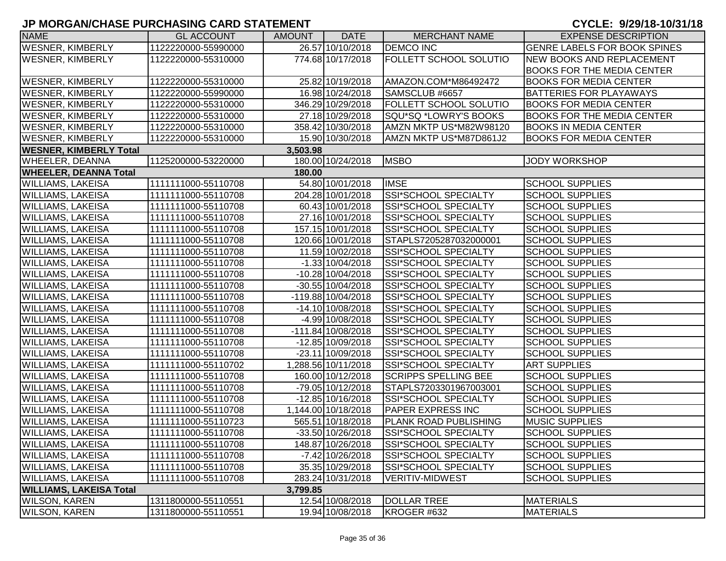| <b>NAME</b>                    | <b>GL ACCOUNT</b>   | <b>AMOUNT</b> | <b>DATE</b>         | <b>MERCHANT NAME</b>          | <b>EXPENSE DESCRIPTION</b>          |
|--------------------------------|---------------------|---------------|---------------------|-------------------------------|-------------------------------------|
| <b>WESNER, KIMBERLY</b>        | 1122220000-55990000 |               | 26.57 10/10/2018    | <b>DEMCO INC</b>              | <b>GENRE LABELS FOR BOOK SPINES</b> |
| <b>WESNER, KIMBERLY</b>        | 1122220000-55310000 |               | 774.68 10/17/2018   | <b>FOLLETT SCHOOL SOLUTIO</b> | NEW BOOKS AND REPLACEMENT           |
|                                |                     |               |                     |                               | <b>BOOKS FOR THE MEDIA CENTER</b>   |
| <b>WESNER, KIMBERLY</b>        | 1122220000-55310000 |               | 25.82 10/19/2018    | AMAZON.COM*M86492472          | <b>BOOKS FOR MEDIA CENTER</b>       |
| <b>WESNER, KIMBERLY</b>        | 1122220000-55990000 |               | 16.98 10/24/2018    | SAMSCLUB #6657                | <b>BATTERIES FOR PLAYAWAYS</b>      |
| <b>WESNER, KIMBERLY</b>        | 1122220000-55310000 |               | 346.29 10/29/2018   | <b>FOLLETT SCHOOL SOLUTIO</b> | <b>BOOKS FOR MEDIA CENTER</b>       |
| <b>WESNER, KIMBERLY</b>        | 1122220000-55310000 |               | 27.18 10/29/2018    | SQU*SQ *LOWRY'S BOOKS         | <b>BOOKS FOR THE MEDIA CENTER</b>   |
| <b>WESNER, KIMBERLY</b>        | 1122220000-55310000 |               | 358.42 10/30/2018   | AMZN MKTP US*M82W98120        | <b>BOOKS IN MEDIA CENTER</b>        |
| <b>WESNER, KIMBERLY</b>        | 1122220000-55310000 |               | 15.90 10/30/2018    | AMZN MKTP US*M87D861J2        | <b>BOOKS FOR MEDIA CENTER</b>       |
| <b>WESNER, KIMBERLY Total</b>  |                     | 3,503.98      |                     |                               |                                     |
| <b>WHEELER, DEANNA</b>         | 1125200000-53220000 |               | 180.00 10/24/2018   | <b>MSBO</b>                   | <b>JODY WORKSHOP</b>                |
| <b>WHEELER, DEANNA Total</b>   |                     | 180.00        |                     |                               |                                     |
| <b>WILLIAMS, LAKEISA</b>       | 1111111000-55110708 |               | 54.80 10/01/2018    | <b>IMSE</b>                   | <b>SCHOOL SUPPLIES</b>              |
| <b>WILLIAMS, LAKEISA</b>       | 1111111000-55110708 |               | 204.28 10/01/2018   | SSI*SCHOOL SPECIALTY          | <b>SCHOOL SUPPLIES</b>              |
| <b>WILLIAMS, LAKEISA</b>       | 1111111000-55110708 |               | 60.43 10/01/2018    | <b>SSI*SCHOOL SPECIALTY</b>   | <b>SCHOOL SUPPLIES</b>              |
| <b>WILLIAMS, LAKEISA</b>       | 1111111000-55110708 |               | 27.16 10/01/2018    | SSI*SCHOOL SPECIALTY          | <b>SCHOOL SUPPLIES</b>              |
| <b>WILLIAMS, LAKEISA</b>       | 1111111000-55110708 |               | 157.15 10/01/2018   | SSI*SCHOOL SPECIALTY          | <b>SCHOOL SUPPLIES</b>              |
| <b>WILLIAMS, LAKEISA</b>       | 1111111000-55110708 |               | 120.66 10/01/2018   | STAPLS7205287032000001        | <b>SCHOOL SUPPLIES</b>              |
| <b>WILLIAMS, LAKEISA</b>       | 1111111000-55110708 |               | 11.59 10/02/2018    | SSI*SCHOOL SPECIALTY          | <b>SCHOOL SUPPLIES</b>              |
| <b>WILLIAMS, LAKEISA</b>       | 1111111000-55110708 |               | $-1.33$ 10/04/2018  | SSI*SCHOOL SPECIALTY          | <b>SCHOOL SUPPLIES</b>              |
| <b>WILLIAMS, LAKEISA</b>       | 1111111000-55110708 |               | $-10.28$ 10/04/2018 | SSI*SCHOOL SPECIALTY          | <b>SCHOOL SUPPLIES</b>              |
| <b>WILLIAMS, LAKEISA</b>       | 1111111000-55110708 |               | $-30.55$ 10/04/2018 | SSI*SCHOOL SPECIALTY          | <b>SCHOOL SUPPLIES</b>              |
| <b>WILLIAMS, LAKEISA</b>       | 1111111000-55110708 |               | -119.88 10/04/2018  | SSI*SCHOOL SPECIALTY          | <b>SCHOOL SUPPLIES</b>              |
| <b>WILLIAMS, LAKEISA</b>       | 1111111000-55110708 |               | $-14.10$ 10/08/2018 | SSI*SCHOOL SPECIALTY          | <b>SCHOOL SUPPLIES</b>              |
| <b>WILLIAMS, LAKEISA</b>       | 1111111000-55110708 |               | $-4.99$ 10/08/2018  | SSI*SCHOOL SPECIALTY          | <b>SCHOOL SUPPLIES</b>              |
| <b>WILLIAMS, LAKEISA</b>       | 1111111000-55110708 |               | -111.84 10/08/2018  | SSI*SCHOOL SPECIALTY          | <b>SCHOOL SUPPLIES</b>              |
| <b>WILLIAMS, LAKEISA</b>       | 1111111000-55110708 |               | -12.85 10/09/2018   | SSI*SCHOOL SPECIALTY          | <b>SCHOOL SUPPLIES</b>              |
| <b>WILLIAMS, LAKEISA</b>       | 1111111000-55110708 |               | -23.11 10/09/2018   | SSI*SCHOOL SPECIALTY          | <b>SCHOOL SUPPLIES</b>              |
| <b>WILLIAMS, LAKEISA</b>       | 1111111000-55110702 |               | 1,288.56 10/11/2018 | SSI*SCHOOL SPECIALTY          | <b>ART SUPPLIES</b>                 |
| <b>WILLIAMS, LAKEISA</b>       | 1111111000-55110708 |               | 160.00 10/12/2018   | <b>SCRIPPS SPELLING BEE</b>   | <b>SCHOOL SUPPLIES</b>              |
| <b>WILLIAMS, LAKEISA</b>       | 1111111000-55110708 |               | -79.05 10/12/2018   | STAPLS7203301967003001        | <b>SCHOOL SUPPLIES</b>              |
| <b>WILLIAMS, LAKEISA</b>       | 1111111000-55110708 |               | $-12.85$ 10/16/2018 | SSI*SCHOOL SPECIALTY          | <b>SCHOOL SUPPLIES</b>              |
| <b>WILLIAMS, LAKEISA</b>       | 1111111000-55110708 |               | 1,144.00 10/18/2018 | <b>PAPER EXPRESS INC</b>      | <b>SCHOOL SUPPLIES</b>              |
| <b>WILLIAMS, LAKEISA</b>       | 1111111000-55110723 |               | 565.51 10/18/2018   | <b>PLANK ROAD PUBLISHING</b>  | <b>MUSIC SUPPLIES</b>               |
| <b>WILLIAMS, LAKEISA</b>       | 1111111000-55110708 |               | -33.50 10/26/2018   | SSI*SCHOOL SPECIALTY          | <b>SCHOOL SUPPLIES</b>              |
| <b>WILLIAMS, LAKEISA</b>       | 1111111000-55110708 |               | 148.87 10/26/2018   | <b>SSI*SCHOOL SPECIALTY</b>   | <b>SCHOOL SUPPLIES</b>              |
| <b>WILLIAMS, LAKEISA</b>       | 1111111000-55110708 |               | $-7.42$ 10/26/2018  | SSI*SCHOOL SPECIALTY          | <b>SCHOOL SUPPLIES</b>              |
| <b>WILLIAMS, LAKEISA</b>       | 1111111000-55110708 |               | 35.35 10/29/2018    | SSI*SCHOOL SPECIALTY          | <b>SCHOOL SUPPLIES</b>              |
| <b>WILLIAMS, LAKEISA</b>       | 1111111000-55110708 |               | 283.24 10/31/2018   | <b>VERITIV-MIDWEST</b>        | <b>SCHOOL SUPPLIES</b>              |
| <b>WILLIAMS, LAKEISA Total</b> |                     | 3,799.85      |                     |                               |                                     |
| <b>WILSON, KAREN</b>           | 1311800000-55110551 |               | 12.54 10/08/2018    | <b>DOLLAR TREE</b>            | <b>MATERIALS</b>                    |
| <b>WILSON, KAREN</b>           | 1311800000-55110551 |               | 19.94 10/08/2018    | KROGER #632                   | <b>MATERIALS</b>                    |